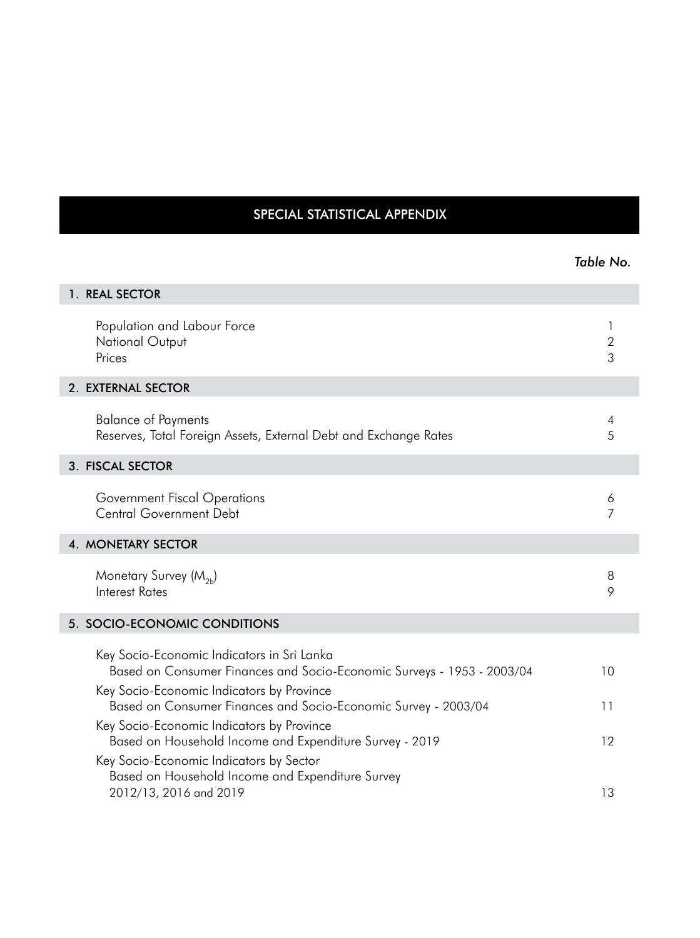## SPECIAL STATISTICAL APPENDIX

|                                                                                                                                                                   | Table No.              |
|-------------------------------------------------------------------------------------------------------------------------------------------------------------------|------------------------|
| 1. REAL SECTOR                                                                                                                                                    |                        |
| Population and Labour Force<br>National Output<br>Prices                                                                                                          | 1<br>$\mathbf{2}$<br>3 |
| 2. EXTERNAL SECTOR                                                                                                                                                |                        |
| <b>Balance of Payments</b><br>Reserves, Total Foreign Assets, External Debt and Exchange Rates                                                                    | 4<br>5                 |
| 3. FISCAL SECTOR                                                                                                                                                  |                        |
| Government Fiscal Operations<br><b>Central Government Debt</b>                                                                                                    | 6<br>$\overline{7}$    |
| <b>4. MONETARY SECTOR</b>                                                                                                                                         |                        |
| Monetary Survey (M <sub>2h</sub> )<br><b>Interest Rates</b>                                                                                                       | 8<br>9                 |
| 5. SOCIO-ECONOMIC CONDITIONS                                                                                                                                      |                        |
| Key Socio-Economic Indicators in Sri Lanka<br>Based on Consumer Finances and Socio-Economic Surveys - 1953 - 2003/04<br>Key Socio-Economic Indicators by Province | 10                     |
| Based on Consumer Finances and Socio-Economic Survey - 2003/04                                                                                                    | 11                     |
| Key Socio-Economic Indicators by Province<br>Based on Household Income and Expenditure Survey - 2019                                                              | 12                     |
| Key Socio-Economic Indicators by Sector<br>Based on Household Income and Expenditure Survey<br>2012/13, 2016 and 2019                                             | 13                     |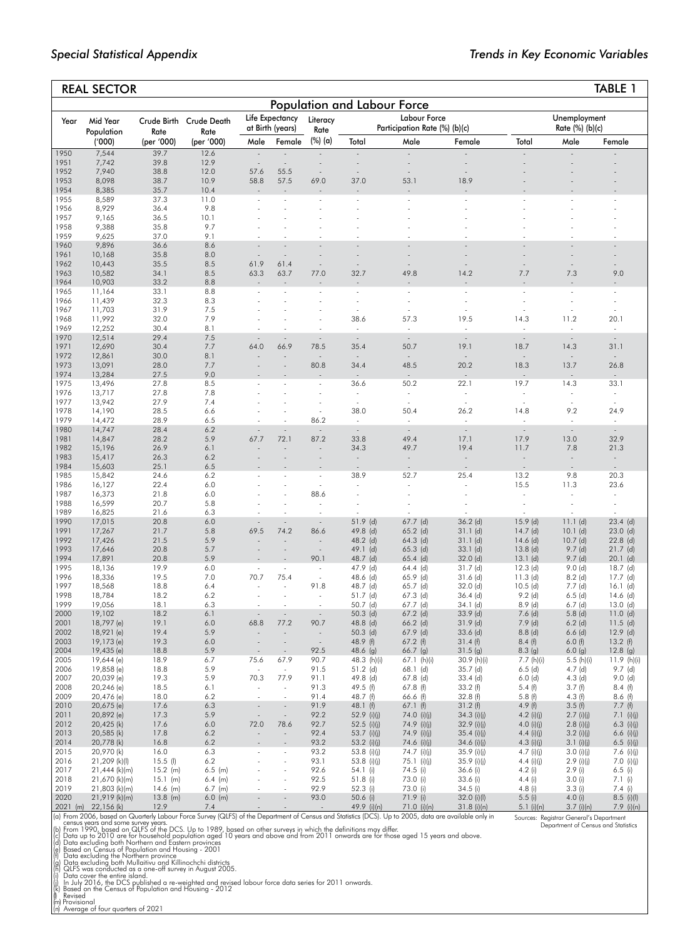|              | <b>REAL SECTOR</b>             |                          |                        |                                  |                                     |                          |                                    |                                               |                                  |                           |                                    | TABLE 1                     |
|--------------|--------------------------------|--------------------------|------------------------|----------------------------------|-------------------------------------|--------------------------|------------------------------------|-----------------------------------------------|----------------------------------|---------------------------|------------------------------------|-----------------------------|
|              |                                |                          |                        |                                  |                                     |                          | <b>Population and Labour Force</b> |                                               |                                  |                           |                                    |                             |
| Year         | Mid Year<br>Population         | Crude Birth<br>Rate      | Crude Death<br>Rate    |                                  | Life Expectancy<br>at Birth (years) | Literacy<br>Rate         |                                    | Labour Force<br>Participation Rate (%) (b)(c) |                                  |                           | Unemployment<br>Rate (%) (b)(c)    |                             |
|              | ('000)                         | (per '000)               | (per '000)             | Male                             | Female                              | (%) (a)                  | Total                              | Male                                          | Female                           | Total                     | Male                               | Female                      |
| 1950         | 7,544                          | 39.7                     | 12.6                   | $\omega$                         |                                     |                          | $\overline{a}$                     | $\overline{a}$                                |                                  |                           |                                    |                             |
| 1951<br>1952 | 7,742<br>7,940                 | 39.8<br>38.8             | 12.9<br>12.0           | $\overline{\phantom{a}}$<br>57.6 | $\sim$<br>55.5                      |                          | ÷,<br>$\sim$                       | $\bar{\phantom{a}}$<br>÷,                     |                                  |                           |                                    |                             |
| 1953         | 8,098                          | 38.7                     | 10.9                   | 58.8                             | 57.5                                | 69.0                     | 37.0                               | 53.1                                          | 18.9                             |                           |                                    |                             |
| 1954<br>1955 | 8,385<br>8,589                 | 35.7<br>37.3             | 10.4<br>11.0           |                                  | $\sim$                              |                          |                                    | $\overline{\phantom{a}}$                      |                                  |                           |                                    |                             |
| 1956         | 8,929                          | 36.4                     | 9.8                    |                                  |                                     |                          |                                    |                                               |                                  |                           |                                    |                             |
| 1957         | 9,165                          | 36.5                     | 10.1                   |                                  |                                     |                          |                                    |                                               |                                  |                           |                                    |                             |
| 1958<br>1959 | 9,388<br>9,625                 | 35.8<br>37.0             | 9.7<br>9.1             |                                  |                                     |                          |                                    |                                               |                                  |                           |                                    |                             |
| 1960         | 9,896                          | 36.6                     | 8.6                    | $\sim$                           | L.                                  |                          | ÷,                                 |                                               |                                  |                           |                                    |                             |
| 1961         | 10,168                         | 35.8                     | 8.0                    | $\overline{\phantom{a}}$         | $\overline{\phantom{a}}$            |                          |                                    |                                               |                                  |                           |                                    |                             |
| 1962<br>1963 | 10,443<br>10,582               | 35.5<br>34.1             | 8.5<br>8.5             | 61.9<br>63.3                     | 61.4<br>63.7                        | 77.0                     | ÷,<br>32.7                         | 49.8                                          | 14.2                             | 7.7                       | 7.3                                | 9.0                         |
| 1964         | 10,903                         | 33.2                     | 8.8                    |                                  |                                     |                          |                                    |                                               |                                  |                           |                                    |                             |
| 1965         | 11,164                         | 33.1                     | 8.8                    |                                  |                                     |                          | ÷                                  | $\overline{\phantom{a}}$                      |                                  |                           |                                    |                             |
| 1966         | 11,439                         | 32.3                     | 8.3                    |                                  |                                     |                          |                                    |                                               |                                  |                           |                                    |                             |
| 1967<br>1968 | 11,703<br>11,992               | 31.9<br>32.0             | 7.5<br>7.9             |                                  |                                     |                          | 38.6                               | 57.3                                          | 19.5                             | 14.3                      | 11.2                               | 20.1                        |
| 1969         | 12,252                         | 30.4                     | 8.1                    |                                  |                                     |                          | ÷.                                 | ÷.                                            |                                  |                           |                                    | L.                          |
| 1970         | 12,514                         | 29.4                     | 7.5                    | $\sim$                           |                                     | $\sim$                   | $\sim$                             | $\sim$                                        | $\overline{\phantom{a}}$         | $\overline{\phantom{a}}$  | $\overline{\phantom{a}}$           | $\sim$                      |
| 1971<br>1972 | 12,690<br>12,861               | 30.4<br>30.0             | 7.7<br>8.1             | 64.0                             | 66.9                                | 78.5<br>$\sim$           | 35.4<br>$\sim$                     | 50.7<br>÷.                                    | 19.1<br>$\sim$                   | 18.7<br>$\overline{a}$    | 14.3<br>$\overline{a}$             | 31.1                        |
| 1973         | 13,091                         | 28.0                     | 7.7                    |                                  |                                     | 80.8                     | 34.4                               | 48.5                                          | 20.2                             | 18.3                      | 13.7                               | 26.8                        |
| 1974         | 13,284                         | 27.5                     | 9.0                    |                                  |                                     |                          |                                    |                                               |                                  |                           |                                    |                             |
| 1975<br>1976 | 13,496<br>13,717               | 27.8<br>27.8             | 8.5<br>7.8             |                                  |                                     | ÷.                       | 36.6<br>$\overline{\phantom{a}}$   | 50.2<br>÷.                                    | 22.1<br>$\overline{\phantom{a}}$ | 19.7                      | 14.3                               | 33.1                        |
| 1977         | 13,942                         | 27.9                     | 7.4                    |                                  |                                     |                          | $\sim$                             | $\sim$                                        | $\sim$                           | $\sim$                    | $\sim$                             |                             |
| 1978         | 14,190                         | 28.5                     | 6.6                    |                                  |                                     |                          | 38.0                               | 50.4                                          | 26.2                             | 14.8                      | 9.2                                | 24.9                        |
| 1979<br>1980 | 14,472<br>14,747               | 28.9<br>28.4             | 6.5<br>6.2             |                                  | ÷.                                  | 86.2<br>$\Box$           | $\sim$<br>$\omega$                 | $\sim$<br>$\omega$                            | $\sim$<br>$\omega$               | ÷.<br>$\bar{\phantom{a}}$ | $\sim$<br>$\overline{\phantom{a}}$ | $\sim$<br>$\sim$            |
| 1981         | 14,847                         | 28.2                     | 5.9                    | 67.7                             | 72.1                                | 87.2                     | 33.8                               | 49.4                                          | 17.1                             | 17.9                      | 13.0                               | 32.9                        |
| 1982         | 15,196                         | 26.9                     | 6.1                    |                                  |                                     |                          | 34.3                               | 49.7                                          | 19.4                             | 11.7                      | 7.8                                | 21.3                        |
| 1983<br>1984 | 15,417<br>15,603               | 26.3<br>25.1             | 6.2<br>6.5             |                                  |                                     |                          | $\sim$                             | $\overline{\phantom{a}}$                      | $\overline{\phantom{a}}$         | $\sim$                    | $\overline{\phantom{a}}$           | $\overline{\phantom{a}}$    |
| 1985         | 15,842                         | 24.6                     | 6.2                    |                                  |                                     | $\overline{\phantom{a}}$ | 38.9                               | 52.7                                          | 25.4                             | 13.2                      | 9.8                                | 20.3                        |
| 1986         | 16,127                         | 22.4                     | 6.0                    |                                  |                                     | ÷                        |                                    |                                               |                                  | 15.5                      | 11.3                               | 23.6                        |
| 1987         | 16,373                         | 21.8                     | 6.0                    |                                  |                                     | 88.6                     |                                    |                                               |                                  | $\overline{\phantom{a}}$  |                                    |                             |
| 1988<br>1989 | 16,599<br>16,825               | 20.7<br>21.6             | 5.8<br>6.3             |                                  |                                     |                          |                                    |                                               |                                  |                           |                                    | $\sim$                      |
| 1990         | 17,015                         | 20.8                     | 6.0                    |                                  | $\overline{\phantom{a}}$            | $\sim$                   | 51.9 (d)                           | $67.7$ (d)                                    | $36.2$ (d)                       | $15.9$ (d)                | 11.1(d)                            | $23.4$ (d)                  |
| 1991         | 17,267                         | 21.7                     | 5.8                    | 69.5                             | 74.2                                | 86.6                     | 49.8 (d)                           | $65.2$ (d)                                    | 31.1(d)                          | $14.7$ (d)                | $10.1$ (d)                         | $23.0$ (d)                  |
| 1992<br>1993 | 17,426<br>17,646               | 21.5<br>20.8             | 5.9<br>5.7             |                                  | $\overline{a}$                      | $\sim$                   | 48.2 (d)<br>49.1 (d)               | $64.3$ (d)<br>$65.3$ (d)                      | 31.1(d)<br>$33.1$ (d)            | $14.6$ (d)<br>$13.8$ (d)  | $10.7$ (d)<br>$9.7$ (d)            | $22.8$ (d)<br>$21.7$ (d)    |
| 1994         | 17,891                         | 20.8                     | 5.9                    |                                  |                                     | 90.1                     | 48.7 (d)                           | $65.4$ (d)                                    | 32.0 (d)                         | 13.1(d)                   | $9.7$ (d)                          | $20.1$ (d)                  |
| 1995         | 18,136                         | 19.9                     | 6.0                    | $\sim$                           | $\sim$                              |                          | 47.9 (d)                           | $64.4$ (d)                                    | $31.7$ (d)                       | $12.3$ (d)                | 9.0(d)                             | $18.7$ (d)                  |
| 1996<br>1997 | 18,336<br>18,568               | 19.5<br>18.8             | 7.0<br>6.4             | 70.7<br>÷,                       | 75.4<br>÷,                          | $\sim$<br>91.8           | $48.6$ (d)<br>48.7 (d)             | 65.9 (d)<br>65.7 (d)                          | $31.6$ (d)<br>32.0 (d)           | $11.3$ (d)<br>$10.5$ (d)  | $8.2$ (d)<br>$7.7$ (d)             | $17.7$ (d)<br>$16.1$ (d)    |
| 1998         | 18,784                         | 18.2                     | 6.2                    | $\overline{\phantom{a}}$         | $\sim$                              | ä,                       | $51.7$ (d)                         | $67.3$ (d)                                    | $36.4$ (d)                       | $9.2$ (d)                 | $6.5$ (d)                          | $14.6$ (d)                  |
| 1999         | 19,056                         | 18.1                     | 6.3                    | $\sim$                           |                                     | $\sim$                   | $50.7$ (d)                         | $67.7$ (d)                                    | 34.1 (d)                         | $8.9$ (d)                 | $6.7$ (d)                          | $13.0$ (d)                  |
| 2000<br>2001 | 19,102<br>$18/9/$ (e)          | 18.2<br>19.1             | 6.1<br>6.0             | 68.8                             |                                     | 90.7                     | $50.3$ (d)<br>48.8 (d)             | $67.2$ (d)<br>$66.2$ (d)                      | $33.9$ (d)<br>31.9 (d)           | $7.6$ (d)<br>$7.9$ (d)    | $5.8$ (d)<br>$6.2$ (d)             | $11.0$ (d)<br>$11.5$ (d)    |
| 2002         | 18,921 (e)                     | 19.4                     | 5.9                    |                                  |                                     |                          | $50.3$ (d)                         | 67.9 (d)                                      | $33.6$ (d)                       | $8.8$ (d)                 | $6.6$ (d)                          | $12.9$ (d)                  |
| 2003         | 19,173 (e)                     | 19.3                     | 6.0                    |                                  |                                     |                          | 48.9 (f)                           | $67.2$ (f)                                    | 31.4(f)                          | 8.4(f)                    | 6.0(f)                             | 13.2(f)                     |
| 2004<br>2005 | 19,435 (e)<br>19,644 (e)       | 18.8<br>18.9             | 5.9<br>6.7             | 75.6                             | 67.9                                | 92.5<br>90.7             | 48.6 (g)<br>48.3 (h)(i)            | 66.7 (g)<br>67.1 (h)(i)                       | 31.5(g)<br>30.9 (h)(i)           | 8.3(g)<br>7.7 (h)(i)      | 6.0(g)<br>5.5(h)(i)                | $12.8$ (g)<br>11.9 $(h)(i)$ |
| 2006         | 19,858 (e)                     | 18.8                     | 5.9                    | $\sim$                           | $\omega$                            | 91.5                     | $51.2$ (d)                         | 68.1 (d)                                      | 35.7 (d)                         | $6.5$ (d)                 | $4.7$ (d)                          | $9.7$ (d)                   |
| 2007         | 20,039 (e)                     | 19.3                     | 5.9                    | 70.3                             | 77.9                                | 91.1                     | 49.8 (d)                           | 67.8 (d)                                      | $33.4$ (d)                       | $6.0$ (d)                 | $4.3$ (d)                          | 9.0(d)                      |
| 2008<br>2009 | 20,246 (e)<br>20,476 (e)       | 18.5<br>18.0             | 6.1<br>6.2             | $\sim$<br>$\bar{a}$              | $\sim$<br>÷,                        | 91.3<br>91.4             | 49.5 (f)<br>48.7 (f)               | $67.8$ (f)<br>66.6 (f)                        | 33.2(f)<br>32.8(f)               | 5.4(f)<br>5.8(f)          | 3.7(f)<br>4.3(f)                   | 8.4(f)<br>8.6(f)            |
| 2010         | 20,675 (e)                     | 17.6                     | 6.3                    | $\overline{\phantom{a}}$         | $\overline{\phantom{a}}$            | 91.9                     | 48.1(f)                            | 67.1(f)                                       | 31.2(f)                          | 4.9(f)                    | 3.5(f)                             | 7.7(f)                      |
| 2011         | 20,892 (e)                     | 17.3                     | 5.9                    | $\overline{\phantom{a}}$         | $\overline{\phantom{a}}$            | 92.2                     | 52.9 (i)(j)                        | 74.0 (i)(j)                                   | $34.3$ (i)(j)                    | 4.2 (i)(j)                | $2.7$ (i)(j)                       | 7.1 (i)(i)                  |
| 2012         | 20,425 (k)                     | 17.6                     | 6.0                    | 72.0                             | 78.6                                | 92.7                     | 52.5 (i)(j)                        | 74.9 (i)(j)                                   | 32.9 (i)(j)                      | 4.0 (i)(j)                | $2.8$ (i)(j)                       | 6.3 (i)(j)                  |
| 2013<br>2014 | 20,585 (k)<br>20,778 (k)       | 17.8<br>16.8             | 6.2<br>6.2             |                                  |                                     | 92.4<br>93.2             | 53.7 (i)(j)<br>53.2 (i)(j)         | 74.9 (i)(j)<br>74.6 (i)(j)                    | 35.4 (i)(i)<br>$34.6$ (i)(j)     | 4.4 (i)(j)<br>4.3 (i)(i)  | $3.2$ (i)(j)<br>3.1 (i)(i)         | 6.6 (i)(j)<br>6.5 (i)(j)    |
| 2015         | 20,970 (k)                     | 16.0                     | 6.3                    |                                  | $\overline{\phantom{a}}$            | 93.2                     | 53.8 (i)(j)                        | 74.7 (i)(j)                                   | 35.9 (i)(j)                      | 4.7 $(i)(j)$              | 3.0 (i)(i)                         | 7.6 (i)(j)                  |
| 2016         | 21,209 (k)(l)                  | $15.5$ (l)               | 6.2                    |                                  |                                     | 93.1                     | 53.8 (i)(j)                        | 75.1 (i)(j)                                   | 35.9 (i)(j)                      | 4.4 (i)(j)                | $2.9$ (i)(j)                       | 7.0 (i)(j)                  |
| 2017<br>2018 | 21,444 (k)(m)<br>21,670 (k)(m) | $15.2$ (m)<br>$15.1$ (m) | $6.5$ (m)<br>$6.4$ (m) |                                  | ÷,                                  | 92.6<br>92.5             | 54.1 (i)<br>51.8 (i)               | 74.5 (i)<br>73.0 (i)                          | 36.6 (i)<br>33.6 (i)             | 4.2(i)<br>4.4 (i)         | 2.9(i)<br>3.0(i)                   | $6.5$ (i)<br>7.1 (i)        |
| 2019         | 21,803 (k)(m)                  | $14.6$ (m)               | $6.7$ (m)              |                                  | ÷,                                  | 92.9                     | 52.3 (i)                           | 73.0 (i)                                      | $34.5$ (i)                       | 4.8 (i)                   | 3.3(i)                             | 7.4 (i)                     |
| 2020         | 21,919 (k)(m)                  | $13.8$ (m)               | $6.0$ (m)              |                                  | $\overline{\phantom{a}}$            | 93.0                     | 50.6 (i)                           | 71.9 (i)                                      | $32.0$ (i)(l)                    | 5.5(i)                    | 4.0(i)                             | $8.5$ (i)(l)                |
|              | 2021 (m) 22,156 (k)            | 12.9                     | 7.4                    |                                  |                                     | $\sim$                   | 49.9 (i)(n)                        | 71.0 (i)(n)                                   | $31.8$ (i)(n)                    | 5.1 $(i)(n)$              | $3.7$ (i)(n)                       | 7.9 (i)(n)                  |

2021 (m) 22,156 (k) 12.9 7.4 - - - 49.9 (i)(n) 71.0 (i)(n) 31.8 (i)(n) 5.1 (i)(n) 3.7 (i)(n) 7.9 (i)(n) (a) From 2006, based on Quarterly Labour Force Survey (QLFS) of the Department of Census and Statistics (DCS). Up to 2005, data are available only in census years and some survey years. (b) From 1990, based on QLFS of the DCS. Up to 1989, based on other surveys in which the definitions may differ. (c) Data up to 2010 are for household population aged 10 years and above and from 2011 onwards are for those aged 15 years and above. Sources: Registrar General's Department Department of Census and Statistics

(d) Data excluding both Northern and Eastern provinces<br>(e) Based on Census of Population and Housing - 2001<br>(f) Data excluding the Northern province<br>(f) Data excluding both Mullaitivu and Killinochchi districts<br>(h) QLFS wa

(m) Provisional (n) Average of four quarters of 2021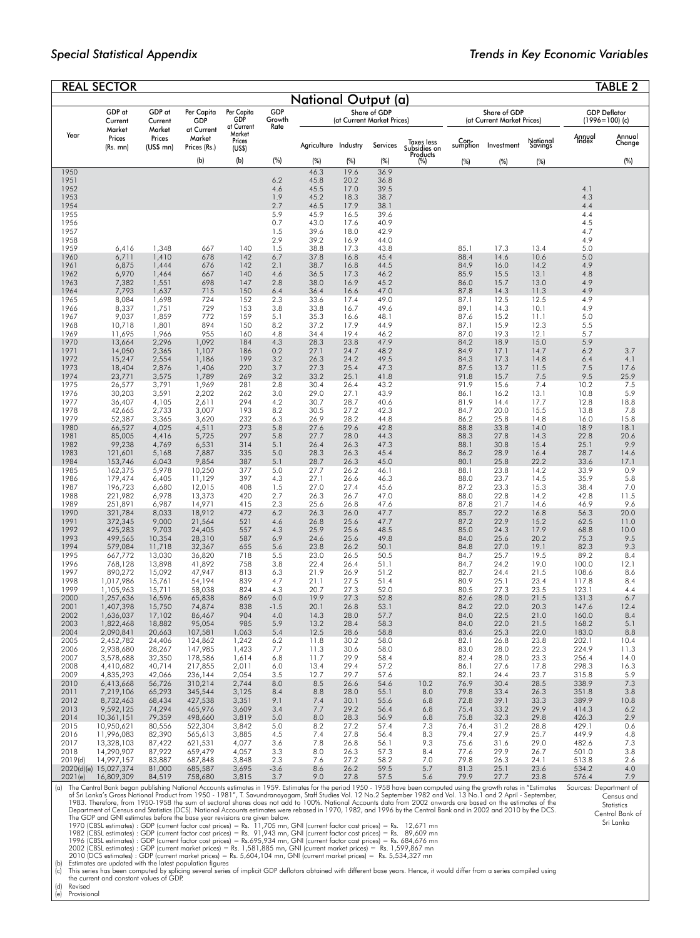|                 | <b>REAL SECTOR</b>                                                                                                                                                                                                                                                                                                              |                   |                      |                                |               |                      |              |                                            |                                        |                  |                                            |                     |                                 | <b>TABLE 2</b>                          |
|-----------------|---------------------------------------------------------------------------------------------------------------------------------------------------------------------------------------------------------------------------------------------------------------------------------------------------------------------------------|-------------------|----------------------|--------------------------------|---------------|----------------------|--------------|--------------------------------------------|----------------------------------------|------------------|--------------------------------------------|---------------------|---------------------------------|-----------------------------------------|
|                 |                                                                                                                                                                                                                                                                                                                                 |                   |                      |                                |               | National Output (a)  |              |                                            |                                        |                  |                                            |                     |                                 |                                         |
|                 | GDP at<br>Current                                                                                                                                                                                                                                                                                                               | GDP at<br>Current | Per Capita<br>GDP    | Per Capita<br>GDP              | GDP<br>Growth |                      |              | Share of GDP<br>(at Current Market Prices) |                                        |                  | Share of GDP<br>(at Current Market Prices) |                     |                                 | <b>GDP Deflator</b><br>$(1996=100)$ (c) |
| Year            | Market<br>Prices                                                                                                                                                                                                                                                                                                                | Market<br>Prices  | at Current<br>Market | at Current<br>Market<br>Prices | Rate          |                      |              |                                            |                                        |                  |                                            |                     | Annual<br>Thdex                 | Annual                                  |
|                 | $(Rs.$ mn $)$                                                                                                                                                                                                                                                                                                                   | $(US$$ mn $)$     | Prices (Rs.)         | (USS)                          |               | Agriculture Industry |              | Services                                   | Taxes less<br>Subsidies on<br>Products | Con-<br>sumption | Investment                                 | National<br>Savings |                                 | Change                                  |
|                 |                                                                                                                                                                                                                                                                                                                                 |                   | (b)                  | (b)                            | (%)           | (%)                  | (%)          | (%)                                        | (%)                                    | (%)              | (%)                                        | (%)                 |                                 | (%)                                     |
| 1950<br>1951    |                                                                                                                                                                                                                                                                                                                                 |                   |                      |                                | 6.2           | 46.3<br>45.8         | 19.6<br>20.2 | 36.9<br>36.8                               |                                        |                  |                                            |                     |                                 |                                         |
| 1952<br>1953    |                                                                                                                                                                                                                                                                                                                                 |                   |                      |                                | 4.6<br>1.9    | 45.5<br>45.2         | 17.0<br>18.3 | 39.5<br>38.7                               |                                        |                  |                                            |                     | 4.1<br>4.3                      |                                         |
| 1954            |                                                                                                                                                                                                                                                                                                                                 |                   |                      |                                | 2.7           | 46.5                 | 17.9         | 38.1                                       |                                        |                  |                                            |                     | 4.4                             |                                         |
| 1955<br>1956    |                                                                                                                                                                                                                                                                                                                                 |                   |                      |                                | 5.9<br>0.7    | 45.9<br>43.0         | 16.5<br>17.6 | 39.6<br>40.9                               |                                        |                  |                                            |                     | 4.4<br>4.5                      |                                         |
| 1957            |                                                                                                                                                                                                                                                                                                                                 |                   |                      |                                | 1.5           | 39.6                 | 18.0         | 42.9                                       |                                        |                  |                                            |                     | 4.7                             |                                         |
| 1958<br>1959    | 6,416                                                                                                                                                                                                                                                                                                                           | 1,348             | 667                  | 140                            | 2.9<br>1.5    | 39.2<br>38.8         | 16.9<br>17.3 | 44.0<br>43.8                               |                                        | 85.1             | 17.3                                       | 13.4                | 4.9<br>5.0                      |                                         |
| 1960            | 6,711                                                                                                                                                                                                                                                                                                                           | 1,410             | 678                  | 142                            | 6.7           | 37.8                 | 16.8         | 45.4                                       |                                        | 88.4             | 14.6                                       | 10.6                | 5.0                             |                                         |
| 1961<br>1962    | 6,875<br>6,970                                                                                                                                                                                                                                                                                                                  | 1,444<br>1,464    | 676<br>667           | 142<br>140                     | 2.1<br>4.6    | 38.7<br>36.5         | 16.8<br>17.3 | 44.5<br>46.2                               |                                        | 84.9<br>85.9     | 16.0<br>15.5                               | 14.2<br>13.1        | 4.9<br>4.8                      |                                         |
| 1963<br>1964    | 7,382<br>7,793                                                                                                                                                                                                                                                                                                                  | 1,551<br>1,637    | 698<br>715           | 147<br>150                     | 2.8<br>6.4    | 38.0<br>36.4         | 16.9<br>16.6 | 45.2<br>47.0                               |                                        | 86.0<br>87.8     | 15.7<br>14.3                               | 13.0<br>11.3        | 4.9<br>4.9                      |                                         |
| 1965            | 8,084                                                                                                                                                                                                                                                                                                                           | 1,698             | 724                  | 152                            | 2.3           | 33.6                 | 17.4         | 49.0                                       |                                        | 87.1             | 12.5                                       | 12.5                | 4.9                             |                                         |
| 1966<br>1967    | 8,337<br>9,037                                                                                                                                                                                                                                                                                                                  | 1,751<br>1,859    | 729<br>772           | 153<br>159                     | 3.8<br>5.1    | 33.8<br>35.3         | 16.7<br>16.6 | 49.6<br>48.1                               |                                        | 89.1<br>87.6     | 14.3<br>15.2                               | 10.1<br>11.1        | 4.9<br>5.0                      |                                         |
| 1968            | 10,718                                                                                                                                                                                                                                                                                                                          | 1,801             | 894                  | 150                            | 8.2           | 37.2                 | 17.9         | 44.9                                       |                                        | 87.1             | 15.9                                       | 12.3                | 5.5                             |                                         |
| 1969<br>1970    | 11,695<br>13,664                                                                                                                                                                                                                                                                                                                | 1,966<br>2,296    | 955<br>1,092         | 160<br>184                     | 4.8<br>4.3    | 34.4<br>28.3         | 19.4<br>23.8 | 46.2<br>47.9                               |                                        | 87.0<br>84.2     | 19.3<br>18.9                               | 12.1<br>15.0        | 5.7<br>5.9                      |                                         |
| 1971            | 14,050                                                                                                                                                                                                                                                                                                                          | 2,365             | 1,107                | 186                            | 0.2           | 27.1                 | 24.7         | 48.2                                       |                                        | 84.9             | 17.1                                       | 14.7                | 6.2                             | 3.7                                     |
| 1972<br>1973    | 15,247<br>18,404                                                                                                                                                                                                                                                                                                                | 2,554<br>2,876    | 1,186<br>1,406       | 199<br>220                     | 3.2<br>3.7    | 26.3<br>27.3         | 24.2<br>25.4 | 49.5<br>47.3                               |                                        | 84.3<br>87.5     | 17.3<br>13.7                               | 14.8<br>11.5        | 6.4<br>7.5                      | 4.1<br>17.6                             |
| 1974            | 23,771                                                                                                                                                                                                                                                                                                                          | 3,575             | 1,789                | 269                            | 3.2           | 33.2                 | 25.1         | 41.8                                       |                                        | 91.8             | 15.7                                       | 7.5                 | 9.5                             | 25.9                                    |
| 1975<br>1976    | 26,577<br>30,203                                                                                                                                                                                                                                                                                                                | 3,791<br>3,591    | 1,969<br>2,202       | 281<br>262                     | 2.8<br>3.0    | 30.4<br>29.0         | 26.4<br>27.1 | 43.2<br>43.9                               |                                        | 91.9<br>86.1     | 15.6<br>16.2                               | 7.4<br>13.1         | 10.2<br>10.8                    | 7.5<br>5.9                              |
| 1977            | 36,407                                                                                                                                                                                                                                                                                                                          | 4,105             | 2,611                | 294                            | 4.2           | 30.7                 | 28.7         | 40.6                                       |                                        | 81.9             | 14.4                                       | 17.7                | 12.8                            | 18.8                                    |
| 1978<br>1979    | 42,665<br>52,387                                                                                                                                                                                                                                                                                                                | 2,733<br>3,365    | 3,007<br>3,620       | 193<br>232                     | 8.2<br>6.3    | 30.5<br>26.9         | 27.2<br>28.2 | 42.3<br>44.8                               |                                        | 84.7<br>86.2     | 20.0<br>25.8                               | 15.5<br>14.8        | 13.8<br>16.0                    | 7.8<br>15.8                             |
| 1980            | 66,527                                                                                                                                                                                                                                                                                                                          | 4,025             | 4,511                | 273                            | 5.8           | 27.6                 | 29.6         | 42.8                                       |                                        | 88.8             | 33.8                                       | 14.0                | 18.9                            | 18.1                                    |
| 1981<br>1982    | 85,005<br>99,238                                                                                                                                                                                                                                                                                                                | 4,416<br>4,769    | 5,725<br>6,531       | 297<br>314                     | 5.8<br>5.1    | 27.7<br>26.4         | 28.0<br>26.3 | 44.3<br>47.3                               |                                        | 88.3<br>88.1     | 27.8<br>30.8                               | 14.3<br>15.4        | 22.8<br>25.1                    | 20.6<br>9.9                             |
| 1983            | 121,601                                                                                                                                                                                                                                                                                                                         | 5,168             | 7,887                | 335                            | 5.0           | 28.3                 | 26.3         | 45.4                                       |                                        | 86.2             | 28.9                                       | 16.4                | 28.7                            | 14.6                                    |
| 1984<br>1985    | 153,746<br>162,375                                                                                                                                                                                                                                                                                                              | 6,043<br>5,978    | 9,854<br>10,250      | 387<br>377                     | 5.1<br>5.0    | 28.7<br>27.7         | 26.3<br>26.2 | 45.0<br>46.1                               |                                        | 80.1<br>88.1     | 25.8<br>23.8                               | 22.2<br>14.2        | 33.6<br>33.9                    | 17.1<br>0.9                             |
| 1986<br>1987    | 179,474                                                                                                                                                                                                                                                                                                                         | 6,405             | 11,129<br>12,015     | 397<br>408                     | 4.3<br>1.5    | 27.1<br>27.0         | 26.6<br>27.4 | 46.3<br>45.6                               |                                        | 88.0<br>87.2     | 23.7<br>23.3                               | 14.5<br>15.3        | 35.9<br>38.4                    | 5.8<br>7.0                              |
| 1988            | 196,723<br>221,982                                                                                                                                                                                                                                                                                                              | 6,680<br>6,978    | 13,373               | 420                            | 2.7           | 26.3                 | 26.7         | 47.0                                       |                                        | 88.0             | 22.8                                       | 14.2                | 42.8                            | 11.5                                    |
| 1989<br>1990    | 251,891<br>321,784                                                                                                                                                                                                                                                                                                              | 6,987<br>8,033    | 14,971<br>18,912     | 415<br>472                     | 2.3<br>6.2    | 25.6<br>26.3         | 26.8<br>26.0 | 47.6<br>47.7                               |                                        | 87.8<br>85.7     | 21.7<br>22.2                               | 14.6<br>16.8        | 46.9<br>56.3                    | 9.6<br>20.0                             |
| 1991            | 372,345                                                                                                                                                                                                                                                                                                                         | 9,000             | 21,564               | 521                            | 4.6           | 26.8                 | 25.6         | 47.7                                       |                                        | 87.2             | 22.9                                       | 15.2                | 62.5                            | 11.0                                    |
| 1992<br>1993    | 425,283<br>499,565                                                                                                                                                                                                                                                                                                              | 9,703<br>10,354   | 24,405<br>28,310     | 557<br>587                     | 4.3<br>6.9    | 25.9<br>24.6         | 25.6<br>25.6 | 48.5<br>49.8                               |                                        | 85.0<br>84.0     | 24.3<br>25.6                               | 17.9<br>20.2        | 68.8<br>75.3                    | 10.0<br>9.5                             |
| 1994            | 579,084                                                                                                                                                                                                                                                                                                                         | 11,718            | 32,367               | 655                            | 5.6           | 23.8                 | 26.2         | 50.1                                       |                                        | 84.8             | 27.0                                       | 19.1                | 82.3                            | 9.3                                     |
| 1995<br>1996    | 667,772<br>768,128                                                                                                                                                                                                                                                                                                              | 13,030<br>13,898  | 36,820<br>41,892     | 718<br>758                     | 5.5<br>3.8    | 23.0<br>22.4         | 26.5<br>26.4 | 50.5<br>51.1                               |                                        | 84.7<br>84.7     | 25.7<br>24.2                               | 19.5<br>19.0        | 89.2<br>100.0                   | 8.4<br>12.1                             |
| 1997            | 890,272                                                                                                                                                                                                                                                                                                                         | 15,092            | 47.947               | 813                            | 6.3           | 21.9                 | 26.9         | 51.2                                       |                                        | 82.7             | 24.4                                       | 21.5                | 108.6                           | 8.6                                     |
| 1998<br>1999    | 1,017,986<br>1,105,963                                                                                                                                                                                                                                                                                                          | 15,761<br>15,711  | 54,194<br>58,038     | 839<br>824                     | 4.7<br>4.3    | 21.1<br>20.7         | 27.5<br>27.3 | 51.4<br>52.0                               |                                        | 80.9<br>80.5     | 25.1<br>27.3                               | 23.4<br>23.5        | 117.8<br>123.1                  | 8.4<br>4.4                              |
| 2000            | 1,257,636                                                                                                                                                                                                                                                                                                                       | 16,596            | 65,838               | 869                            | 6.0           | 19.9                 | 27.3         | 52.8                                       |                                        | 82.6             | 28.0                                       | 21.5                | 131.3                           | 6.7                                     |
| 2001<br>2002    | 1,407,398<br>1,636,037                                                                                                                                                                                                                                                                                                          | 15,750<br>17,102  | 74,874<br>86,467     | 838<br>904                     | $-1.5$<br>4.0 | 20.1<br>14.3         | 26.8<br>28.0 | 53.1<br>57.7                               |                                        | 84.2<br>84.0     | 22.0<br>22.5                               | 20.3<br>21.0        | 147.6<br>160.0                  | 12.4<br>8.4                             |
| 2003<br>2004    | 1,822,468<br>2,090,841                                                                                                                                                                                                                                                                                                          | 18,882<br>20,663  | 95,054<br>107,581    | 985<br>1,063                   | 5.9<br>5.4    | 13.2<br>12.5         | 28.4<br>28.6 | 58.3<br>58.8                               |                                        | 84.0<br>83.6     | 22.0<br>25.3                               | 21.5<br>22.0        | 168.2<br>183.0                  | 5.1<br>8.8                              |
| 2005            | 2,452,782                                                                                                                                                                                                                                                                                                                       | 24,406            | 124,862              | 1,242                          | 6.2           | 11.8                 | 30.2         | 58.0                                       |                                        | 82.1             | 26.8                                       | 23.8                | 202.1                           | 10.4                                    |
| 2006<br>2007    | 2,938,680<br>3,578,688                                                                                                                                                                                                                                                                                                          | 28,267<br>32,350  | 147,985<br>178,586   | 1,423<br>1,614                 | 7.7<br>6.8    | 11.3<br>11.7         | 30.6<br>29.9 | 58.0<br>58.4                               |                                        | 83.0<br>82.4     | 28.0<br>28.0                               | 22.3<br>23.3        | 224.9<br>256.4                  | 11.3<br>14.0                            |
| 2008            | 4,410,682                                                                                                                                                                                                                                                                                                                       | 40,714            | 217,855              | 2,011                          | 6.0           | 13.4                 | 29.4         | 57.2                                       |                                        | 86.1             | 27.6                                       | 17.8                | 298.3                           | 16.3                                    |
| 2009<br>2010    | 4,835,293<br>6,413,668                                                                                                                                                                                                                                                                                                          | 42,066<br>56,726  | 236,144<br>310,214   | 2,054<br>2,744                 | 3.5<br>8.0    | 12.7<br>8.5          | 29.7<br>26.6 | 57.6<br>54.6                               | 10.2                                   | 82.1<br>76.9     | 24.4<br>30.4                               | 23.7<br>28.5        | 315.8<br>338.9                  | 5.9<br>7.3                              |
| 2011            | 7,219,106                                                                                                                                                                                                                                                                                                                       | 65,293            | 345,544              | 3,125                          | 8.4           | 8.8                  | 28.0         | 55.1                                       | 8.0                                    | 79.8             | 33.4                                       | 26.3                | 351.8                           | 3.8                                     |
| 2012<br>2013    | 8,732,463<br>9,592,125                                                                                                                                                                                                                                                                                                          | 68,434<br>74,294  | 427,538<br>465,976   | 3,351<br>3,609                 | 9.1<br>3.4    | 7.4<br>7.7           | 30.1<br>29.2 | 55.6<br>56.4                               | 6.8<br>6.8                             | 72.8<br>75.4     | 39.1<br>33.2                               | 33.3<br>29.9        | 389.9<br>414.3                  | 10.8<br>6.2                             |
| 2014            | 10,361,151                                                                                                                                                                                                                                                                                                                      | 79,359            | 498,660              | 3,819                          | 5.0           | 8.0                  | 28.3         | 56.9                                       | 6.8                                    | 75.8             | 32.3                                       | 29.8                | 426.3                           | 2.9                                     |
| 2015<br>2016    | 10,950,621<br>11,996,083                                                                                                                                                                                                                                                                                                        | 80,556<br>82,390  | 522,304<br>565,613   | 3,842<br>3,885                 | 5.0<br>4.5    | 8.2<br>7.4           | 27.2<br>27.8 | 57.4<br>56.4                               | 7.3<br>8.3                             | 76.4<br>79.4     | 31.2<br>27.9                               | 28.8<br>25.7        | 429.1<br>449.9                  | 0.6<br>4.8                              |
| 2017            | 13,328,103                                                                                                                                                                                                                                                                                                                      | 87,422            | 621,531              | 4,077                          | 3.6           | 7.8                  | 26.8         | 56.1                                       | 9.3                                    | 75.6             | 31.6                                       | 29.0                | 482.6                           | 7.3                                     |
| 2018<br>2019(d) | 14,290,907<br>14,997,157                                                                                                                                                                                                                                                                                                        | 87,922<br>83,887  | 659,479<br>687,848   | 4,057<br>3,848                 | 3.3<br>2.3    | 8.0<br>7.6           | 26.3<br>27.2 | 57.3<br>58.2                               | 8.4<br>7.0                             | 77.6<br>79.8     | 29.9<br>26.3                               | 26.7<br>24.1        | 501.0<br>513.8                  | 3.8<br>2.6                              |
|                 | 2020(d)(e) 15,027,374                                                                                                                                                                                                                                                                                                           | 81,000            | 685,587              | 3,695                          | $-3.6$        | 8.6                  | 26.2         | 59.5                                       | 5.7                                    | 81.3             | 25.1                                       | 23.6                | 534.2                           | 4.0                                     |
| 2021(e)<br>(a)  | 16,809,309<br>The Central Bank began publishing National Accounts estimates in 1959. Estimates for the period 1950 - 1958 have been computed using the growth rates in "Estimates                                                                                                                                               | 84,519            | 758,680              | 3,815                          | 3.7           | 9.0                  | 27.8         | 57.5                                       | 5.6                                    | 79.9             | 27.7                                       | 23.8                | 576.4<br>Sources: Department of | 7.9                                     |
|                 | of Sri Lanka's Gross National Product from 1950 - 1981", T. Savundranayagam, Staff Studies Vol. 12 No.2 September 1982 and Vol. 13 No.1 and 2 April - September,<br>1983. Therefore, from 1950-1958 the sum of sectoral shares does not add to 100%. National Accounts data from 2002 onwards are based on the estimates of the |                   |                      |                                |               |                      |              |                                            |                                        |                  |                                            |                     |                                 | Census and<br>Statistics                |
|                 | Department of Census and Statistics (DCS). National Accounts estimates were rebased in 1970, 1982, and 1996 by the Central Bank and in 2002 and 2010 by the DCS.<br>The GDP and GNI estimates before the base year revisions are given below.                                                                                   |                   |                      |                                |               |                      |              |                                            |                                        |                  |                                            |                     |                                 | Central Bank of                         |
|                 | 1970 (CBSL estimates) : GDP (current factor cost prices) = Rs. 11,705 mn, GNI (current factor cost prices) = Rs. 12,671 mn                                                                                                                                                                                                      |                   |                      |                                |               |                      |              |                                            |                                        |                  |                                            |                     |                                 | Sri Lanka                               |
|                 | 1982 (CBSL estimates) : GDP (current factor cost prices) = Rs. 91,943 mn, GNI (current factor cost prices) = Rs. 89,609 mn<br>1996 (CBSL estimates) : GDP (current factor cost prices) = Rs.695,934 mn, GNI (current factor cost prices) = Rs. 684,676 mn                                                                       |                   |                      |                                |               |                      |              |                                            |                                        |                  |                                            |                     |                                 |                                         |
|                 | 2002 (CBSL estimates) : GDP (current market prices) = Rs. 1,581,885 mn, GNI (current market prices) = Rs. 1,599,867 mn                                                                                                                                                                                                          |                   |                      |                                |               |                      |              |                                            |                                        |                  |                                            |                     |                                 |                                         |

2002 (CBSL estimates) : GDP (current market prices) = Rs. 1,581,885 mn, GNI (current market prices) = Rs. 1,599,867 mn<br>2010 (DCS estimates) : GDP (current market prices) = Rs. 5,604,104 mn, GNI (current market prices) = Rs

the current<br>(d) Revised<br>(e) Provisional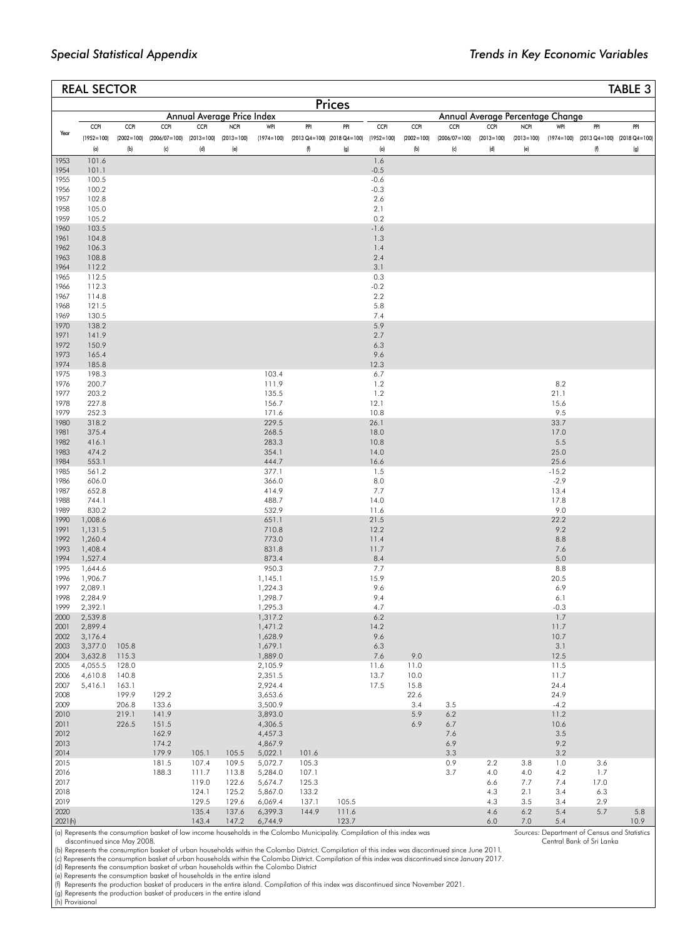|                     | <b>REAL SECTOR</b>    |                |                                                               |                |                            |                    |                |                                                                           |                  |                     |                                  |                     |                     |                |                                                                     | TABLE 3 |
|---------------------|-----------------------|----------------|---------------------------------------------------------------|----------------|----------------------------|--------------------|----------------|---------------------------------------------------------------------------|------------------|---------------------|----------------------------------|---------------------|---------------------|----------------|---------------------------------------------------------------------|---------|
|                     |                       |                |                                                               |                |                            |                    |                | <b>Prices</b>                                                             |                  |                     |                                  |                     |                     |                |                                                                     |         |
|                     |                       |                |                                                               |                | Annual Average Price Index |                    |                |                                                                           |                  |                     | Annual Average Percentage Change |                     |                     |                |                                                                     |         |
| Year                | <b>CCPI</b>           | <b>CCPI</b>    | <b>CCPI</b>                                                   | <b>CCPI</b>    | <b>NCPI</b>                | WPI                | PPI            | PPI                                                                       | <b>CCPI</b>      | <b>CCPI</b>         | <b>CCPI</b>                      | <b>CCPI</b>         | <b>NCPI</b>         | WPI            | PPI                                                                 | PPI     |
|                     | $(1952 = 100)$<br>(a) | (b)            | $(2002=100)$ $(2006/07=100)$ $(2013=100)$ $(2013=100)$<br>(c) | (d)            | (e)                        | $(1974=100)$       | (f)            | $(2013 \text{ Q4} = 100)$ $(2018 \text{ Q4} = 100)$ $(1952 = 100)$<br>(g) | (a)              | $(2002=100)$<br>(b) | $(2006/07=100)$<br>(c)           | $(2013=100)$<br>(d) | $(2013=100)$<br>(e) |                | $(1974=100)$ $(2013 \text{ Q4}=100)$ $(2018 \text{ Q4}=100)$<br>(f) | (g)     |
| 1953                | 101.6                 |                |                                                               |                |                            |                    |                |                                                                           | 1.6              |                     |                                  |                     |                     |                |                                                                     |         |
| 1954                | 101.1                 |                |                                                               |                |                            |                    |                |                                                                           | $-0.5$           |                     |                                  |                     |                     |                |                                                                     |         |
| 1955<br>1956        | 100.5<br>100.2        |                |                                                               |                |                            |                    |                |                                                                           | $-0.6$<br>$-0.3$ |                     |                                  |                     |                     |                |                                                                     |         |
| 1957                | 102.8                 |                |                                                               |                |                            |                    |                |                                                                           | 2.6              |                     |                                  |                     |                     |                |                                                                     |         |
| 1958                | 105.0                 |                |                                                               |                |                            |                    |                |                                                                           | 2.1              |                     |                                  |                     |                     |                |                                                                     |         |
| 1959                | 105.2                 |                |                                                               |                |                            |                    |                |                                                                           | 0.2              |                     |                                  |                     |                     |                |                                                                     |         |
| 1960<br>1961        | 103.5<br>104.8        |                |                                                               |                |                            |                    |                |                                                                           | $-1.6$<br>1.3    |                     |                                  |                     |                     |                |                                                                     |         |
| 1962                | 106.3                 |                |                                                               |                |                            |                    |                |                                                                           | 1.4              |                     |                                  |                     |                     |                |                                                                     |         |
| 1963                | 108.8                 |                |                                                               |                |                            |                    |                |                                                                           | 2.4              |                     |                                  |                     |                     |                |                                                                     |         |
| 1964<br>1965        | 112.2<br>112.5        |                |                                                               |                |                            |                    |                |                                                                           | 3.1<br>0.3       |                     |                                  |                     |                     |                |                                                                     |         |
| 1966                | 112.3                 |                |                                                               |                |                            |                    |                |                                                                           | $-0.2$           |                     |                                  |                     |                     |                |                                                                     |         |
| 1967                | 114.8                 |                |                                                               |                |                            |                    |                |                                                                           | 2.2              |                     |                                  |                     |                     |                |                                                                     |         |
| 1968                | 121.5                 |                |                                                               |                |                            |                    |                |                                                                           | 5.8              |                     |                                  |                     |                     |                |                                                                     |         |
| 1969<br>1970        | 130.5<br>138.2        |                |                                                               |                |                            |                    |                |                                                                           | 7.4<br>5.9       |                     |                                  |                     |                     |                |                                                                     |         |
| 1971                | 141.9                 |                |                                                               |                |                            |                    |                |                                                                           | 2.7              |                     |                                  |                     |                     |                |                                                                     |         |
| 1972                | 150.9                 |                |                                                               |                |                            |                    |                |                                                                           | 6.3              |                     |                                  |                     |                     |                |                                                                     |         |
| 1973                | 165.4                 |                |                                                               |                |                            |                    |                |                                                                           | 9.6              |                     |                                  |                     |                     |                |                                                                     |         |
| 1974<br>1975        | 185.8<br>198.3        |                |                                                               |                |                            | 103.4              |                |                                                                           | 12.3<br>6.7      |                     |                                  |                     |                     |                |                                                                     |         |
| 1976                | 200.7                 |                |                                                               |                |                            | 111.9              |                |                                                                           | 1.2              |                     |                                  |                     |                     | 8.2            |                                                                     |         |
| 1977                | 203.2                 |                |                                                               |                |                            | 135.5              |                |                                                                           | 1.2              |                     |                                  |                     |                     | 21.1           |                                                                     |         |
| 1978<br>1979        | 227.8<br>252.3        |                |                                                               |                |                            | 156.7<br>171.6     |                |                                                                           | 12.1<br>10.8     |                     |                                  |                     |                     | 15.6<br>9.5    |                                                                     |         |
| 1980                | 318.2                 |                |                                                               |                |                            | 229.5              |                |                                                                           | 26.1             |                     |                                  |                     |                     | 33.7           |                                                                     |         |
| 1981                | 375.4                 |                |                                                               |                |                            | 268.5              |                |                                                                           | 18.0             |                     |                                  |                     |                     | 17.0           |                                                                     |         |
| 1982<br>1983        | 416.1<br>474.2        |                |                                                               |                |                            | 283.3<br>354.1     |                |                                                                           | 10.8<br>14.0     |                     |                                  |                     |                     | 5.5<br>25.0    |                                                                     |         |
| 1984                | 553.1                 |                |                                                               |                |                            | 444.7              |                |                                                                           | 16.6             |                     |                                  |                     |                     | 25.6           |                                                                     |         |
| 1985                | 561.2                 |                |                                                               |                |                            | 377.1              |                |                                                                           | 1.5              |                     |                                  |                     |                     | $-15.2$        |                                                                     |         |
| 1986<br>1987        | 606.0<br>652.8        |                |                                                               |                |                            | 366.0<br>414.9     |                |                                                                           | 8.0<br>7.7       |                     |                                  |                     |                     | $-2.9$<br>13.4 |                                                                     |         |
| 1988                | 744.1                 |                |                                                               |                |                            | 488.7              |                |                                                                           | 14.0             |                     |                                  |                     |                     | 17.8           |                                                                     |         |
| 1989                | 830.2                 |                |                                                               |                |                            | 532.9              |                |                                                                           | 11.6             |                     |                                  |                     |                     | 9.0            |                                                                     |         |
| 1990<br>1991        | 1,008.6<br>1,131.5    |                |                                                               |                |                            | 651.1<br>710.8     |                |                                                                           | 21.5<br>12.2     |                     |                                  |                     |                     | 22.2<br>9.2    |                                                                     |         |
| 1992                | 1,260.4               |                |                                                               |                |                            | 773.0              |                |                                                                           | 11.4             |                     |                                  |                     |                     | 8.8            |                                                                     |         |
| 1993                | 1,408.4               |                |                                                               |                |                            | 831.8              |                |                                                                           | 11.7             |                     |                                  |                     |                     | 7.6            |                                                                     |         |
| 1994<br>1995        | 1,527.4<br>1,644.6    |                |                                                               |                |                            | 873.4<br>950.3     |                |                                                                           | 8.4<br>7.7       |                     |                                  |                     |                     | 5.0<br>8.8     |                                                                     |         |
| 1996                | 1,906.7               |                |                                                               |                |                            | 1,145.1            |                |                                                                           | 15.9             |                     |                                  |                     |                     | 20.5           |                                                                     |         |
| 1997                | 2,089.1               |                |                                                               |                |                            | 1,224.3            |                |                                                                           | 9.6              |                     |                                  |                     |                     | 6.9            |                                                                     |         |
| 1998<br>1999        | 2,284.9<br>2,392.1    |                |                                                               |                |                            | 1,298.7<br>1,295.3 |                |                                                                           | 9.4<br>4.7       |                     |                                  |                     |                     | 6.1<br>$-0.3$  |                                                                     |         |
| 2000                | 2,539.8               |                |                                                               |                |                            | 1,317.2            |                |                                                                           | 6.2              |                     |                                  |                     |                     | 1.7            |                                                                     |         |
| 2001                | 2,899.4               |                |                                                               |                |                            | 1,471.2            |                |                                                                           | 14.2             |                     |                                  |                     |                     | 11.7           |                                                                     |         |
| 2002<br>2003        | 3,176.4<br>3,377.0    | 105.8          |                                                               |                |                            | 1,628.9<br>1,679.1 |                |                                                                           | 9.6<br>6.3       |                     |                                  |                     |                     | 10.7<br>3.1    |                                                                     |         |
| 2004                | 3,632.8               | 115.3          |                                                               |                |                            | 1,889.0            |                |                                                                           | 7.6              | 9.0                 |                                  |                     |                     | 12.5           |                                                                     |         |
| 2005                | 4,055.5               | 128.0          |                                                               |                |                            | 2,105.9            |                |                                                                           | 11.6             | 11.0                |                                  |                     |                     | 11.5           |                                                                     |         |
| 2006<br>2007        | 4,610.8<br>5,416.1    | 140.8<br>163.1 |                                                               |                |                            | 2,351.5<br>2,924.4 |                |                                                                           | 13.7<br>17.5     | 10.0<br>15.8        |                                  |                     |                     | 11.7<br>24.4   |                                                                     |         |
| 2008                |                       | 199.9          | 129.2                                                         |                |                            | 3,653.6            |                |                                                                           |                  | 22.6                |                                  |                     |                     | 24.9           |                                                                     |         |
| 2009                |                       | 206.8          | 133.6                                                         |                |                            | 3,500.9            |                |                                                                           |                  | 3.4                 | 3.5                              |                     |                     | $-4.2$         |                                                                     |         |
| 2010                |                       | 219.1<br>226.5 | 141.9                                                         |                |                            | 3,893.0            |                |                                                                           |                  | 5.9<br>6.9          | $6.2\,$                          |                     |                     | 11.2           |                                                                     |         |
| 2011<br>2012        |                       |                | 151.5<br>162.9                                                |                |                            | 4,306.5<br>4,457.3 |                |                                                                           |                  |                     | 6.7<br>7.6                       |                     |                     | 10.6<br>3.5    |                                                                     |         |
| 2013                |                       |                | 174.2                                                         |                |                            | 4,867.9            |                |                                                                           |                  |                     | 6.9                              |                     |                     | 9.2            |                                                                     |         |
| 2014<br>2015        |                       |                | 179.9<br>181.5                                                | 105.1          | 105.5                      | 5,022.1            | 101.6<br>105.3 |                                                                           |                  |                     | 3.3<br>0.9                       |                     |                     | 3.2            | 3.6                                                                 |         |
| 2016                |                       |                | 188.3                                                         | 107.4<br>111.7 | 109.5<br>113.8             | 5,072.7<br>5,284.0 | 107.1          |                                                                           |                  |                     | 3.7                              | 2.2<br>4.0          | 3.8<br>4.0          | 1.0<br>4.2     | 1.7                                                                 |         |
| 2017                |                       |                |                                                               | 119.0          | 122.6                      | 5,674.7            | 125.3          |                                                                           |                  |                     |                                  | 6.6                 | 7.7                 | 7.4            | 17.0                                                                |         |
| 2018<br>2019        |                       |                |                                                               | 124.1<br>129.5 | 125.2<br>129.6             | 5,867.0<br>6,069.4 | 133.2<br>137.1 | 105.5                                                                     |                  |                     |                                  | 4.3<br>4.3          | 2.1<br>3.5          | 3.4<br>3.4     | 6.3<br>2.9                                                          |         |
| 2020                |                       |                |                                                               | 135.4          | 137.6                      | 6,399.3            | 144.9          | 111.6                                                                     |                  |                     |                                  | 4.6                 | 6.2                 | 5.4            | 5.7                                                                 | 5.8     |
| 2021(h)<br>$(4)$ D. |                       |                |                                                               | 143.4          | 147.2                      | 6,744.9<br>$\sim$  |                | 123.7                                                                     |                  |                     |                                  | 6.0                 | 7.0                 | 5.4            |                                                                     | 10.9    |

t of low income households in the Colombo Municipality. Compilation of this index was discontinued since May 2008.

*Sources:* Department of Census and Statistics Central Bank of Sri Lanka

(b) Represents the consumption basket of urban households within the Colombo District. Compilation of this index was discontinued since June 2011.

(c) Represents the consumption basket of urban households within the Colombo District. Compilation of this index was discontinued since January 2017.<br>(d) Represents the consumption basket of urban households within the Col

(f) Represents the production basket of producers in the entire island. Compilation of this index was discontinued since November 2021.

(g) Represents the production basket of producers in the entire island (h) Provisional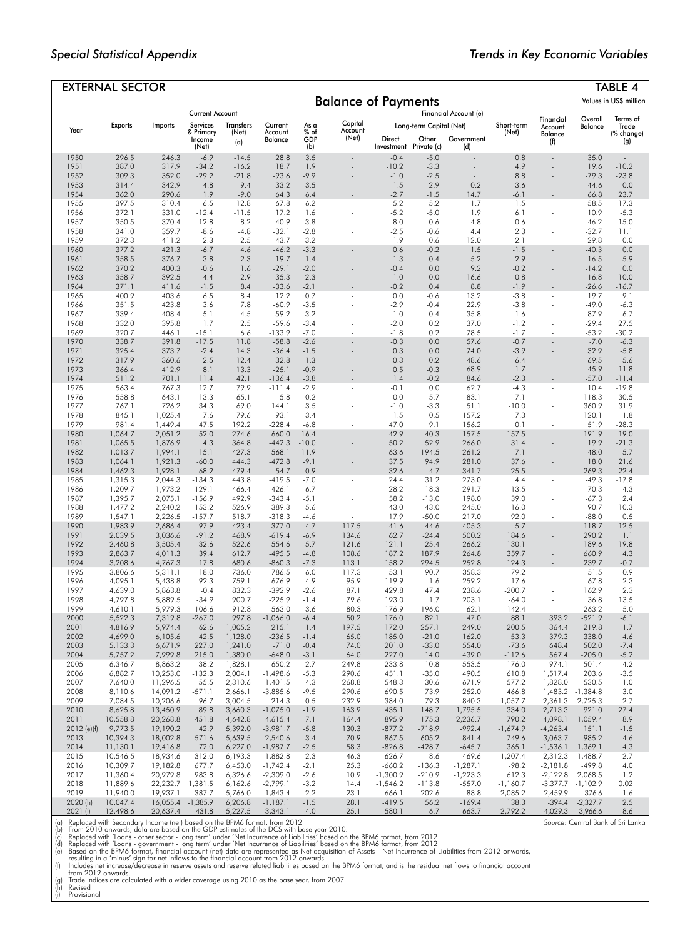*Source*: Central Bank of Sri Lanka

|               | <b>EXTERNAL SECTOR</b> |                      |                              |                    |                          |                    |                            |                      |                         |                          |                       |                              |                        | TABLE 4                |
|---------------|------------------------|----------------------|------------------------------|--------------------|--------------------------|--------------------|----------------------------|----------------------|-------------------------|--------------------------|-----------------------|------------------------------|------------------------|------------------------|
|               |                        |                      |                              |                    |                          |                    | <b>Balance of Payments</b> |                      |                         |                          |                       |                              |                        | Values in US\$ million |
|               |                        |                      | Current Account              |                    |                          |                    |                            |                      |                         | Financial Account (e)    |                       |                              |                        |                        |
|               | <b>Exports</b>         | Imports              | Services                     | Transfers          | Current                  | As a               | Capital                    |                      | Long-term Capital (Net) |                          | Short-term            | Financial<br>Account         | Overall<br>Balance     | Terms of<br>Trade      |
| Year          |                        |                      | & Primary<br>Income<br>(Net) | (Net)<br>(a)       | Account<br>Balance       | % of<br>GDP<br>(b) | Account<br>(Net)           | Direct<br>Investment | Other<br>Private (c)    | Government<br>(d)        | (Net)                 | Balance<br>(f)               |                        | (% change)<br>(g)      |
| 1950          | 296.5                  | 246.3                | $-6.9$                       | $-14.5$            | 28.8                     | 3.5                | $\Box$                     | $-0.4$               | $-5.0$                  | $\overline{a}$           | 0.8                   | $\overline{\phantom{a}}$     | 35.0                   |                        |
| 1951          | 387.0                  | 317.9                | $-34.2$                      | $-16.2$            | 18.7                     | 1.9                |                            | $-10.2$              | $-3.3$                  | $\overline{\phantom{a}}$ | 4.9                   | ÷                            | 19.6                   | $-10.2$                |
| 1952          | 309.3                  | 352.0                | $-29.2$                      | $-21.8$            | $-93.6$                  | $-9.9$             |                            | $-1.0$               | $-2.5$                  | $\overline{a}$           | 8.8                   |                              | $-79.3$                | $-23.8$                |
| 1953<br>1954  | 314.4<br>362.0         | 342.9<br>290.6       | 4.8<br>1.9                   | $-9.4$<br>$-9.0$   | $-33.2$<br>64.3          | $-3.5$<br>6.4      |                            | $-1.5$<br>$-2.7$     | $-2.9$<br>$-1.5$        | $-0.2$<br>14.7           | $-3.6$<br>-6.1        |                              | $-44.6$<br>66.8        | 0.0<br>23.7            |
| 1955          | 397.5                  | 310.4                | $-6.5$                       | $-12.8$            | 67.8                     | 6.2                | ٠                          | $-5.2$               | $-5.2$                  | 1.7                      | $-1.5$                | ÷,                           | 58.5                   | 17.3                   |
| 1956          | 372.1                  | 331.0                | $-12.4$                      | $-11.5$            | 17.2                     | 1.6                |                            | $-5.2$               | $-5.0$                  | 1.9                      | 6.1                   | ä,                           | 10.9                   | $-5.3$                 |
| 1957          | 350.5                  | 370.4                | $-12.8$                      | $-8.2$             | $-40.9$                  | $-3.8$             |                            | $-8.0$               | $-0.6$                  | 4.8                      | 0.6                   | ä,                           | $-46.2$                | $-15.0$                |
| 1958          | 341.0                  | 359.7                | $-8.6$                       | $-4.8$             | $-32.1$                  | $-2.8$             |                            | $-2.5$               | $-0.6$                  | 4.4                      | 2.3                   |                              | $-32.7$                | 11.1                   |
| 1959          | 372.3                  | 411.2                | $-2.3$                       | $-2.5$             | $-43.7$                  | $-3.2$             |                            | $-1.9$               | 0.6                     | 12.0                     | 2.1                   |                              | $-29.8$                | 0.0                    |
| 1960<br>1961  | 377.2<br>358.5         | 421.3<br>376.7       | -6.7<br>$-3.8$               | 4.6<br>2.3         | $-46.2$<br>$-19.7$       | $-3.3$<br>$-1.4$   |                            | 0.6<br>$-1.3$        | $-0.2$<br>$-0.4$        | 1.5<br>5.2               | $-1.5$<br>2.9         |                              | $-40.3$<br>$-16.5$     | 0.0<br>$-5.9$          |
| 1962          | 370.2                  | 400.3                | $-0.6$                       | 1.6                | $-29.1$                  | $-2.0$             |                            | $-0.4$               | 0.0                     | 9.2                      | $-0.2$                |                              | $-14.2$                | 0.0                    |
| 1963          | 358.7                  | 392.5                | $-4.4$                       | 2.9                | $-35.3$                  | $-2.3$             |                            | 1.0                  | 0.0                     | 16.6                     | $-0.8$                | ä,                           | $-16.8$                | $-10.0$                |
| 1964          | 371.1                  | 411.6                | $-1.5$                       | 8.4                | $-33.6$                  | $-2.1$             |                            | $-0.2$               | 0.4                     | 8.8                      | $-1.9$                |                              | $-26.6$                | $-16.7$                |
| 1965          | 400.9                  | 403.6                | 6.5                          | 8.4                | 12.2                     | 0.7                | ٠                          | 0.0                  | $-0.6$                  | 13.2                     | $-3.8$                | ÷,                           | 19.7                   | 9.1                    |
| 1966          | 351.5                  | 423.8                | 3.6                          | 7.8                | $-60.9$                  | $-3.5$             |                            | $-2.9$               | $-0.4$                  | 22.9                     | $-3.8$                | í,                           | $-49.0$                | $-6.3$                 |
| 1967<br>1968  | 339.4<br>332.0         | 408.4<br>395.8       | 5.1<br>1.7                   | 4.5<br>2.5         | $-59.2$<br>$-59.6$       | $-3.2$<br>$-3.4$   |                            | $-1.0$<br>$-2.0$     | $-0.4$<br>0.2           | 35.8<br>37.0             | 1.6<br>$-1.2$         | í,                           | 87.9<br>$-29.4$        | $-6.7$<br>27.5         |
| 1969          | 320.7                  | 446.1                | $-15.1$                      | 6.6                | $-133.9$                 | $-7.0$             |                            | $-1.8$               | 0.2                     | 78.5                     | $-1.7$                |                              | $-53.2$                | $-30.2$                |
| 1970          | 338.7                  | 391.8                | $-17.5$                      | 11.8               | $-58.8$                  | $-2.6$             |                            | $-0.3$               | 0.0                     | 57.6                     | $-0.7$                |                              | $-7.0$                 | $-6.3$                 |
| 1971          | 325.4                  | 373.7                | $-2.4$                       | 14.3               | $-36.4$                  | $-1.5$             |                            | 0.3                  | 0.0                     | 74.0                     | $-3.9$                | Ĭ.                           | 32.9                   | $-5.8$                 |
| 1972          | 317.9                  | 360.6                | $-2.5$                       | 12.4               | $-32.8$                  | $-1.3$             |                            | 0.3                  | $-0.2$                  | 48.6                     | $-6.4$                |                              | 69.5                   | $-5.6$                 |
| 1973          | 366.4                  | 412.9                | 8.1                          | 13.3               | $-25.1$                  | $-0.9$             |                            | 0.5                  | $-0.3$                  | 68.9                     | $-1.7$<br>$-2.3$      | ä,                           | 45.9                   | $-11.8$                |
| 1974<br>1975  | 511.2<br>563.4         | 701.1<br>767.3       | 11.4<br>12.7                 | 42.1<br>79.9       | $-136.4$<br>-111.4       | $-3.8$<br>$-2.9$   | ä,                         | 1.4<br>-0.1          | $-0.2$<br>0.0           | 84.6<br>62.7             | $-4.3$                | ÷,                           | $-57.0$<br>10.4        | $-11.4$<br>$-19.8$     |
| 1976          | 558.8                  | 643.1                | 13.3                         | 65.1               | $-5.8$                   | $-0.2$             |                            | 0.0                  | $-5.7$                  | 83.1                     | $-7.1$                | ÷,                           | 118.3                  | 30.5                   |
| 1977          | 767.1                  | 726.2                | 34.3                         | 69.0               | 144.1                    | 3.5                |                            | $-1.0$               | $-3.3$                  | 51.1                     | $-10.0$               | ż                            | 360.9                  | 31.9                   |
| 1978          | 845.1                  | 1,025.4              | 7.6                          | 79.6               | $-93.1$                  | $-3.4$             |                            | 1.5                  | 0.5                     | 157.2                    | 7.3                   | ÷,                           | 120.1                  | $-1.8$                 |
| 1979          | 981.4                  | 1,449.4              | 47.5                         | 192.2              | $-228.4$                 | -6.8               |                            | 47.0                 | 9.1                     | 156.2                    | 0.1                   |                              | 51.9                   | $-28.3$                |
| 1980          | 1,064.7                | 2,051.2              | 52.0                         | 274.6              | $-660.0$                 | $-16.4$            |                            | 42.9                 | 40.3                    | 157.5                    | 157.5                 | ä,                           | $-191.9$               | $-19.0$                |
| 1981<br>1982  | 1,065.5<br>1,013.7     | 1,876.9<br>1,994.1   | 4.3<br>$-15.1$               | 364.8<br>427.3     | $-442.3$<br>$-568.1$     | $-10.0$<br>$-11.9$ |                            | 50.2<br>63.6         | 52.9<br>194.5           | 266.0<br>261.2           | 31.4<br>7.1           | ÷                            | 19.9<br>$-48.0$        | $-21.3$<br>$-5.7$      |
| 1983          | 1,064.1                | 1,921.3              | $-60.0$                      | 444.3              | $-472.8$                 | $-9.1$             |                            | 37.5                 | 94.9                    | 281.0                    | 37.6                  |                              | 18.0                   | 21.6                   |
| 1984          | 1,462.3                | 1,928.1              | $-68.2$                      | 479.4              | $-54.7$                  | $-0.9$             |                            | 32.6                 | $-4.7$                  | 341.7                    | $-25.5$               |                              | 269.3                  | 22.4                   |
| 1985          | 1,315.3                | 2,044.3              | $-134.3$                     | 443.8              | $-419.5$                 | $-7.0$             |                            | 24.4                 | 31.2                    | 273.0                    | 4.4                   | ä,                           | $-49.3$                | $-17.8$                |
| 1986          | 1,209.7                | 1,973.2              | $-129.1$                     | 466.4              | $-426.1$                 | $-6.7$             |                            | 28.2                 | 18.3                    | 291.7                    | $-13.5$               | ÷,                           | $-70.3$                | $-4.3$                 |
| 1987<br>1988  | 1,395.7                | 2,075.1              | $-156.9$                     | 492.9              | $-343.4$<br>$-389.3$     | $-5.1$<br>$-5.6$   |                            | 58.2<br>43.0         | $-13.0$<br>$-43.0$      | 198.0                    | 39.0                  |                              | $-67.3$<br>$-90.7$     | 2.4                    |
| 1989          | 1,477.2<br>1,547.1     | 2,240.2<br>2,226.5   | $-153.2$<br>$-157.7$         | 526.9<br>518.7     | $-318.3$                 | -4.6               |                            | 17.9                 | $-50.0$                 | 245.0<br>217.0           | 16.0<br>92.0          |                              | $-88.0$                | $-10.3$<br>0.5         |
| 1990          | 1,983.9                | 2,686.4              | $-97.9$                      | 423.4              | $-377.0$                 | $-4.7$             | 117.5                      | 41.6                 | $-44.6$                 | 405.3                    | $-5.7$                |                              | 118.7                  | $-12.5$                |
| 1991          | 2,039.5                | 3,036.6              | $-91.2$                      | 468.9              | $-619.4$                 | $-6.9$             | 134.6                      | 62.7                 | $-24.4$                 | 500.2                    | 184.6                 |                              | 290.2                  | 1.1                    |
| 1992          | 2,460.8                | 3,505.4              | $-32.6$                      | 522.6              | $-554.6$                 | $-5.7$             | 121.6                      | 121.1                | 25.4                    | 266.2                    | 130.1                 |                              | 189.6                  | 19.8                   |
| 1993          | 2,863.7                | 4,011.3              | 39.4                         | 612.7              | $-495.5$                 | $-4.8$             | 108.6                      | 187.2                | 187.9                   | 264.8                    | 359.7                 | ÷,                           | 660.9                  | 4.3                    |
| 1994<br>1995  | 3,208.6                | 4,767.3              | 17.8<br>$-18.0$              | 680.6<br>736.0     | $-860.3$                 | $-7.3$<br>$-6.0$   | 113.1<br>117.3             | 158.2                | 294.5<br>90.7           | 252.8                    | 124.3<br>79.2         | ä,                           | 239.7                  | $-0.7$<br>$-0.9$       |
| 1996          | 3,806.6<br>4,095.1     | 5,311.1<br>5,438.8   | $-92.3$                      | 759.1              | $-786.5$<br>-676.9       | $-4.9$             | 95.9                       | 53.1<br>119.9        | 1.6                     | 358.3<br>259.2           | $-17.6$               |                              | 51.5<br>$-67.8$        | 2.3                    |
| 1997          | 4,639.0                | 5,863.8              | $-0.4$                       | 832.3              | $-392.9$                 | $-2.6$             | 87.1                       | 429.8                | 47.4                    | 238.6                    | $-200.7$              |                              | 162.9                  | 2.3                    |
| 1998          | 4,797.8                | 5,889.5              | $-34.9$                      | 900.7              | $-225.9$                 | $-1.4$             | 79.6                       | 193.0                | 1.7                     | 203.1                    | $-64.0$               |                              | 36.8                   | 13.5                   |
| 1999          | 4,610.1                | 5,979.3              | $-106.6$                     | 912.8              | $-563.0$                 | $-3.6$             | 80.3                       | 176.9                | 196.0                   | 62.1                     | $-142.4$              |                              | $-263.2$               | $-5.0$                 |
| 2000          | 5,522.3                | 7,319.8              | $-267.0$                     | 997.8              | $-1,066.0$               | $-6.4$             | 50.2                       | 176.0                | 82.1                    | 47.0                     | 88.1                  | 393.2                        | $-521.9$               | $-6.1$                 |
| 2001<br>2002  | 4,816.9<br>4,699.0     | 5,974.4<br>6,105.6   | $-62.6$<br>42.5              | 1,005.2<br>1,128.0 | $-215.1$<br>$-236.5$     | $-1.4$<br>$-1.4$   | 197.5<br>65.0              | 172.0<br>185.0       | $-257.1$<br>$-21.0$     | 249.0<br>162.0           | 200.5<br>53.3         | 364.4<br>379.3               | 219.8<br>338.0         | $-1.7$<br>4.6          |
| 2003          | 5,133.3                | 6,671.9              | 227.0                        | 1,241.0            | $-71.0$                  | $-0.4$             | 74.0                       | 201.0                | $-33.0$                 | 554.0                    | $-73.6$               | 648.4                        | 502.0                  | $-7.4$                 |
| 2004          | 5,757.2                | 7,999.8              | 215.0                        | 1,380.0            | $-648.0$                 | $-3.1$             | 64.0                       | 227.0                | 14.0                    | 439.0                    | $-112.6$              | 567.4                        | $-205.0$               | $-5.2$                 |
| 2005          | 6,346.7                | 8,863.2              | 38.2                         | 1,828.1            | $-650.2$                 | $-2.7$             | 249.8                      | 233.8                | 10.8                    | 553.5                    | 176.0                 | 974.1                        | 501.4                  | $-4.2$                 |
| 2006          | 6,882.7                | 10,253.0             | $-132.3$                     | 2,004.1            | $-1,498.6$               | $-5.3$             | 290.6                      | 451.1                | $-35.0$                 | 490.5                    | 610.8                 | 1,517.4                      | 203.6                  | $-3.5$                 |
| 2007          | 7,640.0                | 11,296.5             | $-55.5$                      | 2,310.6            | $-1,401.5$               | $-4.3$             | 268.8                      | 548.3                | 30.6                    | 671.9                    | 577.2                 | 1,828.0                      | 530.5                  | $-1.0$                 |
| 2008<br>2009  | 8,110.6<br>7,084.5     | 14,091.2<br>10,206.6 | -571.1<br>$-96.7$            | 2,666.1<br>3,004.5 | $-3,885.6$<br>$-214.3$   | $-9.5$<br>$-0.5$   | 290.6<br>232.9             | 690.5<br>384.0       | 73.9<br>79.3            | 252.0<br>840.3           | 466.8<br>1,057.7      | 1,483.2 - 1,384.8<br>2,361.3 |                        | 3.0<br>$-2.7$          |
| 2010          | 8,625.8                | 13,450.9             | 89.8                         | 3,660.3            | $-1,075.0$               | $-1.9$             | 163.9                      | 435.1                | 148.7                   | 1,795.5                  | 334.0                 | 2,713.3                      | 2,725.3<br>921.0       | 27.4                   |
| 2011          | 10,558.8               | 20,268.8             | 451.8                        | 4,642.8            | $-4,615.4$               | $-7.1$             | 164.4                      | 895.9                | 175.3                   | 2,236.7                  | 790.2                 | 4,098.1 - 1,059.4            |                        | $-8.9$                 |
| $2012$ (e)(f) | 9,773.5                | 19,190.2             | 42.9                         | 5,392.0            | $-3,981.7$               | $-5.8$             | 130.3                      | $-877.2$             | $-718.9$                | $-992.4$                 | $-1,674.9$            | $-4,263.4$                   | 151.1                  | $-1.5$                 |
| 2013          | 10,394.3               | 18,002.8             | $-571.6$                     | 5,639.5            | $-2,540.6$               | $-3.4$             | 70.9                       | $-867.5$             | $-605.2$                | $-841.4$                 | $-749.6$              | $-3,063.7$                   | 985.2                  | 4.6                    |
| 2014          | 11,130.1               | 19,416.8             | 72.0                         | 6,227.0            | $-1,987.7$               | $-2.5$             | 58.3                       | $-826.8$             | $-428.7$                | $-645.7$                 | 365.1                 | $-1,536.1$                   | 1,369.1                | 4.3                    |
| 2015<br>2016  | 10,546.5<br>10,309.7   | 18,934.6<br>19,182.8 | 312.0<br>677.7               | 6,193.3<br>6,453.0 | $-1,882.8$<br>$-1,742.4$ | $-2.3$<br>$-2.1$   | 46.3<br>25.3               | $-626.7$<br>$-660.2$ | $-8.6$<br>$-136.3$      | $-469.6$<br>$-1,287.1$   | $-1,207.4$<br>$-98.2$ | $-2,312.3$<br>$-2,181.8$     | $-1,488.7$<br>$-499.8$ | 2.7<br>4.0             |
| 2017          | 11,360.4               | 20,979.8             | 983.8                        | 6,326.6            | $-2,309.0$               | $-2.6$             | 10.9                       | $-1,300.9$           | $-210.9$                | $-1,223.3$               | 612.3                 | $-2,122.8$                   | 2,068.5                | 1.2                    |
| 2018          | 11,889.6               | 22,232.7             | 1,381.5                      | 6,162.6            | $-2,799.1$               | $-3.2$             | 14.4                       | $-1,546.2$           | $-113.8$                | $-557.0$                 | $-1,160.7$            | $-3,377.7 -1,102.9$          |                        | 0.02                   |
| 2019          | 11,940.0               | 19,937.1             | 387.7                        | 5,766.0            | $-1,843.4$               | $-2.2$             | 23.1                       | $-666.1$             | 202.6                   | 88.8                     | $-2,085.2$            | $-2,459.9$                   | 376.6                  | $-1.6$                 |
| 2020 (h)      | 10,047.4               | 16,055.4 - 1,385.9   |                              | 6,206.8            | $-1,187.1$               | $-1.5$             | 28.1                       | $-419.5$             | 56.2                    | $-169.4$                 | 138.3                 |                              | $-394.4 -2,327.7$      | 2.5                    |
| 2021 (i)      | 12,498.6               | 20,637.4             | $-431.8$                     | 5,227.5            | $-3,343.1$               | $-4.0$             | 25.1                       | $-580.1$             | 6.7                     | $-663.7$                 | $-2,792.2$            | $-4,029.3$ $-3,966.6$        |                        | $-8.6$                 |

(a) Replaced with Secondary Income (net) based on the BPM6 format, from 2012<br>
(b) From 2010 onwards, data are based on the GDP estimates of the DCS with base year 2010.<br>
(c) Replaced with 'Loans - other sector - long term'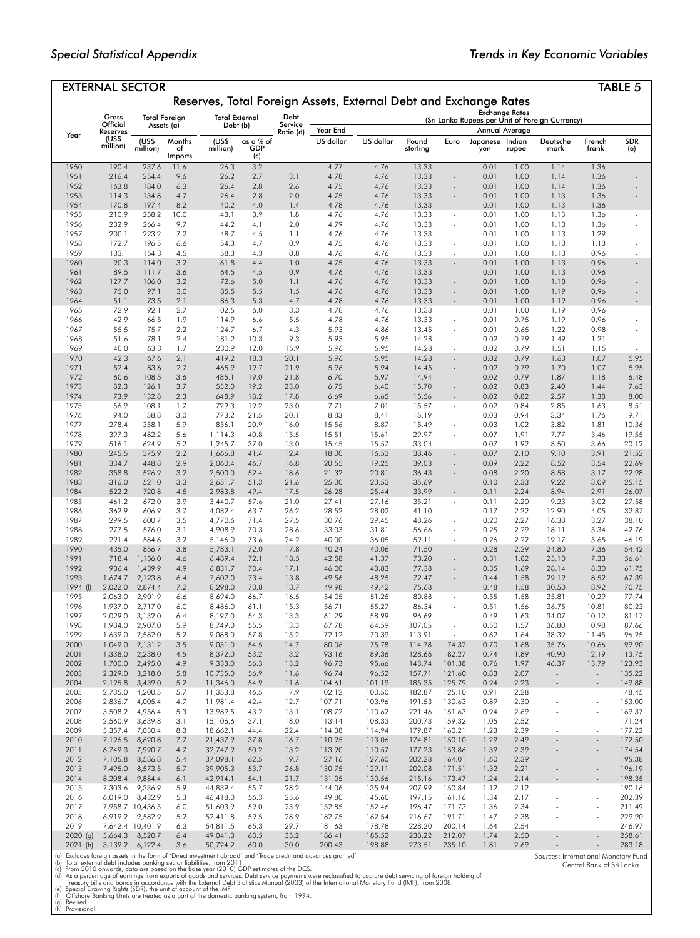*Sources*: International Monetary Fund Central Bank of Sri Lanka

|                       | <b>EXTERNAL SECTOR</b>                                                                                                                                                                                                                                                                                                  |                            |               |                      |              |              |                  |                  |                  |                                    |                 |              |                                |                                                      | <b>TABLE 5</b>   |
|-----------------------|-------------------------------------------------------------------------------------------------------------------------------------------------------------------------------------------------------------------------------------------------------------------------------------------------------------------------|----------------------------|---------------|----------------------|--------------|--------------|------------------|------------------|------------------|------------------------------------|-----------------|--------------|--------------------------------|------------------------------------------------------|------------------|
|                       | Reserves, Total Foreign Assets, External Debt and Exchange Rates<br><b>Exchange Rates</b><br>Gross<br>Debt<br><b>Total External</b><br>Total Foreign<br>(Sri Lanka Rupees per Unit of Foreign Currency)<br>Official<br>Service<br>Assets (a)<br>Debt (b)<br>Year End<br>Annual Average<br>Reserves<br>Ratio (d)<br>Year |                            |               |                      |              |              |                  |                  |                  |                                    |                 |              |                                |                                                      |                  |
|                       |                                                                                                                                                                                                                                                                                                                         |                            |               |                      |              |              |                  |                  |                  |                                    |                 |              |                                |                                                      |                  |
|                       |                                                                                                                                                                                                                                                                                                                         |                            |               |                      |              |              |                  |                  |                  |                                    |                 |              |                                |                                                      |                  |
|                       | (US\$                                                                                                                                                                                                                                                                                                                   | (US\$                      | Months        | (US\$                | as a % of    |              | US dollar        | US dollar        | Pound            | Euro                               | Japanese Indian |              | Deutsche                       | French                                               | <b>SDR</b>       |
|                       | million)                                                                                                                                                                                                                                                                                                                | million)                   | of<br>Imports | million)             | GDP<br>(c)   |              |                  |                  | sterling         |                                    | yen             | rupee        | mark                           | frank                                                | (e)              |
| 1950                  | 190.4                                                                                                                                                                                                                                                                                                                   | 237.6                      | 11.6          | 26.3                 | 3.2          |              | 4.77             | 4.76             | 13.33            |                                    | 0.01            | 1.00         | 1.14                           | 1.36                                                 |                  |
| 1951                  | 216.4                                                                                                                                                                                                                                                                                                                   | 254.4                      | 9.6           | 26.2                 | 2.7          | 3.1          | 4.78             | 4.76             | 13.33            | $\sim$                             | 0.01            | 1.00         | 1.14                           | 1.36                                                 |                  |
| 1952<br>1953          | 163.8<br>114.3                                                                                                                                                                                                                                                                                                          | 184.0<br>134.8             | 6.3<br>4.7    | 26.4<br>26.4         | 2.8<br>2.8   | 2.6<br>2.0   | 4.75<br>4.75     | 4.76<br>4.76     | 13.33<br>13.33   | $\sim$                             | 0.01<br>0.01    | 1.00<br>1.00 | 1.14<br>1.13                   | 1.36<br>1.36                                         |                  |
| 1954                  | 170.8                                                                                                                                                                                                                                                                                                                   | 197.4                      | 8.2           | 40.2                 | 4.0          | 1.4          | 4.78             | 4.76             | 13.33            |                                    | 0.01            | 1.00         | 1.13                           | 1.36                                                 |                  |
| 1955                  | 210.9                                                                                                                                                                                                                                                                                                                   | 258.2                      | 10.0          | 43.1                 | 3.9          | 1.8          | 4.76             | 4.76             | 13.33            | $\sim$                             | 0.01            | 1.00         | 1.13                           | 1.36                                                 |                  |
| 1956                  | 232.9                                                                                                                                                                                                                                                                                                                   | 266.4                      | 9.7           | 44.2                 | 4.1          | 2.0          | 4.79             | 4.76             | 13.33            | $\sim$                             | 0.01            | 1.00         | 1.13                           | 1.36                                                 |                  |
| 1957<br>1958          | 200.1<br>172.7                                                                                                                                                                                                                                                                                                          | 223.2<br>196.5             | 7.2<br>6.6    | 48.7<br>54.3         | 4.5<br>4.7   | 1.1<br>0.9   | 4.76<br>4.75     | 4.76<br>4.76     | 13.33<br>13.33   | ÷,<br>$\overline{\phantom{a}}$     | 0.01<br>0.01    | 1.00<br>1.00 | 1.13<br>1.13                   | 1.29<br>1.13                                         |                  |
| 1959                  | 133.1                                                                                                                                                                                                                                                                                                                   | 154.3                      | 4.5           | 58.3                 | 4.3          | 0.8          | 4.76             | 4.76             | 13.33            |                                    | 0.01            | 1.00         | 1.13                           | 0.96                                                 |                  |
| 1960                  | 90.3                                                                                                                                                                                                                                                                                                                    | 114.0                      | 3.2           | 61.8                 | 4.4          | 1.0          | 4.75             | 4.76             | 13.33            |                                    | 0.01            | 1.00         | 1.13                           | 0.96                                                 |                  |
| 1961<br>1962          | 89.5                                                                                                                                                                                                                                                                                                                    | 111.7<br>106.0             | 3.6           | 64.5                 | 4.5<br>5.0   | 0.9          | 4.76             | 4.76             | 13.33            |                                    | 0.01            | 1.00         | 1.13<br>1.18                   | 0.96                                                 |                  |
| 1963                  | 127.7<br>75.0                                                                                                                                                                                                                                                                                                           | 97.1                       | 3.2<br>3.0    | 72.6<br>85.5         | 5.5          | 1.1<br>1.5   | 4.76<br>4.76     | 4.76<br>4.76     | 13.33<br>13.33   | $\sim$                             | 0.01<br>0.01    | 1.00<br>1.00 | 1.19                           | 0.96<br>0.96                                         |                  |
| 1964                  | 51.1                                                                                                                                                                                                                                                                                                                    | 73.5                       | 2.1           | 86.3                 | 5.3          | 4.7          | 4.78             | 4.76             | 13.33            |                                    | 0.01            | 1.00         | 1.19                           | 0.96                                                 |                  |
| 1965                  | 72.9                                                                                                                                                                                                                                                                                                                    | 92.1                       | 2.7           | 102.5                | 6.0          | 3.3          | 4.78             | 4.76             | 13.33            | ÷.                                 | 0.01            | 1.00         | 1.19                           | 0.96                                                 |                  |
| 1966<br>1967          | 42.9<br>55.5                                                                                                                                                                                                                                                                                                            | 66.5<br>75.7               | 1.9<br>2.2    | 114.9<br>124.7       | 6.6<br>6.7   | 5.5<br>4.3   | 4.78<br>5.93     | 4.76<br>4.86     | 13.33<br>13.45   | $\sim$                             | 0.01<br>0.01    | 0.75<br>0.65 | 1.19<br>1.22                   | 0.96<br>0.98                                         | ٠                |
| 1968                  | 51.6                                                                                                                                                                                                                                                                                                                    | 78.1                       | 2.4           | 181.2                | 10.3         | 9.3          | 5.93             | 5.95             | 14.28            |                                    | 0.02            | 0.79         | 1.49                           | 1.21                                                 |                  |
| 1969                  | 40.0                                                                                                                                                                                                                                                                                                                    | 63.3                       | 1.7           | 230.9                | 12.0         | 15.9         | 5.96             | 5.95             | 14.28            | $\overline{\phantom{a}}$           | 0.02            | 0.79         | 1.51                           | 1.15                                                 | $\sim$           |
| 1970                  | 42.3                                                                                                                                                                                                                                                                                                                    | 67.6                       | 2.1           | 419.2                | 18.3         | 20.1         | 5.96             | 5.95             | 14.28            |                                    | 0.02            | 0.79         | 1.63                           | 1.07                                                 | 5.95             |
| 1971<br>1972          | 52.4<br>60.6                                                                                                                                                                                                                                                                                                            | 83.6<br>108.5              | 2.7<br>3.6    | 465.9<br>485.1       | 19.7<br>19.0 | 21.9<br>21.8 | 5.96<br>6.70     | 5.94<br>5.97     | 14.45<br>14.94   | $\sim$                             | 0.02<br>0.02    | 0.79<br>0.79 | 1.70<br>1.87                   | 1.07<br>1.18                                         | 5.95<br>6.48     |
| 1973                  | 82.3                                                                                                                                                                                                                                                                                                                    | 126.1                      | 3.7           | 552.0                | 19.2         | 23.0         | 6.75             | 6.40             | 15.70            | $\sim$                             | 0.02            | 0.83         | 2.40                           | 1.44                                                 | 7.63             |
| 1974                  | 73.9                                                                                                                                                                                                                                                                                                                    | 132.8                      | 2.3           | 648.9                | 18.2         | 17.8         | 6.69             | 6.65             | 15.56            |                                    | 0.02            | 0.82         | 2.57                           | 1.38                                                 | 8.00             |
| 1975                  | 56.9                                                                                                                                                                                                                                                                                                                    | 108.1                      | 1.7           | 729.3                | 19.2         | 23.0         | 7.71             | 7.01             | 15.57            | ÷,                                 | 0.02            | 0.84         | 2.85                           | 1.63                                                 | 8.51             |
| 1976<br>1977          | 94.0<br>278.4                                                                                                                                                                                                                                                                                                           | 158.8<br>358.1             | 3.0<br>5.9    | 773.2<br>856.1       | 21.5<br>20.9 | 20.1<br>16.0 | 8.83<br>15.56    | 8.41<br>8.87     | 15.19<br>15.49   | $\sim$<br>$\overline{\phantom{a}}$ | 0.03<br>0.03    | 0.94<br>1.02 | 3.34<br>3.82                   | 1.76<br>1.81                                         | 9.71<br>10.36    |
| 1978                  | 397.3                                                                                                                                                                                                                                                                                                                   | 482.2                      | 5.6           | 1,114.3              | 40.8         | 15.5         | 15.51            | 15.61            | 29.97            | $\overline{\phantom{a}}$           | 0.07            | 1.91         | 7.77                           | 3.46                                                 | 19.55            |
| 1979                  | 516.1                                                                                                                                                                                                                                                                                                                   | 624.9                      | 5.2           | 1,245.7              | 37.0         | 13.0         | 15.45            | 15.57            | 33.04            |                                    | 0.07            | 1.92         | 8.50                           | 3.66                                                 | 20.12            |
| 1980                  | 245.5                                                                                                                                                                                                                                                                                                                   | 375.9                      | 2.2           | 1,666.8              | 41.4         | 12.4         | 18.00            | 16.53            | 38.46            | $\sim$                             | 0.07            | 2.10         | 9.10                           | 3.91                                                 | 21.52            |
| 1981<br>1982          | 334.7<br>358.8                                                                                                                                                                                                                                                                                                          | 448.8<br>526.9             | 2.9<br>3.2    | 2,060.4<br>2,500.0   | 46.7<br>52.4 | 16.8<br>18.6 | 20.55<br>21.32   | 19.25<br>20.81   | 39.03<br>36.43   |                                    | 0.09<br>0.08    | 2.22<br>2.20 | 8.52<br>8.58                   | 3.54<br>3.17                                         | 22.69<br>22.98   |
| 1983                  | 316.0                                                                                                                                                                                                                                                                                                                   | 521.0                      | 3.3           | 2,651.7              | 51.3         | 21.6         | 25.00            | 23.53            | 35.69            | $\sim$                             | 0.10            | 2.33         | 9.22                           | 3.09                                                 | 25.15            |
| 1984                  | 522.2                                                                                                                                                                                                                                                                                                                   | 720.8                      | 4.5           | 2,983.8              | 49.4         | 17.5         | 26.28            | 25.44            | 33.99            |                                    | 0.11            | 2.24         | 8.94                           | 2.91                                                 | 26.07            |
| 1985<br>1986          | 461.2<br>362.9                                                                                                                                                                                                                                                                                                          | 672.0<br>606.9             | 3.9           | 3,440.7              | 57.6         | 21.0         | 27.41<br>28.52   | 27.16<br>28.02   | 35.21            | $\sim$                             | 0.11<br>0.17    | 2.20         | 9.23<br>12.90                  | 3.02                                                 | 27.58<br>32.87   |
| 1987                  | 299.5                                                                                                                                                                                                                                                                                                                   | 600.7                      | 3.7<br>3.5    | 4,082.4<br>4,770.6   | 63.7<br>71.4 | 26.2<br>27.5 | 30.76            | 29.45            | 41.10<br>48.26   | $\sim$                             | 0.20            | 2.22<br>2.27 | 16.38                          | 4.05<br>3.27                                         | 38.10            |
| 1988                  | 277.5                                                                                                                                                                                                                                                                                                                   | 576.0                      | 3.1           | 4,908.9              | 70.3         | 28.6         | 33.03            | 31.81            | 56.66            | ÷,                                 | 0.25            | 2.29         | 18.11                          | 5.34                                                 | 42.76            |
| 1989                  | 291.4                                                                                                                                                                                                                                                                                                                   | 584.6                      | 3.2           | 5,146.0              | 73.6         | 24.2         | 40.00            | 36.05            | 59.11            | $\sim$                             | 0.26            | 2.22         | 19.17                          | 5.65                                                 | 46.19            |
| 1990<br>1991          | 435.0<br>718.4                                                                                                                                                                                                                                                                                                          | 856.7<br>1,156.0           | 3.8<br>4.6    | 5,783.1<br>6,489.4   | 72.0<br>72.1 | 17.8<br>18.5 | 40.24<br>42.58   | 40.06<br>41.37   | 71.50<br>73.20   | $\sim$                             | 0.28<br>0.31    | 2.29<br>1.82 | 24.80<br>25.10                 | 7.36<br>7.33                                         | 54.42<br>56.61   |
| 1992                  | 936.4                                                                                                                                                                                                                                                                                                                   | 1,439.9                    | 4.9           | 6,831.7              | 70.4         | 17.1         | 46.00            | 43.83            | 77.38            | $\sim$                             | 0.35            | 1.69         | 28.14                          | 8.30                                                 | 61.75            |
| 1993                  | 1,674.7                                                                                                                                                                                                                                                                                                                 | 2,123.8                    | 6.4           | 7,602.0              | 73.4         | 13.8         | 49.56            | 48.25            | 72.47            |                                    | 0.44            | 1.58         | 29.19                          | 8.52                                                 | 67.39            |
| 1994 (f)              | 2,022.0                                                                                                                                                                                                                                                                                                                 | 2,874.4                    | 7.2           | 8,298.0              | 70.8         | 13.7         | 49.98            | 49.42            | 75.68            |                                    | 0.48            | 1.58         | 30.50                          | 8.92                                                 | 70.75            |
| 1995<br>1996          | 2.063.0<br>1,937.0                                                                                                                                                                                                                                                                                                      | 2,901.9<br>2,717.0         | 6.6<br>6.0    | 8,694.0<br>8,486.0   | 66.7<br>61.1 | 16.5<br>15.3 | 54.05<br>56.71   | 51.25<br>55.27   | 80.88<br>86.34   | $\sim$                             | 0.55<br>0.51    | 1.58<br>1.56 | 35.81<br>36.75                 | 10.29<br>10.81                                       | 77.74<br>80.23   |
| 1997                  | 2,029.0                                                                                                                                                                                                                                                                                                                 | 3,132.0                    | 6.4           | 8,197.0              | 54.3         | 13.3         | 61.29            | 58.99            | 96.69            |                                    | 0.49            | 1.63         | 34.07                          | 10.12                                                | 81.17            |
| 1998                  | 1,984.0                                                                                                                                                                                                                                                                                                                 | 2,907.0                    | 5.9           | 8,749.0              | 55.5         | 13.3         | 67.78            | 64.59            | 107.05           | $\omega$                           | 0.50            | 1.57         | 36.80                          | 10.98                                                | 87.66            |
| 1999                  | 1,639.0                                                                                                                                                                                                                                                                                                                 | 2,582.0                    | 5.2           | 9,088.0              | 57.8         | 15.2         | 72.12            | 70.39            | 113.91           | $\omega$                           | 0.62            | 1.64         | 38.39                          | 11.45                                                | 96.25            |
| 2000<br>2001          | 1,049.0<br>1,338.0                                                                                                                                                                                                                                                                                                      | 2,131.2<br>2,238.0         | 3.5<br>4.5    | 9,031.0<br>8,372.0   | 54.5<br>53.2 | 14.7<br>13.2 | 80.06<br>93.16   | 75.78<br>89.36   | 114.78<br>128.66 | 74.32<br>82.27                     | 0.70<br>0.74    | 1.68<br>1.89 | 35.76<br>40.90                 | 10.66<br>12.19                                       | 99.90<br>113.75  |
| 2002                  | 1,700.0                                                                                                                                                                                                                                                                                                                 | 2,495.0                    | 4.9           | 9,333.0              | 56.3         | 13.2         | 96.73            | 95.66            | 143.74           | 101.38                             | 0.76            | 1.97         | 46.37                          | 13.79                                                | 123.93           |
| 2003                  | 2,329.0                                                                                                                                                                                                                                                                                                                 | 3,218.0                    | 5.8           | 10,735.0             | 56.9         | 11.6         | 96.74            | 96.52            | 157.71           | 121.60                             | 0.83            | 2.07         | $\sim$                         | $\sim$                                               | 135.22           |
| 2004                  | 2,195.8                                                                                                                                                                                                                                                                                                                 | 3,439.0                    | 5.2           | 11,346.0             | 54.9         | 11.6         | 104.61           | 101.19           | 185.35           | 125.79                             | 0.94            | 2.23         | $\overline{\phantom{a}}$       | $\blacksquare$                                       | 149.88           |
| 2005<br>2006          | 2,735.0<br>2,836.7                                                                                                                                                                                                                                                                                                      | 4,200.5<br>4,005.4         | 5.7<br>4.7    | 11,353.8<br>11,981.4 | 46.5<br>42.4 | 7.9<br>12.7  | 102.12<br>107.71 | 100.50<br>103.96 | 182.87<br>191.53 | 125.10<br>130.63                   | 0.91<br>0.89    | 2.28<br>2.30 | $\ddot{\phantom{1}}$<br>÷,     | $\overline{\phantom{a}}$<br>$\overline{\phantom{a}}$ | 148.45<br>153.00 |
| 2007                  | 3,508.2                                                                                                                                                                                                                                                                                                                 | 4,956.4                    | 5.3           | 13,989.5             | 43.2         | 13.1         | 108.72           | 110.62           | 221.46           | 151.63                             | 0.94            | 2.69         |                                | ÷.                                                   | 169.37           |
| 2008                  | 2,560.9                                                                                                                                                                                                                                                                                                                 | 3,639.8                    | 3.1           | 15,106.6             | 37.1         | 18.0         | 113.14           | 108.33           | 200.73           | 159.32                             | 1.05            | 2.52         | ÷,                             | $\sim$                                               | 171.24           |
| 2009                  | 5,357.4                                                                                                                                                                                                                                                                                                                 | 7,030.4                    | 8.3           | 18,662.1             | 44.4         | 22.4         | 114.38           | 114.94           | 179.87           | 160.21                             | 1.23            | 2.39         | $\sim$                         | ÷,                                                   | 177.22           |
| 2010<br>2011          | 7,196.5<br>6,749.3                                                                                                                                                                                                                                                                                                      | 8,620.8<br>7,990.7         | 7.7<br>4.7    | 21,437.9<br>32,747.9 | 37.8<br>50.2 | 16.7<br>13.2 | 110.95<br>113.90 | 113.06<br>110.57 | 174.81<br>177.23 | 150.10<br>153.86                   | 1.29<br>1.39    | 2.49<br>2.39 | $\sim$<br>÷,                   | $\bar{a}$<br>$\overline{\phantom{a}}$                | 172.50<br>174.54 |
| 2012                  | 7,105.8                                                                                                                                                                                                                                                                                                                 | 8,586.8                    | 5.4           | 37,098.1             | 62.5         | 19.7         | 127.16           | 127.60           | 202.28           | 164.01                             | 1.60            | 2.39         |                                | $\overline{\phantom{a}}$                             | 195.38           |
| 2013                  | 7,495.0                                                                                                                                                                                                                                                                                                                 | 8,573.5                    | 5.7           | 39,905.3             | 53.7         | 26.8         | 130.75           | 129.11           | 202.08           | 171.51                             | 1.32            | 2.21         |                                | $\bar{a}$                                            | 196.19           |
| 2014                  | 8,208.4                                                                                                                                                                                                                                                                                                                 | 9,884.4                    | 6.1           | 42,914.1             | 54.1         | 21.7         | 131.05           | 130.56           | 215.16           | 173.47                             | 1.24            | 2.14         |                                | $\blacksquare$                                       | 198.35           |
| 2015<br>2016          | 7,303.6<br>6,019.0                                                                                                                                                                                                                                                                                                      | 9,336.9<br>8,432.9         | 5.9<br>5.3    | 44,839.4<br>46,418.0 | 55.7<br>56.3 | 28.2<br>25.6 | 144.06<br>149.80 | 135.94<br>145.60 | 207.99<br>197.15 | 150.84<br>161.16                   | 1.12<br>1.34    | 2.12<br>2.17 | $\overline{\phantom{a}}$<br>J. | $\overline{\phantom{a}}$<br>÷,                       | 190.16<br>202.39 |
| 2017                  |                                                                                                                                                                                                                                                                                                                         | 7,958.7 10,436.5           | 6.0           | 51,603.9             | 59.0         | 23.9         | 152.85           | 152.46           | 196.47           | 171.73                             | 1.36            | 2.34         |                                | $\sim$                                               | 211.49           |
| 2018                  |                                                                                                                                                                                                                                                                                                                         | 6,919.2 9,582.9            | 5.2           | 52,411.8             | 59.5         | 28.9         | 182.75           | 162.54           | 216.67           | 191.71                             | 1.47            | 2.38         | $\ddot{\phantom{1}}$           | $\overline{\phantom{a}}$                             | 229.90           |
| 2019                  |                                                                                                                                                                                                                                                                                                                         | 7,642.4 10,401.9           | 6.3<br>6.4    | 54,811.5<br>49,041.3 | 65.3<br>60.5 | 29.7<br>35.2 | 181.63<br>186.41 | 178.78<br>185.52 | 228.20<br>238.22 | 200.14<br>212.07                   | 1.64            | 2.54<br>2.50 |                                | $\overline{\phantom{a}}$                             | 246.97<br>258.61 |
| $2020$ (g)<br>2021(h) | 5,664.3                                                                                                                                                                                                                                                                                                                 | 8,520.7<br>3,139.2 6,122.4 | 3.6           | 50,724.2             | 60.0         | 30.0         | 200.43           | 198.88           | 273.51           | 235.10                             | 1.74<br>1.81    | 2.69         | $\blacksquare$                 |                                                      | 283.18           |

(a) Excludes foreign assets in the form of 'Direct investment abroad' and 'Trade credit and advances granted'<br>(b) Total external debt includes banking sector liabilities, from 2011.<br>(c) From 2010 onwards, data are based on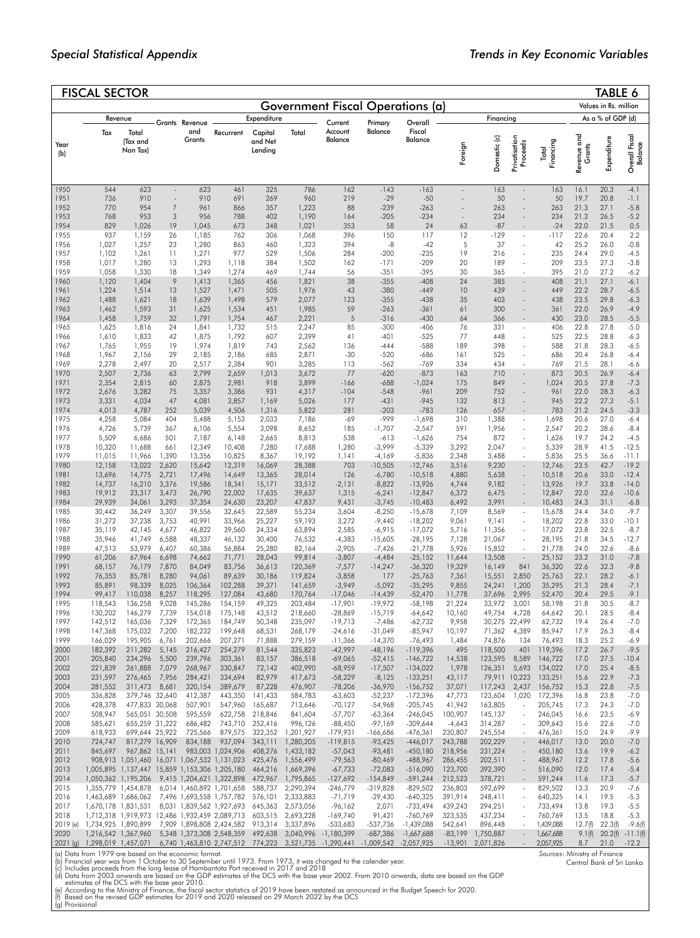|                  | <b>FISCAL SECTOR</b>                                 |                                                                |                          |                    |                                                                             |                    |                                                                                        |                                                                                                                                            |                        |                          |                           |                    |                                |                      |                                                           | <b>TABLE 6</b>        |                           |
|------------------|------------------------------------------------------|----------------------------------------------------------------|--------------------------|--------------------|-----------------------------------------------------------------------------|--------------------|----------------------------------------------------------------------------------------|--------------------------------------------------------------------------------------------------------------------------------------------|------------------------|--------------------------|---------------------------|--------------------|--------------------------------|----------------------|-----------------------------------------------------------|-----------------------|---------------------------|
|                  |                                                      |                                                                |                          |                    |                                                                             |                    |                                                                                        | <b>Government Fiscal Operations (a)</b>                                                                                                    |                        |                          |                           |                    |                                |                      |                                                           | Values in Rs. million |                           |
|                  |                                                      | Revenue                                                        |                          | Grants Revenue     |                                                                             | Expenditure        |                                                                                        | Current                                                                                                                                    | Primary                | Overall                  |                           | Financing          |                                |                      |                                                           | As a % of GDP (d)     |                           |
|                  | Tax                                                  | Total                                                          |                          | and                | Recurrent                                                                   | Capital            | Total                                                                                  | Account                                                                                                                                    | Balance                | Fiscal                   |                           |                    |                                |                      |                                                           |                       |                           |
| Year             |                                                      | (Tax and                                                       |                          | Grants             |                                                                             | and Net            |                                                                                        | Balance                                                                                                                                    |                        | Balance                  |                           |                    |                                |                      |                                                           |                       |                           |
| (b)              |                                                      | Non Tax)                                                       |                          |                    |                                                                             | Lending            |                                                                                        |                                                                                                                                            |                        |                          | Foreign                   | Domestic (c)       | Privatisation<br>Proceeds      | Financing<br>Total   | Revenue and<br>Grants                                     | Expenditure           | Overall Fiscal<br>Balance |
|                  |                                                      |                                                                |                          |                    |                                                                             |                    |                                                                                        |                                                                                                                                            |                        |                          |                           |                    |                                |                      |                                                           |                       |                           |
| 1950             | 544                                                  | 623                                                            | $\overline{\phantom{a}}$ | 623                | 461                                                                         | 325                | 786                                                                                    | 162                                                                                                                                        | $-143$                 | $-163$                   | $\overline{\phantom{a}}$  | 163                | $\overline{\phantom{a}}$       | 163                  | 16.1                                                      | 20.3                  | $-4.1$                    |
| 1951             | 736                                                  | 910                                                            | $\sim$                   | 910                | 691                                                                         | 269                | 960                                                                                    | 219                                                                                                                                        | $-29$                  | $-50$                    | $\sim$                    | 50                 | $\overline{\phantom{a}}$       | 50                   | 19.7                                                      | 20.8                  | $-1.1$                    |
| 1952             | 770                                                  | 954                                                            | 7                        | 961                | 866                                                                         | 357                | 1,223                                                                                  | 88                                                                                                                                         | $-239$                 | $-263$                   | $\sim$                    | 263                | ÷,                             | 263                  | 21.3                                                      | 27.1                  | $-5.8$                    |
| 1953<br>1954     | 768<br>829                                           | 953<br>1,026                                                   | 3<br>19                  | 956<br>1,045       | 788<br>673                                                                  | 402<br>348         | 1,190<br>1,021                                                                         | 164<br>353                                                                                                                                 | $-205$<br>58           | $-234$<br>24             | $\bar{\phantom{a}}$<br>63 | 234<br>$-87$       |                                | 234<br>$-24$         | 21.3<br>22.0                                              | 26.5<br>21.5          | $-5.2$<br>0.5             |
| 1955             | 937                                                  | 1,159                                                          | 26                       | 1,185              | 762                                                                         | 306                | 1,068                                                                                  | 396                                                                                                                                        | 150                    | 117                      | 12                        | $-129$             | $\bar{\phantom{a}}$            | -117                 | 22.6                                                      | 20.4                  | 2.2                       |
| 1956<br>1957     | 1,027<br>1,102                                       | 1,257<br>1,261                                                 | 23<br>11                 | 1,280<br>1,271     | 863<br>977                                                                  | 460<br>529         | 1,323<br>1,506                                                                         | 394<br>284                                                                                                                                 | $-8$<br>$-200$         | $-42$<br>$-235$          | 5<br>19                   | 37<br>216          |                                | 42<br>235            | 25.2<br>24.4                                              | 26.0<br>29.0          | $-0.8$<br>$-4.5$          |
| 1958             | 1,017                                                | 1,280                                                          | 13                       | 1,293              | 1,118                                                                       | 384                | 1,502                                                                                  | 162                                                                                                                                        | $-171$                 | $-209$                   | 20                        | 189                |                                | 209                  | 23.5                                                      | 27.3                  | $-3.8$                    |
| 1959             | 1,058                                                | 1,330                                                          | 18                       | 1,349              | 1,274                                                                       | 469                | 1,744                                                                                  | 56                                                                                                                                         | $-351$                 | $-395$                   | 30                        | 365                | ÷,                             | 395                  | 21.0                                                      | 27.2                  | $-6.2$                    |
| 1960<br>1961     | 1,120<br>1,224                                       | 1,404<br>1,514                                                 | 9<br>13                  | 1,413<br>1,527     | 1,365<br>1,471                                                              | 456<br>505         | 1,821<br>1,976                                                                         | 38<br>43                                                                                                                                   | $-355$<br>$-380$       | $-408$<br>$-449$         | 24<br>10                  | 385<br>439         | ÷,                             | 408<br>449           | 21.1<br>22.2                                              | 27.1<br>28.7          | $-6.1$<br>$-6.5$          |
| 1962             | 1,488                                                | 1,621                                                          | 18                       | 1,639              | 1,498                                                                       | 579                | 2,077                                                                                  | 123                                                                                                                                        | $-355$                 | $-438$                   | 35                        | 403                |                                | 438                  | 23.5                                                      | 29.8                  | $-6.3$                    |
| 1963<br>1964     | 1,462<br>1,458                                       | 1,593<br>1,759                                                 | 31<br>32                 | 1,625<br>1,791     | 1,534<br>1,754                                                              | 451<br>467         | 1,985<br>2,221                                                                         | 59<br>$\sqrt{5}$                                                                                                                           | $-263$<br>$-316$       | $-361$<br>$-430$         | 61<br>64                  | 300<br>366         |                                | 361<br>430           | 22.0<br>23.0                                              | 26.9<br>28.5          | $-4.9$<br>$-5.5$          |
| 1965             | 1,625                                                | 1,816                                                          | 24                       | 1,841              | 1,732                                                                       | 515                | 2,247                                                                                  | 85                                                                                                                                         | $-300$                 | $-406$                   | 76                        | 331                | $\ddot{\phantom{0}}$           | 406                  | 22.8                                                      | 27.8                  | $-5.0$                    |
| 1966             | 1,610                                                | 1,833                                                          | 42                       | 1,875              | 1,792                                                                       | 607                | 2,399                                                                                  | 41                                                                                                                                         | $-401$                 | $-525$                   | 77                        | 448                |                                | 525                  | 22.5                                                      | 28.8                  | $-6.3$                    |
| 1967<br>1968     | 1,765<br>1,967                                       | 1,955<br>2,156                                                 | 19<br>29                 | 1,974<br>2,185     | 1,819<br>2,186                                                              | 743<br>685         | 2,562<br>2,871                                                                         | 136<br>$-30$                                                                                                                               | $-444$<br>$-520$       | $-588$<br>$-686$         | 189<br>161                | 398<br>525         | ł,                             | 588<br>686           | 21.8<br>20.4                                              | 28.3<br>26.8          | -6.5<br>-6.4              |
| 1969             | 2,278                                                | 2,497                                                          | 20                       | 2,517              | 2,384                                                                       | 901                | 3,285                                                                                  | 113                                                                                                                                        | $-562$                 | $-769$                   | 334                       | 434                |                                | 769                  | 21.5                                                      | 28.1                  | -6.6                      |
| 1970<br>1971     | 2,507<br>2,354                                       | 2,736<br>2,815                                                 | 63<br>60                 | 2,799<br>2,875     | 2,659<br>2,981                                                              | 1,013<br>918       | 3,672<br>3,899                                                                         | 77<br>$-166$                                                                                                                               | $-620$<br>$-688$       | $-873$<br>$-1,024$       | 163<br>175                | 710<br>849         |                                | 873<br>1,024         | 20.5<br>20.5                                              | 26.9<br>27.8          | -6.4<br>$-7.3$            |
| 1972             | 2,676                                                | 3,282                                                          | 75                       | 3,357              | 3,386                                                                       | 931                | 4,317                                                                                  | $-104$                                                                                                                                     | $-548$                 | $-961$                   | 209                       | 752                | $\overline{\phantom{a}}$       | 961                  | 22.0                                                      | 28.3                  | $-6.3$                    |
| 1973             | 3,331                                                | 4,034                                                          | 47                       | 4,081              | 3,857                                                                       | 1,169              | 5,026                                                                                  | 177                                                                                                                                        | $-431$                 | $-945$                   | 132                       | 813                |                                | 945                  | 22.2                                                      | 27.3                  | $-5.1$                    |
| 1974<br>1975     | 4,013<br>4,258                                       | 4,787<br>5,084                                                 | 252<br>404               | 5,039<br>5,488     | 4,506<br>5,153                                                              | 1,316<br>2,033     | 5,822<br>7,186                                                                         | 281<br>-69                                                                                                                                 | $-203$<br>-999         | $-783$<br>$-1,698$       | 126<br>310                | 657<br>1,388       | $\overline{\phantom{a}}$       | 783<br>1,698         | 21.2<br>20.6                                              | 24.5<br>27.0          | $-3.3$<br>-6.4            |
| 1976             | 4,726                                                | 5,739                                                          | 367                      | 6,106              | 5,554                                                                       | 3,098              | 8,652                                                                                  | 185                                                                                                                                        | $-1,707$               | $-2,547$                 | 591                       | 1,956              |                                | 2,547                | 20.2                                                      | 28.6                  | $-8.4$                    |
| 1977<br>1978     | 5,509<br>10,320                                      | 6,686<br>11,688                                                | 501<br>661               | 7,187<br>12,349    | 6,148<br>10,408                                                             | 2,665<br>7,280     | 8,813<br>17,688                                                                        | 538<br>1,280                                                                                                                               | $-613$<br>$-3,999$     | $-1,626$                 | 754<br>3,292              | 872<br>2,047       | $\overline{\phantom{a}}$       | 1,626<br>5,339       | 19.7<br>28.9                                              | 24.2<br>41.5          | $-4.5$<br>$-12.5$         |
| 1979             | 11,015                                               | 11,966                                                         | 1,390                    | 13,356             | 10,825                                                                      | 8,367              | 19,192                                                                                 | 1,141                                                                                                                                      | $-4,169$               | $-5,339$<br>$-5,836$     | 2,348                     | 3,488              | ÷,                             | 5,836                | 25.5                                                      | 36.6                  | $-11.1$                   |
| 1980             | 12,158                                               | 13,022                                                         | 2,620                    | 15,642             | 12,319                                                                      | 16,069             | 28,388                                                                                 | 703                                                                                                                                        | $-10,505$              | $-12,746$                | 3,516                     | 9,230              | $\sim$                         | 12,746               | 23.5                                                      | 42.7                  | $-19.2$                   |
| 1981<br>1982     | 13,696<br>14,737                                     | 14,775<br>16,210                                               | 2,721<br>3,376           | 17,496<br>19,586   | 14,649<br>18,341                                                            | 13,365<br>15,171   | 28,014<br>33,512                                                                       | 126<br>$-2,131$                                                                                                                            | $-6,780$<br>$-8,822$   | $-10,518$<br>$-13,926$   | 4,880<br>4,744            | 5,638<br>9,182     | $\overline{\phantom{a}}$<br>÷, | 10,518<br>13,926     | 20.6<br>19.7                                              | 33.0<br>33.8          | $-12.4$<br>$-14.0$        |
| 1983             | 19,912                                               | 23,317                                                         | 3,473                    | 26,790             | 22,002                                                                      | 17,635             | 39,637                                                                                 | 1,315                                                                                                                                      | $-6,241$               | $-12,847$                | 6,372                     | 6,475              | ÷,                             | 12,847               | 22.0                                                      | 32.6                  | $-10.6$                   |
| 1984<br>1985     | 29,939<br>30,442                                     | 34,061<br>36,249                                               | 3,293<br>3,307           | 37,354<br>39,556   | 24,630<br>32,645                                                            | 23,207<br>22,589   | 47,837<br>55,234                                                                       | 9,431<br>3,604                                                                                                                             | $-3,745$<br>$-8,250$   | $-10,483$<br>$-15,678$   | 6,492<br>7,109            | 3,991<br>8,569     | $\ddot{\phantom{0}}$           | 10,483<br>15,678     | 24.3<br>24.4                                              | 31.1<br>34.0          | $-6.8$<br>$-9.7$          |
| 1986             | 31,272                                               | 37,238                                                         | 3,753                    | 40,991             | 33,966                                                                      | 25,227             | 59,193                                                                                 | 3,272                                                                                                                                      | $-9,440$               | $-18,202$                | 9,061                     | 9,141              | ÷,                             | 18,202               | 22.8                                                      | 33.0                  | $-10.1$                   |
| 1987<br>1988     | 35,119                                               | 42,145                                                         | 4,677                    | 46,822             | 39,560                                                                      | 24,334             | 63,894                                                                                 | 2,585                                                                                                                                      | $-6,915$               | $-17,072$                | 5,716                     | 11,356             | ÷                              | 17,072               | 23.8<br>21.8                                              | 32.5<br>34.5          | $-8.7$                    |
| 1989             | 35,946<br>47,513                                     | 41,749<br>53,979                                               | 6,588<br>6,407           | 48,337<br>60,386   | 46,132<br>56,884                                                            | 30,400<br>25,280   | 76,532<br>82,164                                                                       | $-4,383$<br>$-2,905$                                                                                                                       | $-15,605$<br>$-7,426$  | $-28,195$<br>$-21,778$   | 7,128<br>5,926            | 21,067<br>15,852   |                                | 28,195<br>21,778     | 24.0                                                      | 32.6                  | $-12.7$<br>$-8.6$         |
| 1990             | 61,206                                               | 67,964                                                         | 6,698                    | 74,662             | 71,771                                                                      | 28,043             | 99,814                                                                                 | $-3,807$                                                                                                                                   | $-4,484$               | $-25,152$                | 11,644                    | 13,508             | $\sim$                         | 25,152               | 23.2                                                      | 31.0                  | $-7.8$                    |
| 1991<br>1992     | 68,157<br>76,353                                     | 76,179<br>85,781                                               | 7,870<br>8,280           | 84,049<br>94,061   | 83,756<br>89,639                                                            | 36,613<br>30,186   | 120,369<br>119,824                                                                     | $-7,577$<br>$-3,858$                                                                                                                       | $-14,247$<br>177       | $-36,320$<br>$-25,763$   | 19,329<br>7,361           | 16,149<br>15,551   | 841<br>2,850                   | 36,320<br>25,763     | 22.6<br>22.1                                              | 32.3<br>28.2          | $-9.8$<br>$-6.1$          |
| 1993             | 85,891                                               | 98,339                                                         | 8,025                    | 106,364            | 102,288                                                                     | 39,371             | 141,659                                                                                | $-3,949$                                                                                                                                   | $-5,092$               | $-35,295$                | 9,855                     | 24,241             | 1,200                          | 35,295               | 21.3                                                      | 28.4                  | $-7.1$                    |
| 1994<br>1995     | 99,417<br>118,543                                    | 110,038<br>136,258                                             | 8,257<br>9,028           | 118,295<br>145,286 | 127,084<br>154,159                                                          | 43,680<br>49,325   | 170,764<br>203,484                                                                     | $-17,046$<br>$-17,901$                                                                                                                     | $-14,439$<br>$-19,972$ | $-52,470$<br>$-58,198$   | 11,778<br>21,224          | 37,696<br>33,972   | 2,995<br>3,001                 | 52,470<br>58,198     | 20.4<br>21.8                                              | 29.5<br>30.5          | $-9.1$<br>$-8.7$          |
| 1996             | 130,202                                              | 146,279                                                        | 7,739                    | 154,018            | 175,148                                                                     | 43,512             | 218,660                                                                                | -28,869                                                                                                                                    | $-15,719$              | $-64,642$                | 10,160                    | 49,754             | 4,728                          | 64,642               | 20.1                                                      | 28.5                  | $-8.4$                    |
| 1997             | 142,512                                              | 165,036                                                        | 7,329                    | 172,365            | 184,749                                                                     | 50,348             | 235,097                                                                                | $-19,713$                                                                                                                                  | $-7,486$               | $-62,732$                | 9,958                     |                    | 30,275 22,499                  | 62,732               | 19.4                                                      | 26.4                  | $-7.0$                    |
| 1998<br>1999     | 147,368<br>166,029                                   | 175,032<br>195,905                                             | 7,200<br>6,761           | 182,232<br>202,666 | 199,648<br>207,271                                                          | 68,531<br>71,888   | 268,179<br>279,159                                                                     | $-24,616$<br>$-11,366$                                                                                                                     | -31,049<br>$-14,370$   | $-85,947$<br>$-76,493$   | 10,197<br>1,484           | 71,362<br>74,876   | 4,389<br>134                   | 85,947<br>76,493     | 17.9<br>18.3                                              | 26.3<br>25.2          | $-8.4$<br>$-6.9$          |
| 2000             | 182,392                                              | 211,282                                                        | 5,145                    | 216,427            | 254,279                                                                     | 81,544             | 335,823                                                                                | $-42,997$                                                                                                                                  | -48,196                | $-119,396$               | 495                       | 118,500            | 401                            | 119,396              | 17.2                                                      | 26.7                  | $-9.5$                    |
| 2001<br>2002     | 205,840<br>221,839                                   | 234,296<br>261,888                                             | 5,500<br>7,079           | 239,796<br>268,967 | 303,361<br>330,847                                                          | 83,157<br>72,142   | 386,518<br>402,990                                                                     | $-69,065$<br>$-68,959$                                                                                                                     | $-52,415$<br>$-17,507$ | $-146,722$<br>$-134,022$ | 14,538<br>1,978           | 123,595<br>126,351 | 8,589<br>5,693                 | 146,722<br>134,022   | 17.0<br>17.0                                              | 27.5<br>25.4          | $-10.4$<br>$-8.5$         |
| 2003             | 231,597                                              | 276,465                                                        | 7,956                    | 284,421            | 334,694                                                                     | 82,979             | 417,673                                                                                | $-58,229$                                                                                                                                  | $-8,125$               | $-133,251$               | 43,117                    | 79,911 10,223      |                                | 133,251              | 15.6                                                      | 22.9                  | $-7.3$                    |
| 2004<br>2005     | 281,552<br>336,828                                   | 311,473<br>379,746 32,640                                      | 8,681                    | 320,154<br>412,387 | 389,679<br>443,350                                                          | 87,228<br>141,433  | 476,907<br>584,783                                                                     | $-78,206$<br>$-63,603$                                                                                                                     | $-36,970$<br>$-52,237$ | $-156,752$<br>$-172,396$ | 37,071<br>47,773          | 117,243<br>123,604 | 2,437<br>1,020                 | 156,752<br>172,396   | 15.3<br>16.8                                              | 22.8<br>23.8          | $-7.5$<br>$-7.0$          |
| 2006             | 428,378                                              | 477,833 30,068                                                 |                          | 507,901            | 547,960                                                                     | 165,687            | 713,646                                                                                | $-70,127$                                                                                                                                  | -54,968                | $-205,745$               | 41,942                    | 163,805            | ÷                              | 205,745              | 17.3                                                      | 24.3                  | $-7.0$                    |
| 2007             | 508,947                                              | 565,051 30,508                                                 |                          | 595,559            | 622,758                                                                     | 218,846            | 841,604                                                                                | $-57,707$                                                                                                                                  | $-63,364$              | $-246,045$               | 100,907                   | 145,137            |                                | 246,045              | 16.6                                                      | 23.5                  | -6.9                      |
| 2008<br>2009     | 585,621<br>618,933                                   | 655,259 31,222<br>699,644 25,922                               |                          | 686,482<br>725,566 | 743,710<br>879,575                                                          | 252,416<br>322,352 | 996,126<br>1,201,927                                                                   | $-88,450$<br>$-179,931$                                                                                                                    | -97,169<br>-166,686    | -309,644<br>-476,361     | -4,643<br>230,807         | 314,287<br>245,554 | ÷                              | 309,643<br>476,361   | 15.6<br>15.0                                              | 22.6<br>24.9          | $-7.0$<br>-9.9            |
| 2010             | 724,747                                              | 817,279 16,909                                                 |                          | 834,188            | 937,094                                                                     | 343,111            | 1,280,205                                                                              | $-119,815$                                                                                                                                 | $-93,425$              | $-446,017$               | 243,788                   | 202,229            | ÷                              | 446,017              | 13.0                                                      | 20.0                  | $-7.0$                    |
| 2011<br>2012     | 845,697                                              | 967,862 15,141<br>908,913 1,051,460 16,071 1,067,532 1,131,023 |                          |                    | 983,003 1,024,906                                                           | 408,276<br>425,476 | 1,433,182<br>1,556,499                                                                 | $-57,043$<br>$-79,563$                                                                                                                     | $-93,481$<br>$-80,469$ | $-450,180$<br>-488,967   | 218,956<br>286,455        | 231,224<br>202,511 | ł,                             | 450,180<br>488,967   | 13.6<br>12.2                                              | 19.9<br>17.8          | $-6.2$<br>$-5.6$          |
| 2013             |                                                      |                                                                |                          |                    | 1,005,895 1,137,447 15,859 1,153,306 1,205,180                              | 464,216            | 1,669,396                                                                              | $-67,733$                                                                                                                                  | $-72,083$              | $-516,090$               | 123,700                   | 392,390            |                                | 516,090              | 12.0                                                      | 17.4                  | $-5.4$                    |
| 2014             |                                                      | 1,050,362 1,195,206                                            |                          |                    | 9,415 1,204,621 1,322,898                                                   | 472,967            | 1,795,865                                                                              | $-127,692$                                                                                                                                 | $-154,849$             | $-591,244$               | 212,523                   | 378,721            |                                | 591,244              | 11.6                                                      | 17.3                  | $-5.7$                    |
| 2015<br>2016     |                                                      | 1,355,779 1,454,878<br>1,463,689 1,686,062                     |                          |                    | 6,014 1,460,892 1,701,658<br>7,496 1,693,558 1,757,782                      | 588,737<br>576,101 | 2,290,394<br>2,333,883                                                                 | -246,779<br>$-71,719$                                                                                                                      | -319,828<br>-29,430    | -829,502<br>$-640,325$   | 236,803<br>391,914        | 592,699<br>248,411 | $\overline{a}$                 | 829,502<br>640,325   | 13.3<br>14.1                                              | 20.9<br>19.5          | $-7.6$<br>$-5.3$          |
| 2017             | 1,670,178 1,831,531                                  |                                                                |                          |                    | 8,031 1,839,562 1,927,693                                                   | 645,363            | 2,573,056                                                                              | $-96,162$                                                                                                                                  | 2,071                  | -733,494                 | 439,243                   | 294,251            | $\ddot{\phantom{0}}$           | 733,494              | 13.8                                                      | 19.3                  | $-5.5$                    |
| 2018<br>2019 (e) | 1,734,925 1,890,899                                  |                                                                |                          |                    | 1,712,318 1,919,973 12,486 1,932,459 2,089,713<br>7,909 1,898,808 2,424,582 | 603,515<br>913,314 | 2,693,228<br>3,337,896                                                                 | $-169,740$<br>-533,683                                                                                                                     | 91,421<br>-537,736     | -760,769<br>$-1,439,088$ | 323,535<br>542,641        | 437,234<br>896,448 | $\sim$                         | 760,769<br>1,439,088 | 13.5<br>12.7(f)                                           | 18.8<br>22.3(f)       | $-5.3$<br>$-9.6(f)$       |
| 2020             |                                                      | 1,216,542 1,367,960                                            |                          |                    | 5,348 1,373,308 2,548,359                                                   | 492,638            | 3,040,996                                                                              | $-1,180,399$                                                                                                                               | -687,386               | $-1,667,688$             | $-83,199$                 | 1,750,887          | $\bar{\phantom{a}}$            | 1,667,688            | 9.1(f)                                                    |                       | $20.2(f) -11.1(f)$        |
| 2021(g)          | 1,298,019 1,457,071                                  |                                                                |                          |                    | 6,740 1,463,810 2,747,512 774,223                                           |                    | 3,521,735 - 1,290,441                                                                  |                                                                                                                                            | $-1,009,542$           | $-2,057,925$             | $-13,901$                 | 2,071,826          | $\sim$                         | 2,057,925            | 8.7                                                       | 21.0                  | $-12.2$                   |
|                  | (a) Data from 1979 are based on the economic format. |                                                                |                          |                    |                                                                             |                    |                                                                                        | (b) Financial year was from 1 October to 30 September until 1973. From 1973, it was changed to the calender year.                          |                        |                          |                           |                    |                                |                      | Sources: Ministry of Finance<br>Central Bank of Sri Lanka |                       |                           |
|                  |                                                      |                                                                |                          |                    |                                                                             |                    | (c) Includes proceeds from the long lease of Hambantota Port received in 2017 and 2018 | (d) Data from 2003 onwards are based on the GDP estimates of the DCS with the base year 2002. From 2010 onwards, data are based on the GDP |                        |                          |                           |                    |                                |                      |                                                           |                       |                           |
|                  | estimates of the DCS with the base year 2010.        |                                                                |                          |                    |                                                                             |                    |                                                                                        | According to the Ministry of Finance, the fiscal sector statistics of 2019 have been restated as announced in the Budget Speech for 2020.  |                        |                          |                           |                    |                                |                      |                                                           |                       |                           |
| (g) Provisional  |                                                      |                                                                |                          |                    |                                                                             |                    |                                                                                        | Based on the revised GDP estimates for 2019 and 2020 released on 29 March 2022 by the DCS                                                  |                        |                          |                           |                    |                                |                      |                                                           |                       |                           |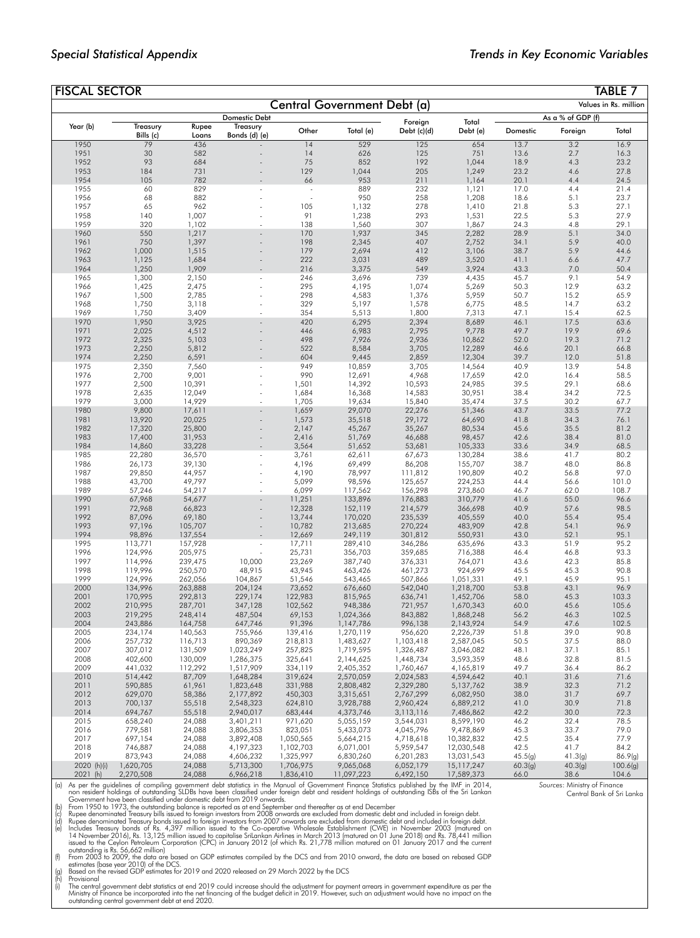*Sources*: Ministry of Finance

Central Bank of Sri Lanka

| <b>FISCAL SECTOR</b> |                    |                    |                        |                        |                             |                        |                          |                 |                   | TABLE 7               |
|----------------------|--------------------|--------------------|------------------------|------------------------|-----------------------------|------------------------|--------------------------|-----------------|-------------------|-----------------------|
|                      |                    |                    |                        |                        | Central Government Debt (a) |                        |                          |                 |                   | Values in Rs. million |
|                      |                    |                    | <b>Domestic Debt</b>   |                        |                             |                        |                          |                 | As a % of GDP (f) |                       |
| Year (b)             | Treasury           | Rupee              | Treasury               | Other                  |                             | Foreign                | Total<br>Debt (e)        |                 |                   | Total                 |
|                      | Bills (c)          | Loans              | Bonds (d) (e)          |                        | Total (e)                   | Debt (c)(d)            |                          | Domestic        | Foreign           |                       |
| 1950                 | 79<br>30           | 436<br>582         |                        | 14<br>14               | 529                         | 125                    | 654                      | 13.7            | 3.2               | 16.9                  |
| 1951<br>1952         | 93                 | 684                |                        | 75                     | 626<br>852                  | 125<br>192             | 751<br>1,044             | 13.6<br>18.9    | 2.7<br>4.3        | 16.3<br>23.2          |
| 1953                 | 184                | 731                |                        | 129                    | 1,044                       | 205                    | 1,249                    | 23.2            | 4.6               | 27.8                  |
| 1954                 | 105                | 782                |                        | 66                     | 953                         | 211                    | 1,164                    | 20.1            | 4.4               | 24.5                  |
| 1955                 | 60                 | 829                |                        |                        | 889                         | 232                    | 1,121                    | 17.0            | 4.4               | 21.4                  |
| 1956                 | 68                 | 882                |                        |                        | 950                         | 258                    | 1,208                    | 18.6            | 5.1               | 23.7                  |
| 1957<br>1958         | 65<br>140          | 962<br>1,007       |                        | 105<br>91              | 1,132<br>1,238              | 278<br>293             | 1,410<br>1,531           | 21.8<br>22.5    | 5.3<br>5.3        | 27.1<br>27.9          |
| 1959                 | 320                | 1,102              |                        | 138                    | 1,560                       | 307                    | 1,867                    | 24.3            | 4.8               | 29.1                  |
| 1960                 | 550                | 1,217              |                        | 170                    | 1,937                       | 345                    | 2,282                    | 28.9            | 5.1               | 34.0                  |
| 1961                 | 750                | 1,397              |                        | 198                    | 2,345                       | 407                    | 2,752                    | 34.1            | 5.9               | 40.0                  |
| 1962                 | 1,000              | 1,515              |                        | 179                    | 2,694                       | 412                    | 3,106                    | 38.7            | 5.9               | 44.6                  |
| 1963<br>1964         | 1,125<br>1,250     | 1,684<br>1,909     |                        | 222<br>216             | 3,031<br>3,375              | 489<br>549             | 3,520<br>3,924           | 41.1<br>43.3    | 6.6<br>7.0        | 47.7<br>50.4          |
| 1965                 | 1,300              | 2,150              | ÷,                     | 246                    | 3,696                       | 739                    | 4,435                    | 45.7            | 9.1               | 54.9                  |
| 1966                 | 1,425              | 2,475              |                        | 295                    | 4,195                       | 1,074                  | 5,269                    | 50.3            | 12.9              | 63.2                  |
| 1967                 | 1,500              | 2,785              |                        | 298                    | 4,583                       | 1,376                  | 5,959                    | 50.7            | 15.2              | 65.9                  |
| 1968                 | 1,750              | 3,118              |                        | 329                    | 5,197                       | 1,578                  | 6,775                    | 48.5            | 14.7              | 63.2                  |
| 1969<br>1970         | 1,750              | 3,409              |                        | 354<br>420             | 5,513<br>6,295              | 1,800<br>2,394         | 7,313<br>8,689           | 47.1<br>46.1    | 15.4<br>17.5      | 62.5<br>63.6          |
| 1971                 | 1,950<br>2,025     | 3,925<br>4,512     |                        | 446                    | 6,983                       | 2,795                  | 9,778                    | 49.7            | 19.9              | 69.6                  |
| 1972                 | 2,325              | 5,103              |                        | 498                    | 7,926                       | 2,936                  | 10,862                   | 52.0            | 19.3              | 71.2                  |
| 1973                 | 2,250              | 5,812              |                        | 522                    | 8,584                       | 3,705                  | 12,289                   | 46.6            | 20.1              | 66.8                  |
| 1974                 | 2,250              | 6,591              |                        | 604                    | 9,445                       | 2,859                  | 12,304                   | 39.7            | 12.0              | 51.8                  |
| 1975<br>1976         | 2,350<br>2,700     | 7,560<br>9,001     | $\tilde{\phantom{a}}$  | 949<br>990             | 10,859                      | 3,705<br>4,968         | 14,564<br>17,659         | 40.9<br>42.0    | 13.9<br>16.4      | 54.8<br>58.5          |
| 1977                 | 2,500              | 10,391             |                        | 1,501                  | 12,691<br>14,392            | 10,593                 | 24,985                   | 39.5            | 29.1              | 68.6                  |
| 1978                 | 2,635              | 12,049             |                        | 1,684                  | 16,368                      | 14,583                 | 30,951                   | 38.4            | 34.2              | 72.5                  |
| 1979                 | 3,000              | 14,929             |                        | 1,705                  | 19,634                      | 15,840                 | 35,474                   | 37.5            | 30.2              | 67.7                  |
| 1980                 | 9,800              | 17,611             |                        | 1,659                  | 29,070                      | 22,276                 | 51,346                   | 43.7            | 33.5              | 77.2                  |
| 1981                 | 13,920             | 20,025             |                        | 1,573                  | 35,518                      | 29,172                 | 64,690                   | 41.8            | 34.3              | 76.1                  |
| 1982<br>1983         | 17,320<br>17,400   | 25,800<br>31,953   |                        | 2,147<br>2,416         | 45,267<br>51,769            | 35,267<br>46,688       | 80,534<br>98,457         | 45.6<br>42.6    | 35.5<br>38.4      | 81.2<br>81.0          |
| 1984                 | 14,860             | 33,228             |                        | 3,564                  | 51,652                      | 53,681                 | 105,333                  | 33.6            | 34.9              | 68.5                  |
| 1985                 | 22,280             | 36,570             |                        | 3,761                  | 62,611                      | 67,673                 | 130,284                  | 38.6            | 41.7              | 80.2                  |
| 1986                 | 26,173             | 39,130             |                        | 4,196                  | 69,499                      | 86,208                 | 155,707                  | 38.7            | 48.0              | 86.8                  |
| 1987                 | 29,850             | 44,957             |                        | 4,190                  | 78,997                      | 111,812                | 190,809                  | 40.2            | 56.8              | 97.0                  |
| 1988<br>1989         | 43,700<br>57,246   | 49,797<br>54,217   |                        | 5,099<br>6,099         | 98,596<br>117,562           | 125,657<br>156,298     | 224,253<br>273,860       | 44.4<br>46.7    | 56.6<br>62.0      | 101.0<br>108.7        |
| 1990                 | 67,968             | 54,677             |                        | 11,251                 | 133,896                     | 176,883                | 310,779                  | 41.6            | 55.0              | 96.6                  |
| 1991                 | 72,968             | 66,823             |                        | 12,328                 | 152,119                     | 214,579                | 366,698                  | 40.9            | 57.6              | 98.5                  |
| 1992                 | 87,096             | 69,180             |                        | 13,744                 | 170,020                     | 235,539                | 405,559                  | 40.0            | 55.4              | 95.4                  |
| 1993<br>1994         | 97,196<br>98,896   | 105,707<br>137,554 |                        | 10,782<br>12,669       | 213,685<br>249,119          | 270,224<br>301,812     | 483,909<br>550,931       | 42.8<br>43.0    | 54.1<br>52.1      | 96.9<br>95.1          |
| 1995                 | 113,771            | 157,928            |                        | 17,711                 | 289,410                     | 346,286                | 635,696                  | 43.3            | 51.9              | 95.2                  |
| 1996                 | 124,996            | 205,975            |                        | 25,731                 | 356,703                     | 359,685                | 716,388                  | 46.4            | 46.8              | 93.3                  |
| 1997                 | 114,996            | 239,475            | 10,000                 | 23,269                 | 387,740                     | 376,331                | 764,071                  | 43.6            | 42.3              | 85.8                  |
| 1998                 | 119,996            | 250,570            | 48,915                 | 43,945                 | 463,426                     | 461,273                | 924,699                  | 45.5            | 45.3              | 90.8                  |
| 1999                 | 124,996            | 262,056            | 104,867                | 51,546                 | 543,465                     | 507,866                | 1,051,331                | 49.1            | 45.9              | 95.1                  |
| 2000<br>2001         | 134,996<br>170,995 | 263,888<br>292,813 | 204,124<br>229,174     | 73,652<br>122,983      | 676,660<br>815,965          | 542,040<br>636,741     | 1,218,700<br>1,452,706   | 53.8<br>58.0    | 43.1<br>45.3      | 96.9<br>103.3         |
| 2002                 | 210,995            | 287,701            | 347,128                | 102,562                | 948,386                     | 721,957                | 1,670,343                | 60.0            | 45.6              | 105.6                 |
| 2003                 | 219,295            | 248,414            | 487,504                | 69,153                 | 1,024,366                   | 843,882                | 1,868,248                | 56.2            | 46.3              | 102.5                 |
| 2004                 | 243,886            | 164,758            | 647.746                | 91.396                 | 1.147.786                   | 996,138                | 2.143.924                | 54.9            | 47.6              | 102.5                 |
| 2005<br>2006         | 234,174<br>257,732 | 140,563<br>116,713 | 755,966<br>890,369     | 139,416<br>218,813     | 1,270,119                   | 956,620                | 2,226,739<br>2,587,045   | 51.8            | 39.0              | 90.8<br>88.0          |
| 2007                 | 307,012            | 131,509            | 1,023,249              | 257,825                | 1,483,627<br>1,719,595      | 1,103,418<br>1,326,487 | 3,046,082                | 50.5<br>48.1    | 37.5<br>37.1      | 85.1                  |
| 2008                 | 402,600            | 130,009            | 1,286,375              | 325,641                | 2,144,625                   | 1,448,734              | 3,593,359                | 48.6            | 32.8              | 81.5                  |
| 2009                 | 441,032            | 112,292            | 1,517,909              | 334,119                | 2,405,352                   | 1,760,467              | 4,165,819                | 49.7            | 36.4              | 86.2                  |
| 2010                 | 514,442            | 87,709             | 1,648,284              | 319,624                | 2,570,059                   | 2,024,583              | 4,594,642                | 40.1            | 31.6              | 71.6                  |
| 2011                 | 590,885            | 61,961             | 1,823,648              | 331,988                | 2,808,482                   | 2,329,280              | 5,137,762                | 38.9            | 32.3              | 71.2                  |
| 2012<br>2013         | 629,070<br>700,137 | 58,386<br>55,518   | 2,177,892<br>2,548,323 | 450,303<br>624,810     | 3,315,651<br>3,928,788      | 2,767,299<br>2,960,424 | 6,082,950<br>6,889,212   | 38.0<br>41.0    | 31.7<br>30.9      | 69.7<br>71.8          |
| 2014                 | 694,767            | 55,518             | 2,940,017              | 683,444                | 4,373,746                   | 3,113,116              | 7,486,862                | 42.2            | 30.0              | 72.3                  |
| 2015                 | 658,240            | 24,088             | 3,401,211              | 971,620                | 5,055,159                   | 3,544,031              | 8,599,190                | 46.2            | 32.4              | 78.5                  |
| 2016                 | 779,581            | 24,088             | 3,806,353              | 823,051                | 5,433,073                   | 4,045,796              | 9,478,869                | 45.3            | 33.7              | 79.0                  |
| 2017                 | 697,154            | 24,088             | 3,892,408              | 1,050,565              | 5,664,215                   | 4,718,618              | 10,382,832               | 42.5            | 35.4              | 77.9                  |
| 2018<br>2019         | 746,887<br>873,943 | 24,088<br>24,088   | 4,197,323<br>4,606,232 | 1,102,703<br>1,325,997 | 6,071,001<br>6,830,260      | 5,959,547<br>6,201,283 | 12,030,548<br>13,031,543 | 42.5<br>45.5(g) | 41.7<br>41.3(g)   | 84.2<br>86.9(g)       |
| 2020 (h)(i)          | 1,620,705          | 24,088             | 5,713,300              | 1,706,975              | 9,065,068                   | 6,052,179              | 15, 117, 247             | 60.3(g)         | 40.3(g)           | 100.6(g)              |
| 2021(h)              | 2,270,508          | 24,088             | 6,966,218              | 1,836,410              | 11,097,223                  | 6,492,150              | 17,589,373               | 66.0            | 38.6              | 104.6                 |

(a) As per the guidelines of compiling government debt statistics in the Manual of Government Finance Statistics published by the IMF in 2014,<br>non resident holdings of outstanding SLDBs have been dassified under domestic d

Ministry of Finance be incorporated into the net financing of the budget deficit in 2019. However, such an adjustment would have no impact on the<br>outstanding central government debt at end 2020.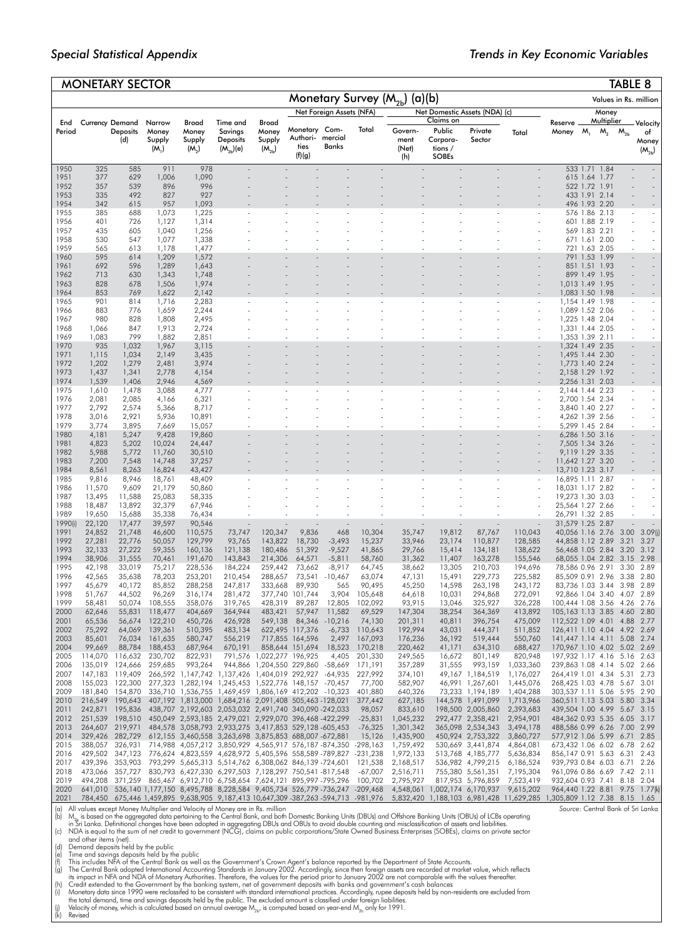|               |                  | <b>MONETARY SECTOR</b>                           |                                      |                                               |                                                                                                                                                                     |                                        |                                             |                          |                     |                                   |                                                     |                                        |                                                                                                                                                          |                                                               |                                |                  | <b>TABLE 8</b>             |                                       |
|---------------|------------------|--------------------------------------------------|--------------------------------------|-----------------------------------------------|---------------------------------------------------------------------------------------------------------------------------------------------------------------------|----------------------------------------|---------------------------------------------|--------------------------|---------------------|-----------------------------------|-----------------------------------------------------|----------------------------------------|----------------------------------------------------------------------------------------------------------------------------------------------------------|---------------------------------------------------------------|--------------------------------|------------------|----------------------------|---------------------------------------|
|               |                  |                                                  |                                      |                                               |                                                                                                                                                                     |                                        |                                             |                          |                     | Monetary Survey $(M_{2b})$ (a)(b) |                                                     |                                        |                                                                                                                                                          |                                                               |                                |                  |                            | Values in Rs. million                 |
|               |                  |                                                  |                                      |                                               |                                                                                                                                                                     |                                        |                                             | Net Foreign Assets (NFA) |                     |                                   |                                                     | Net Domestic Assets (NDA) (c)          |                                                                                                                                                          |                                                               |                                | Money            |                            |                                       |
| End<br>Period |                  | <b>Currency Demand</b><br><b>Deposits</b><br>(d) | Narrow<br>Money<br>Supply<br>$(M_1)$ | Broad<br>Money<br>Supply<br>(M <sub>2</sub> ) | Time and<br>Savings<br><b>Deposits</b><br>$(M_{2b})$ (e)                                                                                                            | Broad<br>Money<br>Supply<br>$(M_{2b})$ | Monetary Com-<br>Authori-<br>ties<br>(f)(g) | mercial<br><b>Banks</b>  | Total               | Govern-<br>ment<br>(Net)<br>(h)   | Claims on<br>Public<br>Corpora-<br>tions /<br>SOBEs | Private<br>Sector                      | Total                                                                                                                                                    | Reserve<br>Money                                              | M,                             | Multiplier<br>м, | $\mathsf{M}_{\mathsf{2b}}$ | Velocity<br>of<br>Money<br>$(M_{2b})$ |
| 1950          | 325              | 585                                              | 911                                  | 978                                           |                                                                                                                                                                     |                                        |                                             |                          |                     |                                   |                                                     |                                        |                                                                                                                                                          |                                                               | 533 1.71                       | 1.84             |                            |                                       |
| 1951<br>1952  | 377<br>357       | 629<br>539                                       | 1,006<br>896                         | 1,090<br>996                                  |                                                                                                                                                                     |                                        |                                             |                          |                     |                                   |                                                     |                                        |                                                                                                                                                          |                                                               | 615 1.64 1.77<br>522 1.72 1.91 |                  |                            |                                       |
| 1953          | 335              | 492                                              | 827                                  | 927                                           |                                                                                                                                                                     |                                        |                                             |                          |                     |                                   |                                                     |                                        |                                                                                                                                                          |                                                               | 433 1.91 2.14                  |                  |                            |                                       |
| 1954          | 342              | 615                                              | 957                                  | 1,093                                         |                                                                                                                                                                     |                                        |                                             |                          |                     |                                   |                                                     |                                        |                                                                                                                                                          |                                                               |                                | 496 1.93 2.20    |                            |                                       |
| 1955<br>1956  | 385<br>401       | 688<br>726                                       | 1,073                                | 1,225                                         |                                                                                                                                                                     |                                        |                                             |                          |                     |                                   |                                                     |                                        |                                                                                                                                                          |                                                               | 576 1.86 2.13                  | 601 1.88 2.19    |                            |                                       |
| 1957          | 435              | 605                                              | 1,127<br>1,040                       | 1,314<br>1,256                                |                                                                                                                                                                     |                                        |                                             |                          |                     |                                   |                                                     |                                        |                                                                                                                                                          |                                                               | 569 1.83 2.21                  |                  |                            |                                       |
| 1958          | 530              | 547                                              | 1,077                                | 1,338                                         |                                                                                                                                                                     |                                        |                                             |                          |                     |                                   |                                                     |                                        |                                                                                                                                                          |                                                               | 671 1.61 2.00                  |                  |                            |                                       |
| 1959          | 565<br>595       | 613                                              | 1,178                                | 1,477                                         |                                                                                                                                                                     |                                        |                                             |                          |                     |                                   |                                                     |                                        |                                                                                                                                                          |                                                               |                                | 721 1.63 2.05    |                            |                                       |
| 1960<br>1961  | 692              | 614<br>596                                       | 1,209<br>1,289                       | 1,572<br>1,643                                |                                                                                                                                                                     |                                        |                                             |                          |                     |                                   |                                                     |                                        |                                                                                                                                                          |                                                               | 791 1.53 1.99                  | 851 1.51 1.93    |                            |                                       |
| 1962          | 713              | 630                                              | 1,343                                | 1,748                                         |                                                                                                                                                                     |                                        |                                             |                          |                     |                                   |                                                     |                                        |                                                                                                                                                          |                                                               | 899 1.49 1.95                  |                  |                            |                                       |
| 1963          | 828              | 678                                              | 1,506                                | 1,974                                         |                                                                                                                                                                     |                                        |                                             |                          |                     |                                   |                                                     |                                        |                                                                                                                                                          | 1,013 1.49 1.95                                               |                                |                  |                            |                                       |
| 1964<br>1965  | 853<br>901       | 769<br>814                                       | 1,622<br>1,716                       | 2,142<br>2,283                                |                                                                                                                                                                     |                                        |                                             |                          |                     |                                   |                                                     |                                        |                                                                                                                                                          | 1,083 1.50 1.98<br>1,154 1.49 1.98                            |                                |                  |                            |                                       |
| 1966          | 883              | 776                                              | 1,659                                | 2,244                                         |                                                                                                                                                                     |                                        |                                             |                          |                     |                                   |                                                     |                                        |                                                                                                                                                          | 1,089 1.52 2.06                                               |                                |                  |                            |                                       |
| 1967          | 980              | 828                                              | 1,808                                | 2,495                                         |                                                                                                                                                                     |                                        |                                             |                          |                     |                                   |                                                     |                                        |                                                                                                                                                          | 1,225 1.48 2.04                                               |                                |                  |                            |                                       |
| 1968<br>1969  | 1,066<br>1,083   | 847<br>799                                       | 1,913<br>1,882                       | 2,724<br>2,851                                |                                                                                                                                                                     |                                        |                                             |                          |                     |                                   |                                                     |                                        |                                                                                                                                                          | 1,331 1.44 2.05<br>1,353 1.39 2.11                            |                                |                  |                            |                                       |
| 1970          | 935              | 1,032                                            | 1,967                                | 3,115                                         |                                                                                                                                                                     |                                        |                                             |                          |                     |                                   |                                                     |                                        |                                                                                                                                                          | 1,324 1.49 2.35                                               |                                |                  |                            |                                       |
| 1971          | 1,115            | 1,034                                            | 2,149                                | 3,435                                         |                                                                                                                                                                     |                                        |                                             |                          |                     |                                   |                                                     |                                        |                                                                                                                                                          | 1,495 1.44 2.30                                               |                                |                  |                            |                                       |
| 1972<br>1973  | 1,202<br>1,437   | 1,279<br>1,341                                   | 2,481<br>2,778                       | 3,974<br>4,154                                |                                                                                                                                                                     |                                        |                                             |                          |                     |                                   |                                                     |                                        |                                                                                                                                                          | 1,773 1.40 2.24<br>2,158 1.29 1.92                            |                                |                  |                            |                                       |
| 1974          | 1,539            | 1,406                                            | 2,946                                | 4,569                                         |                                                                                                                                                                     |                                        |                                             |                          |                     |                                   |                                                     |                                        |                                                                                                                                                          | 2,256 1.31 2.03                                               |                                |                  |                            |                                       |
| 1975          | 1,610            | 1,478                                            | 3,088                                | 4,777                                         |                                                                                                                                                                     |                                        |                                             |                          |                     |                                   |                                                     |                                        |                                                                                                                                                          | 2, 144 1.44 2.23                                              |                                |                  |                            |                                       |
| 1976<br>1977  | 2,081<br>2,792   | 2,085<br>2,574                                   | 4,166<br>5,366                       | 6,321<br>8,717                                |                                                                                                                                                                     |                                        |                                             |                          |                     |                                   |                                                     |                                        |                                                                                                                                                          | 2,700 1.54 2.34<br>3,840 1.40 2.27                            |                                |                  |                            |                                       |
| 1978          | 3,016            | 2,921                                            | 5,936                                | 10,891                                        |                                                                                                                                                                     |                                        |                                             |                          |                     |                                   |                                                     |                                        |                                                                                                                                                          | 4,262 1.39 2.56                                               |                                |                  |                            |                                       |
| 1979          | 3,774            | 3,895                                            | 7,669                                | 15,057                                        |                                                                                                                                                                     |                                        |                                             |                          |                     |                                   |                                                     |                                        |                                                                                                                                                          | 5,299 1.45 2.84                                               |                                |                  |                            |                                       |
| 1980<br>1981  | 4,181<br>4,823   | 5,247<br>5,202                                   | 9,428<br>10,024                      | 19,860<br>24,447                              |                                                                                                                                                                     |                                        |                                             |                          |                     |                                   |                                                     |                                        |                                                                                                                                                          | 6,286 1.50 3.16<br>7,505 1.34 3.26                            |                                |                  |                            |                                       |
| 1982          | 5,988            | 5,772                                            | 11,760                               | 30,510                                        |                                                                                                                                                                     |                                        |                                             |                          |                     |                                   |                                                     |                                        |                                                                                                                                                          | 9,119 1.29 3.35                                               |                                |                  |                            |                                       |
| 1983          | 7,200            | 7,548                                            | 14,748                               | 37,257                                        |                                                                                                                                                                     |                                        |                                             |                          |                     |                                   |                                                     |                                        |                                                                                                                                                          | 11,642 1.27 3.20                                              |                                |                  |                            |                                       |
| 1984<br>1985  | 8,561<br>9,816   | 8,263<br>8,946                                   | 16,824<br>18,761                     | 43,427<br>48,409                              |                                                                                                                                                                     |                                        |                                             |                          |                     |                                   |                                                     |                                        |                                                                                                                                                          | 13,710 1.23 3.17<br>16,895 1.11 2.87                          |                                |                  |                            |                                       |
| 1986          | 11,570           | 9,609                                            | 21,179                               | 50,860                                        |                                                                                                                                                                     |                                        |                                             |                          |                     |                                   |                                                     |                                        |                                                                                                                                                          | 18,031 1.17 2.82                                              |                                |                  |                            |                                       |
| 1987          | 13,495           | 11,588                                           | 25,083                               | 58,335                                        |                                                                                                                                                                     |                                        |                                             |                          |                     |                                   |                                                     |                                        |                                                                                                                                                          | 19,273 1.30 3.03                                              |                                |                  |                            |                                       |
| 1988<br>1989  | 18,487<br>19,650 | 13,892<br>15,688                                 | 32,379<br>35,338                     | 67,946<br>76,434                              |                                                                                                                                                                     |                                        |                                             |                          |                     |                                   |                                                     |                                        |                                                                                                                                                          | 25,564 1.27 2.66<br>26,791 1.32 2.85                          |                                |                  |                            |                                       |
| 1990(i)       | 22,120           | 17,477                                           | 39,597                               | 90,546                                        |                                                                                                                                                                     |                                        |                                             |                          |                     |                                   |                                                     |                                        |                                                                                                                                                          | 31,579 1.25 2.87                                              |                                |                  |                            |                                       |
| 1991          | 24,852           | 21,748                                           | 46,600                               | 110,575                                       | 73,747                                                                                                                                                              | 120,347                                | 9,836                                       | 468                      | 10,304              | 35,747                            | 19,812                                              | 87,767                                 | 110,043                                                                                                                                                  | 40,056 1.16 2.76                                              |                                |                  | 3.00                       | 3.09(i)<br>3.27                       |
| 1992<br>1993  | 27,281<br>32,133 | 22,776<br>27,222                                 | 50,057<br>59,355                     | 129,799<br>160,136                            | 93,765<br>121,138                                                                                                                                                   | 143,822<br>180,486                     | 18,730<br>51,392                            | $-3,493$<br>$-9,527$     | 15,237<br>41,865    | 33,946<br>29,766                  | 23,174<br>15,414                                    | 110,877<br>134,181                     | 128,585<br>138,622                                                                                                                                       | 44,858 1.12 2.89<br>56,468 1.05 2.84                          |                                |                  | 3.21<br>3.20               | 3.12                                  |
| 1994          | 38,906           | 31,555                                           | 70,461                               | 191,670                                       | 143,843                                                                                                                                                             | 214,306                                | 64,571                                      | -5,811                   | 58,760              | 31,362                            | 11,407                                              | 163,278                                | 155,546                                                                                                                                                  | 68,055 1.04 2.82                                              |                                |                  | 3.15                       | 2.98                                  |
| 1995<br>1996  | 42,198           | 33,019                                           | 75,217<br>78,203                     | 228,536<br>253,201                            | 184,224                                                                                                                                                             | 259,442                                | 73,662                                      | $-8,917$                 | 64,745<br>63,074    | 38,662                            | 13,305                                              | 210,703                                | 194,696                                                                                                                                                  | 78,586 0.96 2.91                                              |                                |                  | 3.30<br>3.38               | 2.89<br>2.80                          |
| 1997          | 42,565<br>45,679 | 35,638<br>40,172                                 | 85,852                               | 288,258                                       | 210,454<br>247,817                                                                                                                                                  | 288,657<br>333,668                     | 73,541<br>89,930                            | $-10,467$<br>565         | 90,495              | 47,131<br>45,250                  | 15,491<br>14,598                                    | 229,773<br>263,198                     | 225,582<br>243,172                                                                                                                                       | 85,509 0.91 2.96<br>83,736 1.03 3.44                          |                                |                  | 3.98                       | 2.89                                  |
| 1998          | 51,767           | 44,502                                           | 96,269                               | 316,174                                       | 281,472                                                                                                                                                             |                                        | 377,740 101,744                             | 3,904                    | 105,648             | 64,618                            | 10,031                                              | 294,868                                | 272,091                                                                                                                                                  | 92,866 1.04 3.40                                              |                                |                  | 4.07                       | 2.89                                  |
| 1999<br>2000  | 58,481<br>62,646 | 50,074<br>55,831                                 | 108,555<br>118,477                   | 358,076<br>404,669                            | 319,765<br>364,944                                                                                                                                                  | 428,319<br>483,421                     | 89,287<br>57,947                            | 12,805<br>11,582         | 102,092<br>69,529   | 93,915<br>147,304                 | 13,046<br>38,254                                    | 325,927<br>364,369                     | 326,228<br>413,892                                                                                                                                       | 100,444 1.08 3.56<br>105,163 1.13 3.85                        |                                |                  | 4.26<br>4.60               | 2.76<br>2.80                          |
| 2001          | 65,536           | 56,674                                           | 122,210                              | 450,726                                       | 426,928                                                                                                                                                             |                                        | 549,138 84,346 -10,216                      |                          | 74,130              | 201,311                           | 40,811                                              | 396,754                                | 475,009                                                                                                                                                  | 112,522 1.09 4.01 4.88                                        |                                |                  |                            | 2.77                                  |
| 2002          | 75,292           | 64,069                                           | 139,361                              | 510,395                                       | 483,134                                                                                                                                                             |                                        | 622,495 117,376                             |                          | $-6,733$ 110,643    | 192,994                           | 43,031                                              | 444,371                                | 511,852                                                                                                                                                  | 126,411 1.10 4.04 4.92 2.69                                   |                                |                  |                            |                                       |
| 2003<br>2004  | 85,601<br>99,669 | 76,034<br>88,784                                 | 161,635<br>188,453                   | 580,747<br>687,964                            | 556,219<br>670,191                                                                                                                                                  |                                        | 717,855 164,596<br>858,644 151,694          | 2,497<br>18,523          | 167,093<br>170,218  | 176,236<br>220,462                | 36,192<br>41,171                                    | 519,444<br>634,310                     | 550,760<br>688,427                                                                                                                                       | 141,447 1.14 4.11 5.08 2.74<br>170,967 1.10 4.02 5.02 2.69    |                                |                  |                            |                                       |
| 2005          | 114,070          | 116,632                                          | 230,702                              | 822.931                                       |                                                                                                                                                                     | 791,576 1,022,277 196,925              |                                             | 4,405                    | 201,330             | 249,565                           | 16,672                                              | 801.149                                | 820,948                                                                                                                                                  | 197,932 1.17 4.16 5.16 2.63                                   |                                |                  |                            |                                       |
| 2006          | 135,019          | 124,666                                          | 259,685                              | 993,264                                       |                                                                                                                                                                     | 944,866 1,204,550 229,860 -58,669      |                                             |                          | 171,191             | 357,289                           | 31,555                                              | 993,159                                | 1,033,360                                                                                                                                                | 239,863 1.08 4.14 5.02 2.66                                   |                                |                  |                            |                                       |
| 2007<br>2008  | 155,023          | 147,183 119,409<br>122,300                       |                                      |                                               | 266,592 1,147,742 1,137,426 1,404,019 292,927 -64,935<br>277,323 1,282,194 1,245,453 1,522,776 148,157 -70,457                                                      |                                        |                                             |                          | 227,992<br>77,700   | 374,101<br>582,907                |                                                     | 49,167 1,184,519<br>46,991 1,267,601   | 1,176,027<br>1,445,076                                                                                                                                   | 264,419 1.01 4.34 5.31 2.73<br>268,425 1.03 4.78 5.67 3.01    |                                |                  |                            |                                       |
| 2009          | 181,840          | 154,870                                          |                                      |                                               | 336,710 1,536,755 1,469,459 1,806,169 412,202 -10,323                                                                                                               |                                        |                                             |                          | 401,880             | 640,326                           |                                                     | 73,233 1,194,189                       | 1,404,288                                                                                                                                                | 303,537 1.11 5.06 5.95 2.90                                   |                                |                  |                            |                                       |
| 2010          | 216,549          |                                                  |                                      |                                               | 190,643 407,192 1,813,000 1,684,216 2,091,408 505,463 -128,021                                                                                                      |                                        |                                             |                          | 377,442             | 627,185                           |                                                     | 144,578 1,491,099                      | 1,713,966                                                                                                                                                | 360,511 1.13 5.03 5.80 3.34                                   |                                |                  |                            |                                       |
| 2011<br>2012  | 242,871          |                                                  |                                      |                                               | 195,836 438,707 2,192,603 2,053,032 2,491,740 340,090 242,033<br>251,539 198,510 450,049 2,593,185 2,479,021 2,929,070 396,468 -422,299                             |                                        |                                             |                          | 98,057<br>$-25,831$ | 833,610<br>1,045,232              |                                                     | 198,500 2,005,860<br>292,477 2,358,421 | 2,393,683<br>2,954,901                                                                                                                                   | 439,504 1.00 4.99 5.67 3.15<br>484,362 0.93 5.35 6.05 3.17    |                                |                  |                            |                                       |
| 2013          |                  |                                                  |                                      |                                               | 264,607 219,971 484,578 3,058,793 2,933,275 3,417,853 529,128 -605,453                                                                                              |                                        |                                             |                          | $-76.325$           | 1,301,342                         |                                                     | 365,098 2,534,343                      | 3,494,178                                                                                                                                                | 488,586 0.99 6.26 7.00 2.99                                   |                                |                  |                            |                                       |
| 2014          |                  |                                                  |                                      |                                               | 329,426 282,729 612,155 3,460,558 3,263,698 3,875,853 688,007 672,881                                                                                               |                                        |                                             |                          | 15,126              | 1,435,900                         |                                                     | 450,924 2,753,322                      | 3,860,727                                                                                                                                                | 577,912 1.06 5.99 6.71 2.85                                   |                                |                  |                            |                                       |
| 2015<br>2016  |                  | 388,057 326,931<br>429,502 347,123               |                                      |                                               | 714,988 4,057,212 3,850,929 4,565,917 576,187 874,350 -298,163<br>776,624 4,823,559 4,628,972 5,405,596 558,589 789,827 -231,238                                    |                                        |                                             |                          |                     | 1,759,492<br>1,972,133            |                                                     | 530,669 3,441,874<br>513,768 4,185,777 | 4,864,081<br>5.636.834                                                                                                                                   | 673,432 1.06 6.02 6.78 2.62<br>856, 147 0.91 5.63 6.31 2.43   |                                |                  |                            |                                       |
| 2017          |                  | 439,396 353,903                                  |                                      |                                               | 793,299 5,665,313 5,514,762 6,308,062 846,139 -724,601 121,538                                                                                                      |                                        |                                             |                          |                     | 2,168,517                         |                                                     | 536,982 4,799,215                      | 6,186,524                                                                                                                                                | 939,793 0.84 6.03 6.71 2.26                                   |                                |                  |                            |                                       |
| 2018          | 473,066          | 357,727                                          |                                      |                                               | 830,793 6,427,330 6,297,503 7,128,297 750,541 817,548                                                                                                               |                                        |                                             |                          | -67,007             | 2,516,711                         |                                                     | 755,380 5,561,351                      | 7,195,304                                                                                                                                                | 961,096 0.86 6.69 7.42 2.11                                   |                                |                  |                            |                                       |
| 2019<br>2020  |                  |                                                  |                                      |                                               | 494,208 371,259 865,467 6,912,710 6,758,654 7,624,121 895,997 -795,296 100,702<br>641,010 536,140 1,177,150 8,495,788 8,228,584 9,405,734 526,779 -736,247 -209,468 |                                        |                                             |                          |                     | 2,795,927                         |                                                     | 817,953 5,796,859                      | 7,523,419<br>4,548,061 1,002,174 6,170,937 9,615,202                                                                                                     | 932,604 0.93 7.41 8.18 2.04<br>964,440 1.22 8.81 9.75 1.77(k) |                                |                  |                            |                                       |
| 2021          |                  |                                                  |                                      |                                               |                                                                                                                                                                     |                                        |                                             |                          |                     |                                   |                                                     |                                        | 784,450 675,446 1,459,895 9,638,905 9,187,413 10,647,309 387,263 594,713 -981,976 5,832,420 1,188,103 6,981,428 11,629,285 1,305,809 1.12 7.38 8.15 1.65 |                                                               |                                |                  |                            |                                       |

(a) All values except Money Multiplier and Velocity of Money are in Rs. million<br>(b) M<sub>12</sub> is based on the aggregated data pertaining to the Central Bank, and both Domestic Banking Units (DBUs) and Offshore Banking Units (O

ond other items (net),<br>(d) Dimen and sposits held by the public<br>(e) Time and sposits held by the public<br>(e) Time and sposits held by the public<br>(e) Time and sposits held by the public<br>(f) This includes NFA of the Central B

*Source*: Central Bank of Sri Lanka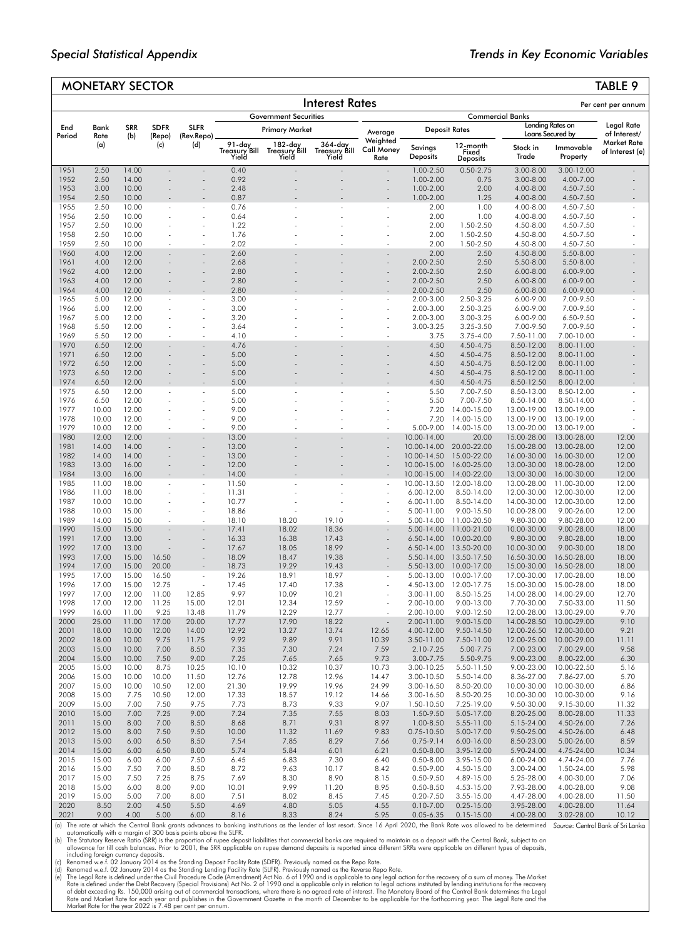## MONETARY SECTOR TABLE 9

|               | LIANI          |                   | コレレーレハ                |                                            |                                  |                                   |                                   |                                       |                                |                                      |                                             |                            | 180LL                                 |
|---------------|----------------|-------------------|-----------------------|--------------------------------------------|----------------------------------|-----------------------------------|-----------------------------------|---------------------------------------|--------------------------------|--------------------------------------|---------------------------------------------|----------------------------|---------------------------------------|
|               |                |                   |                       |                                            |                                  |                                   | <b>Interest Rates</b>             |                                       |                                |                                      |                                             |                            | Per cent per annum                    |
|               |                |                   |                       |                                            |                                  | <b>Government Securities</b>      |                                   |                                       |                                |                                      | <b>Commercial Banks</b><br>Lending Rates on |                            | Legal Rate                            |
| End<br>Period | Bank<br>Rate   | <b>SRR</b><br>(b) | <b>SDFR</b><br>(Repo) | <b>SLFR</b><br>(Rev.Repo)                  |                                  | <b>Primary Market</b>             |                                   | Average                               |                                | <b>Deposit Rates</b>                 | Loans Secured by                            |                            | of Interest/                          |
|               | (a)            |                   | (c)                   | (d)                                        | 91-day<br>Treasury Bill<br>Yield | 182-day<br>Treasury Bill<br>Yield | 364-day<br>Treasury Bill<br>Yield | Weighted<br><b>Call Money</b><br>Rate | Savinas<br><b>Deposits</b>     | 12-month<br>Fixed<br><b>Deposits</b> | Stock in<br>Trade                           | Immovable<br>Property      | <b>Market Rate</b><br>of Interest (e) |
| 1951          | 2.50           | 14.00             |                       |                                            | 0.40                             |                                   |                                   | ÷,                                    | 1.00-2.50                      | $0.50 - 2.75$                        | 3.00-8.00                                   | 3.00-12.00                 |                                       |
| 1952<br>1953  | 2.50<br>3.00   | 14.00<br>10.00    |                       | $\overline{a}$                             | 0.92<br>2.48                     |                                   |                                   | ä,                                    | 1.00-2.00<br>1.00-2.00         | 0.75<br>2.00                         | 3.00-8.00<br>4.00-8.00                      | 4.00-7.00<br>4.50-7.50     |                                       |
| 1954          | 2.50           | 10.00             |                       |                                            | 0.87                             |                                   |                                   |                                       | 1.00-2.00                      | 1.25                                 | 4.00-8.00                                   | 4.50-7.50                  |                                       |
| 1955          | 2.50           | 10.00             |                       | $\bar{\phantom{a}}$                        | 0.76                             |                                   |                                   |                                       | 2.00                           | 1.00                                 | 4.00-8.00                                   | 4.50-7.50                  |                                       |
| 1956<br>1957  | 2.50<br>2.50   | 10.00<br>10.00    |                       | ä,                                         | 0.64<br>1.22                     |                                   |                                   |                                       | 2.00<br>2.00                   | 1.00<br>1.50-2.50                    | 4.00-8.00<br>4.50-8.00                      | 4.50-7.50<br>4.50-7.50     |                                       |
| 1958          | 2.50           | 10.00             |                       | $\overline{a}$                             | 1.76                             |                                   |                                   |                                       | 2.00                           | 1.50-2.50                            | 4.50-8.00                                   | 4.50-7.50                  |                                       |
| 1959          | 2.50           | 10.00             |                       | L.                                         | 2.02                             |                                   |                                   |                                       | 2.00                           | 1.50-2.50                            | 4.50-8.00                                   | 4.50-7.50                  |                                       |
| 1960<br>1961  | 4.00<br>4.00   | 12.00<br>12.00    |                       | $\overline{a}$<br>$\overline{\phantom{a}}$ | 2.60<br>2.68                     |                                   |                                   |                                       | 2.00<br>2.00-2.50              | 2.50<br>2.50                         | 4.50-8.00<br>5.50-8.00                      | 5.50-8.00<br>5.50-8.00     |                                       |
| 1962          | 4.00           | 12.00             |                       | $\overline{\phantom{a}}$                   | 2.80                             |                                   |                                   |                                       | 2.00-2.50                      | 2.50                                 | $6.00 - 8.00$                               | 6.00-9.00                  |                                       |
| 1963          | 4.00           | 12.00             |                       | $\bar{\phantom{a}}$                        | 2.80                             |                                   |                                   |                                       | 2.00-2.50                      | 2.50                                 | $6.00 - 8.00$                               | 6.00-9.00                  |                                       |
| 1964<br>1965  | 4.00<br>5.00   | 12.00<br>12.00    |                       | $\overline{a}$                             | 2.80<br>3.00                     |                                   |                                   |                                       | 2.00-2.50<br>2.00-3.00         | 2.50<br>2.50-3.25                    | 6.00-8.00<br>6.00-9.00                      | 6.00-9.00<br>7.00-9.50     |                                       |
| 1966          | 5.00           | 12.00             |                       |                                            | 3.00                             |                                   |                                   |                                       | 2.00-3.00                      | 2.50-3.25                            | 6.00-9.00                                   | 7.00-9.50                  |                                       |
| 1967          | 5.00           | 12.00             |                       |                                            | 3.20                             |                                   |                                   |                                       | 2.00-3.00                      | 3.00-3.25                            | 6.00-9.00                                   | 6.50-9.50                  |                                       |
| 1968<br>1969  | 5.50<br>5.50   | 12.00<br>12.00    | ÷.                    | ä,<br>$\tilde{\phantom{a}}$                | 3.64<br>4.10                     |                                   |                                   | $\overline{a}$                        | 3.00-3.25<br>3.75              | 3.25-3.50<br>$3.75 - 4.00$           | 7.00-9.50<br>7.50-11.00                     | 7.00-9.50<br>7.00-10.00    |                                       |
| 1970          | 6.50           | 12.00             |                       | ÷.                                         | 4.76                             |                                   |                                   |                                       | 4.50                           | 4.50-4.75                            | 8.50-12.00                                  | 8.00-11.00                 |                                       |
| 1971          | 6.50           | 12.00             |                       | $\overline{\phantom{a}}$                   | 5.00                             |                                   |                                   |                                       | 4.50                           | 4.50-4.75                            | 8.50-12.00                                  | 8.00-11.00                 |                                       |
| 1972<br>1973  | 6.50<br>6.50   | 12.00<br>12.00    |                       | $\overline{\phantom{a}}$                   | 5.00<br>5.00                     |                                   |                                   | ä,                                    | 4.50                           | 4.50-4.75                            | 8.50-12.00                                  | 8.00-11.00<br>8.00-11.00   |                                       |
| 1974          | 6.50           | 12.00             |                       | $\bar{\phantom{a}}$                        | 5.00                             |                                   |                                   |                                       | 4.50<br>4.50                   | 4.50-4.75<br>4.50-4.75               | 8.50-12.00<br>8.50-12.50                    | 8.00-12.00                 |                                       |
| 1975          | 6.50           | 12.00             |                       |                                            | 5.00                             |                                   |                                   |                                       | 5.50                           | 7.00-7.50                            | 8.50-13.00                                  | 8.50-12.00                 |                                       |
| 1976          | 6.50           | 12.00             |                       | $\bar{\phantom{a}}$                        | 5.00                             |                                   |                                   |                                       | 5.50                           | 7.00-7.50                            | 8.50-14.00                                  | 8.50-14.00                 |                                       |
| 1977<br>1978  | 10.00<br>10.00 | 12.00<br>12.00    |                       | l,                                         | 9.00<br>9.00                     |                                   |                                   |                                       | 7.20<br>7.20                   | 14.00-15.00<br>14.00-15.00           | 13.00-19.00<br>13.00-19.00                  | 13.00-19.00<br>13.00-19.00 |                                       |
| 1979          | 10.00          | 12.00             |                       | ä,                                         | 9.00                             |                                   |                                   |                                       | 5.00-9.00                      | 14.00-15.00                          | 13.00-20.00                                 | 13.00-19.00                |                                       |
| 1980          | 12.00          | 12.00             |                       | $\overline{\phantom{a}}$                   | 13.00                            |                                   |                                   |                                       | 10.00-14.00                    | 20.00                                | 15.00-28.00                                 | 13.00-28.00                | 12.00                                 |
| 1981<br>1982  | 14.00<br>14.00 | 14.00<br>14.00    |                       | ۰<br>$\bar{\phantom{a}}$                   | 13.00<br>13.00                   |                                   |                                   |                                       | 10.00-14.00<br>10.00-14.50     | 20.00-22.00<br>15.00-22.00           | 15.00-28.00<br>16.00-30.00                  | 13.00-28.00<br>16.00-30.00 | 12.00<br>12.00                        |
| 1983          | 13.00          | 16.00             |                       | $\overline{\phantom{a}}$                   | 12.00                            |                                   |                                   |                                       | 10.00-15.00                    | 16.00-25.00                          | 13.00-30.00                                 | 18.00-28.00                | 12.00                                 |
| 1984          | 13.00          | 16.00             |                       |                                            | 14.00                            |                                   |                                   |                                       | 10.00-15.00                    | 14.00-22.00                          | 13.00-30.00                                 | 16.00-30.00                | 12.00                                 |
| 1985<br>1986  | 11.00<br>11.00 | 18.00<br>18.00    |                       | $\bar{\phantom{a}}$<br>÷                   | 11.50<br>11.31                   |                                   |                                   | $\tilde{\phantom{a}}$                 | 10.00-13.50<br>6.00-12.00      | 12.00-18.00<br>8.50-14.00            | 13.00-28.00<br>12.00-30.00                  | 11.00-30.00<br>12.00-30.00 | 12.00<br>12.00                        |
| 1987          | 10.00          | 10.00             |                       | ÷,                                         | 10.77                            |                                   |                                   |                                       | 6.00-11.00                     | 8.50-14.00                           | 14.00-30.00                                 | 12.00-30.00                | 12.00                                 |
| 1988          | 10.00          | 15.00             |                       | $\overline{\phantom{a}}$                   | 18.86                            |                                   |                                   |                                       | 5.00-11.00                     | 9.00-15.50                           | 10.00-28.00                                 | 9.00-26.00                 | 12.00                                 |
| 1989<br>1990  | 14.00<br>15.00 | 15.00<br>15.00    | ÷.                    | $\overline{a}$<br>ä,                       | 18.10<br>17.41                   | 18.20<br>18.02                    | 19.10<br>18.36                    | $\sim$<br>÷,                          | 5.00-14.00<br>5.00-14.00       | 11.00-20.50<br>11.00-21.00           | 9.80-30.00<br>10.00-30.00                   | 9.80-28.00<br>9.00-28.00   | 12.00<br>18.00                        |
| 1991          | 17.00          | 13.00             |                       | ÷.                                         | 16.33                            | 16.38                             | 17.43                             | $\sim$                                | 6.50-14.00                     | 10.00-20.00                          | 9.80-30.00                                  | 9.80-28.00                 | 18.00                                 |
| 1992          | 17.00          | 13.00             |                       | $\overline{a}$                             | 17.67                            | 18.05                             | 18.99                             |                                       | $6.50 - 14.00$                 | 13.50-20.00                          | 10.00-30.00                                 | 9.00-30.00                 | 18.00                                 |
| 1993<br>1994  | 17.00<br>17.00 | 15.00<br>15.00    | 16.50<br>20.00        |                                            | 18.09<br>18.73                   | 18.47<br>19.29                    | 19.38<br>19.43                    |                                       | 5.50-14.00<br>5.50-13.00       | 13.50-17.50<br>10.00-17.00           | 16.50-30.00<br>15.00-30.00                  | 16.50-28.00<br>16.50-28.00 | 18.00<br>18.00                        |
| 1995          | 17.00          | 15.00             | 16.50                 | ÷,                                         | 19.26                            | 18.91                             | 18.97                             |                                       | 5.00-13.00                     | 10.00-17.00                          | 17.00-30.00                                 | 17.00-28.00                | 18.00                                 |
| 1996          | 17.00          | 15.00             | 12.75                 |                                            | 17.45                            | 17.40                             | 17.38                             | $\overline{\phantom{a}}$              | 4.50-13.00                     | 12.00-17.75                          | 15.00-30.00                                 | 15.00-28.00                | 18.00                                 |
| 1997<br>1998  | 17.00<br>17.00 | 12.00<br>12.00    | 11.00<br>11.25        | 12.85<br>15.00                             | 9.97<br>12.01                    | 10.09<br>12.34                    | 10.21<br>12.59                    | $\tilde{\phantom{a}}$                 | 3.00-11.00<br>2.00-10.00       | 8.50-15.25<br>9.00-13.00             | 14.00-28.00<br>7.70-30.00                   | 14.00-29.00<br>7.50-33.00  | 12.70<br>11.50                        |
| 1999          | 16.00          | 11.00             | 9.25                  | 13.48                                      | 11.79                            | 12.29                             | 12.77                             |                                       | 2.00-10.00                     | 9.00-12.50                           | 12.00-28.00                                 | 13.00-29.00                | 9.70                                  |
| 2000          | 25.00          | 11.00             | 17.00                 | 20.00                                      | 17.77                            | 17.90                             | 18.22                             |                                       | 2.00-11.00                     | 9.00-15.00                           | 14.00-28.50                                 | 10.00-29.00                | 9.10                                  |
| 2001<br>2002  | 18.00<br>18.00 | 10.00<br>10.00    | 12.00<br>9.75         | 14.00<br>11.75                             | 12.92<br>9.92                    | 13.27<br>9.89                     | 13.74<br>9.91                     | 12.65<br>10.39                        | 4.00-12.00<br>3.50-11.00       | 9.50-14.50                           | 12.00-26.50<br>12.00-25.00                  | 12.00-30.00<br>10.00-29.00 | 9.21<br>11.11                         |
| 2003          | 15.00          | 10.00             | 7.00                  | 8.50                                       | 7.35                             | 7.30                              | 7.24                              | 7.59                                  | 2.10-7.25                      | 7.50-11.00<br>5.00-7.75              | 7.00-23.00                                  | 7.00-29.00                 | 9.58                                  |
| 2004          | 15.00          | 10.00             | 7.50                  | 9.00                                       | 7.25                             | 7.65                              | 7.65                              | 9.73                                  | 3.00-7.75                      | 5.50-9.75                            | 9.00-23.00                                  | 8.00-22.00                 | 6.30                                  |
| 2005          | 15.00          | 10.00             | 8.75                  | 10.25                                      | 10.10                            | 10.32                             | 10.37                             | 10.73                                 | 3.00-10.25<br>3.00-10.50       | 5.50-11.50                           | 9.00-23.00                                  | 10.00-22.50                | 5.16                                  |
| 2006<br>2007  | 15.00<br>15.00 | 10.00<br>10.00    | 10.00<br>10.50        | 11.50<br>12.00                             | 12.76<br>21.30                   | 12.78<br>19.99                    | 12.96<br>19.96                    | 14.47<br>24.99                        | 3.00-16.50                     | 5.50-14.00<br>8.50-20.00             | 8.36-27.00<br>10.00-30.00                   | 7.86-27.00<br>10.00-30.00  | 5.70<br>6.86                          |
| 2008          | 15.00          | 7.75              | 10.50                 | 12.00                                      | 17.33                            | 18.57                             | 19.12                             | 14.66                                 | 3.00-16.50                     | 8.50-20.25                           | 10.00-30.00                                 | 10.00-30.00                | 9.16                                  |
| 2009          | 15.00          | 7.00              | 7.50                  | 9.75                                       | 7.73                             | 8.73                              | 9.33                              | 9.07                                  | 1.50-10.50                     | 7.25-19.00                           | 9.50-30.00                                  | 9.15-30.00                 | 11.32                                 |
| 2010<br>2011  | 15.00<br>15.00 | 7.00<br>8.00      | 7.25<br>7.00          | 9.00<br>8.50                               | 7.24<br>8.68                     | 7.35<br>8.71                      | 7.55<br>9.31                      | 8.03<br>8.97                          | 1.50-9.50<br>1.00-8.50         | 5.05-17.00<br>5.55-11.00             | 8.20-25.00<br>5.15-24.00                    | 8.00-28.00<br>4.50-26.00   | 11.33<br>7.26                         |
| 2012          | 15.00          | 8.00              | 7.50                  | 9.50                                       | 10.00                            | 11.32                             | 11.69                             | 9.83                                  | $0.75 - 10.50$                 | 5.00-17.00                           | 9.50-25.00                                  | 4.50-26.00                 | 6.48                                  |
| 2013          | 15.00          | 6.00              | 6.50                  | 8.50                                       | 7.54                             | 7.85                              | 8.29                              | 7.66                                  | $0.75 - 9.14$                  | 6.00-16.00                           | 8.50-23.00                                  | 5.00-26.00                 | 8.59                                  |
| 2014<br>2015  | 15.00<br>15.00 | 6.00<br>6.00      | 6.50<br>6.00          | 8.00<br>7.50                               | 5.74<br>6.45                     | 5.84<br>6.83                      | 6.01<br>7.30                      | 6.21<br>6.40                          | $0.50 - 8.00$<br>$0.50 - 8.00$ | 3.95-12.00<br>3.95-15.00             | 5.90-24.00<br>6.00-24.00                    | 4.75-24.00<br>4.74-24.00   | 10.34<br>7.76                         |
| 2016          | 15.00          | 7.50              | 7.00                  | 8.50                                       | 8.72                             | 9.63                              | 10.17                             | 8.42                                  | $0.50 - 9.00$                  | 4.50-15.00                           | 3.00-24.00                                  | 1.50-24.00                 | 5.98                                  |
| 2017          | 15.00          | 7.50              | 7.25                  | 8.75                                       | 7.69                             | 8.30                              | 8.90                              | 8.15                                  | 0.50-9.50                      | 4.89-15.00                           | 5.25-28.00                                  | 4.00-30.00                 | 7.06                                  |
| 2018<br>2019  | 15.00<br>15.00 | 6.00<br>5.00      | 8.00<br>7.00          | 9.00<br>8.00                               | 10.01<br>7.51                    | 9.99<br>8.02                      | 11.20<br>8.45                     | 8.95<br>7.45                          | $0.50 - 8.50$<br>$0.20 - 7.50$ | 4.53-15.00<br>3.55-15.00             | 7.93-28.00<br>4.47-28.00                    | 4.00-28.00<br>4.00-28.00   | 9.08<br>11.50                         |
| 2020          | 8.50           | 2.00              | 4.50                  | 5.50                                       | 4.69                             | 4.80                              | 5.05                              | 4.55                                  | $0.10 - 7.00$                  | $0.25 - 15.00$                       | 3.95-28.00                                  | 4.00-28.00                 | 11.64                                 |
| 2021          | 9.00           | 4.00              | 5.00                  | 6.00                                       | 8.16                             | 8.33                              | 8.24                              | 5.95                                  | $0.05 - 6.35$                  | $0.15 - 15.00$                       | 4.00-28.00                                  | 3.02-28.00                 | 10.12                                 |

*Source*: Central Bank of Sri Lanka

(a) The rate at which the Central Bank grants advances to banking institutions as the lender of last resort. Since 16 April 2020, the Bank Rate was allowed to be determined<br>(b) The Statutory Reserve Ratio (SRR) is the prop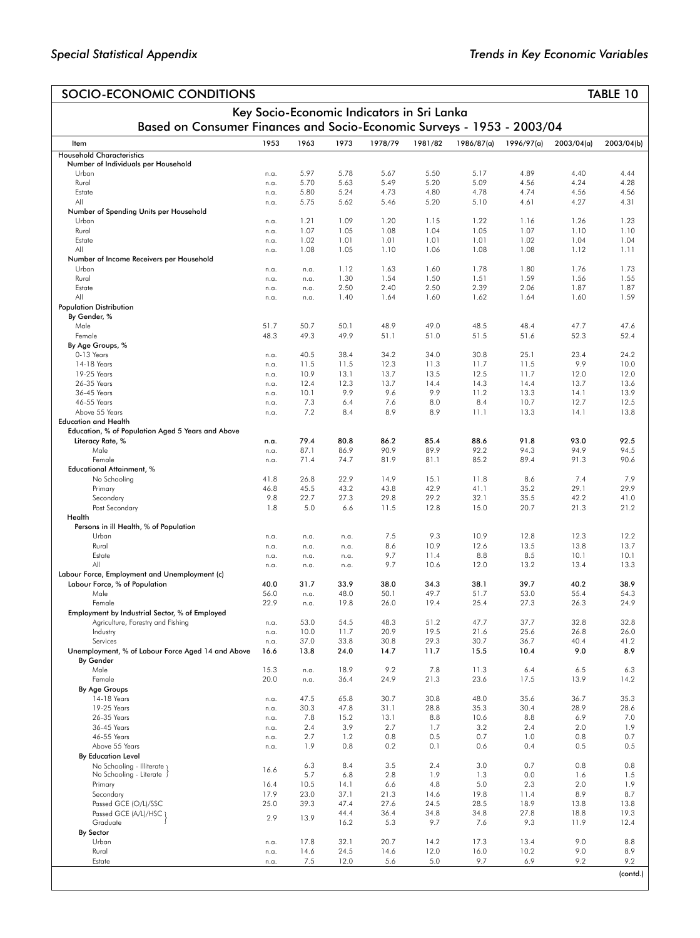| SOCIO-ECONOMIC CONDITIONS                                               |                                                                                                                      |              |              |              |              |              |              |              | TABLE 10     |  |  |  |  |  |
|-------------------------------------------------------------------------|----------------------------------------------------------------------------------------------------------------------|--------------|--------------|--------------|--------------|--------------|--------------|--------------|--------------|--|--|--|--|--|
|                                                                         | Key Socio-Economic Indicators in Sri Lanka<br>Based on Consumer Finances and Socio-Economic Surveys - 1953 - 2003/04 |              |              |              |              |              |              |              |              |  |  |  |  |  |
|                                                                         |                                                                                                                      |              |              |              |              |              |              |              |              |  |  |  |  |  |
| Item                                                                    | 1953                                                                                                                 | 1963         | 1973         | 1978/79      | 1981/82      | 1986/87(a)   | 1996/97(a)   | 2003/04(a)   | 2003/04(b)   |  |  |  |  |  |
| <b>Household Characteristics</b><br>Number of Individuals per Household |                                                                                                                      |              |              |              |              |              |              |              |              |  |  |  |  |  |
| Urban                                                                   | n.a.                                                                                                                 | 5.97         | 5.78         | 5.67         | 5.50         | 5.17         | 4.89         | 4.40         | 4.44         |  |  |  |  |  |
| Rural<br>Estate                                                         | n.a.<br>n.a.                                                                                                         | 5.70<br>5.80 | 5.63<br>5.24 | 5.49<br>4.73 | 5.20<br>4.80 | 5.09<br>4.78 | 4.56<br>4.74 | 4.24<br>4.56 | 4.28<br>4.56 |  |  |  |  |  |
| All                                                                     | n.a.                                                                                                                 | 5.75         | 5.62         | 5.46         | 5.20         | 5.10         | 4.61         | 4.27         | 4.31         |  |  |  |  |  |
| Number of Spending Units per Household                                  |                                                                                                                      |              |              |              |              |              |              |              |              |  |  |  |  |  |
| Urban<br>Rural                                                          | n.a.                                                                                                                 | 1.21<br>1.07 | 1.09<br>1.05 | 1.20<br>1.08 | 1.15<br>1.04 | 1.22<br>1.05 | 1.16<br>1.07 | 1.26<br>1.10 | 1.23<br>1.10 |  |  |  |  |  |
| Estate                                                                  | n.a.<br>n.a.                                                                                                         | 1.02         | 1.01         | 1.01         | 1.01         | 1.01         | 1.02         | 1.04         | 1.04         |  |  |  |  |  |
| All                                                                     | n.a.                                                                                                                 | 1.08         | 1.05         | 1.10         | 1.06         | 1.08         | 1.08         | 1.12         | 1.11         |  |  |  |  |  |
| Number of Income Receivers per Household                                |                                                                                                                      |              |              |              |              | 1.78         |              |              |              |  |  |  |  |  |
| Urban<br>Rural                                                          | n.a.<br>n.a.                                                                                                         | n.a.<br>n.a. | 1.12<br>1.30 | 1.63<br>1.54 | 1.60<br>1.50 | 1.51         | 1.80<br>1.59 | 1.76<br>1.56 | 1.73<br>1.55 |  |  |  |  |  |
| Estate                                                                  | n.a.                                                                                                                 | n.a.         | 2.50         | 2.40         | 2.50         | 2.39         | 2.06         | 1.87         | 1.87         |  |  |  |  |  |
| All                                                                     | n.a.                                                                                                                 | n.a.         | 1.40         | 1.64         | 1.60         | 1.62         | 1.64         | 1.60         | 1.59         |  |  |  |  |  |
| <b>Population Distribution</b><br>By Gender, %                          |                                                                                                                      |              |              |              |              |              |              |              |              |  |  |  |  |  |
| Male                                                                    | 51.7                                                                                                                 | 50.7         | 50.1         | 48.9         | 49.0         | 48.5         | 48.4         | 47.7         | 47.6         |  |  |  |  |  |
| Female                                                                  | 48.3                                                                                                                 | 49.3         | 49.9         | 51.1         | 51.0         | 51.5         | 51.6         | 52.3         | 52.4         |  |  |  |  |  |
| By Age Groups, %<br>0-13 Years                                          | n.a.                                                                                                                 | 40.5         | 38.4         | 34.2         | 34.0         | 30.8         | 25.1         | 23.4         | 24.2         |  |  |  |  |  |
| 14-18 Years                                                             | n.a.                                                                                                                 | 11.5         | 11.5         | 12.3         | 11.3         | 11.7         | 11.5         | 9.9          | 10.0         |  |  |  |  |  |
| 19-25 Years                                                             | n.a.                                                                                                                 | 10.9         | 13.1         | 13.7         | 13.5         | 12.5         | 11.7         | 12.0         | 12.0         |  |  |  |  |  |
| 26-35 Years<br>36-45 Years                                              | n.a.                                                                                                                 | 12.4<br>10.1 | 12.3<br>9.9  | 13.7<br>9.6  | 14.4<br>9.9  | 14.3<br>11.2 | 14.4<br>13.3 | 13.7<br>14.1 | 13.6<br>13.9 |  |  |  |  |  |
| 46-55 Years                                                             | n.a.<br>n.a.                                                                                                         | 7.3          | 6.4          | 7.6          | 8.0          | 8.4          | 10.7         | 12.7         | 12.5         |  |  |  |  |  |
| Above 55 Years                                                          | n.a.                                                                                                                 | 7.2          | 8.4          | 8.9          | 8.9          | 11.1         | 13.3         | 14.1         | 13.8         |  |  |  |  |  |
| <b>Education and Health</b>                                             |                                                                                                                      |              |              |              |              |              |              |              |              |  |  |  |  |  |
| Education, % of Population Aged 5 Years and Above<br>Literacy Rate, %   | n.a.                                                                                                                 | 79.4         | 80.8         | 86.2         | 85.4         | 88.6         | 91.8         | 93.0         | 92.5         |  |  |  |  |  |
| Male                                                                    | n.a.                                                                                                                 | 87.1         | 86.9         | 90.9         | 89.9         | 92.2         | 94.3         | 94.9         | 94.5         |  |  |  |  |  |
| Female                                                                  | n.a.                                                                                                                 | 71.4         | 74.7         | 81.9         | 81.1         | 85.2         | 89.4         | 91.3         | 90.6         |  |  |  |  |  |
| <b>Educational Attainment, %</b><br>No Schooling                        | 41.8                                                                                                                 | 26.8         | 22.9         | 14.9         | 15.1         | 11.8         | 8.6          | 7.4          | 7.9          |  |  |  |  |  |
| Primary                                                                 | 46.8                                                                                                                 | 45.5         | 43.2         | 43.8         | 42.9         | 41.1         | 35.2         | 29.1         | 29.9         |  |  |  |  |  |
| Secondary                                                               | 9.8                                                                                                                  | 22.7         | 27.3         | 29.8         | 29.2         | 32.1         | 35.5         | 42.2         | 41.0         |  |  |  |  |  |
| Post Secondary<br>Health                                                | 1.8                                                                                                                  | 5.0          | 6.6          | 11.5         | 12.8         | 15.0         | 20.7         | 21.3         | 21.2         |  |  |  |  |  |
| Persons in ill Health, % of Population                                  |                                                                                                                      |              |              |              |              |              |              |              |              |  |  |  |  |  |
| Urban                                                                   | n.a.                                                                                                                 | n.a.         | n.a.         | 7.5          | 9.3          | 10.9         | 12.8         | 12.3         | 12.2         |  |  |  |  |  |
| Rural<br>Estate                                                         | n.a.                                                                                                                 | n.a.         | n.a.         | 8.6<br>9.7   | 10.9<br>11.4 | 12.6<br>8.8  | 13.5<br>8.5  | 13.8<br>10.1 | 13.7<br>10.1 |  |  |  |  |  |
| All                                                                     | n.a.<br>n.a.                                                                                                         | n.a.<br>n.a. | n.a.<br>n.a. | 9.7          | 10.6         | 12.0         | 13.2         | 13.4         | 13.3         |  |  |  |  |  |
| Labour Force, Employment and Unemployment (c)                           |                                                                                                                      |              |              |              |              |              |              |              |              |  |  |  |  |  |
| Labour Force, % of Population                                           | 40.0<br>56.0                                                                                                         | 31.7         | 33.9<br>48.0 | 38.0<br>50.1 | 34.3<br>49.7 | 38.1<br>51.7 | 39.7<br>53.0 | 40.2<br>55.4 | 38.9<br>54.3 |  |  |  |  |  |
| Male<br>Female                                                          | 22.9                                                                                                                 | n.a.<br>n.a. | 19.8         | 26.0         | 19.4         | 25.4         | 27.3         | 26.3         | 24.9         |  |  |  |  |  |
| Employment by Industrial Sector, % of Employed                          |                                                                                                                      |              |              |              |              |              |              |              |              |  |  |  |  |  |
| Agriculture, Forestry and Fishing                                       | n.a.                                                                                                                 | 53.0         | 54.5         | 48.3         | 51.2         | 47.7         | 37.7         | 32.8         | 32.8         |  |  |  |  |  |
| Industry<br>Services                                                    | n.a.<br>n.a.                                                                                                         | 10.0<br>37.0 | 11.7<br>33.8 | 20.9<br>30.8 | 19.5<br>29.3 | 21.6<br>30.7 | 25.6<br>36.7 | 26.8<br>40.4 | 26.0<br>41.2 |  |  |  |  |  |
| Unemployment, % of Labour Force Aged 14 and Above                       | 16.6                                                                                                                 | 13.8         | 24.0         | 14.7         | 11.7         | 15.5         | 10.4         | 9.0          | 8.9          |  |  |  |  |  |
| By Gender                                                               |                                                                                                                      |              |              |              |              |              |              |              |              |  |  |  |  |  |
| Male<br>Female                                                          | 15.3<br>20.0                                                                                                         | n.a.<br>n.a. | 18.9<br>36.4 | 9.2<br>24.9  | 7.8<br>21.3  | 11.3<br>23.6 | 6.4<br>17.5  | 6.5<br>13.9  | 6.3<br>14.2  |  |  |  |  |  |
| By Age Groups                                                           |                                                                                                                      |              |              |              |              |              |              |              |              |  |  |  |  |  |
| 14-18 Years                                                             | n.a.                                                                                                                 | 47.5         | 65.8         | 30.7         | 30.8         | 48.0         | 35.6         | 36.7         | 35.3         |  |  |  |  |  |
| 19-25 Years<br>26-35 Years                                              | n.a.<br>n.a.                                                                                                         | 30.3<br>7.8  | 47.8<br>15.2 | 31.1<br>13.1 | 28.8<br>8.8  | 35.3<br>10.6 | 30.4<br>8.8  | 28.9<br>6.9  | 28.6<br>7.0  |  |  |  |  |  |
| 36-45 Years                                                             | n.a.                                                                                                                 | 2.4          | 3.9          | 2.7          | 1.7          | 3.2          | 2.4          | 2.0          | 1.9          |  |  |  |  |  |
| 46-55 Years                                                             | n.a.                                                                                                                 | 2.7          | 1.2          | 0.8          | 0.5          | 0.7          | 1.0          | 0.8          | 0.7          |  |  |  |  |  |
| Above 55 Years<br>By Education Level                                    | n.a.                                                                                                                 | 1.9          | 0.8          | 0.2          | 0.1          | 0.6          | 0.4          | 0.5          | 0.5          |  |  |  |  |  |
| No Schooling - Illiterate 1                                             |                                                                                                                      | 6.3          | 8.4          | 3.5          | 2.4          | 3.0          | 0.7          | 0.8          | 0.8          |  |  |  |  |  |
| No Schooling - Literate .                                               | 16.6                                                                                                                 | 5.7          | 6.8          | 2.8          | 1.9          | 1.3          | 0.0          | 1.6          | 1.5          |  |  |  |  |  |
| Primary                                                                 | 16.4                                                                                                                 | 10.5         | 14.1         | 6.6          | 4.8          | 5.0          | 2.3          | 2.0          | 1.9          |  |  |  |  |  |
| Secondary<br>Passed GCE (O/L)/SSC                                       | 17.9<br>25.0                                                                                                         | 23.0<br>39.3 | 37.1<br>47.4 | 21.3<br>27.6 | 14.6<br>24.5 | 19.8<br>28.5 | 11.4<br>18.9 | 8.9<br>13.8  | 8.7<br>13.8  |  |  |  |  |  |
| Passed GCE (A/L)/HSC 1                                                  | 2.9                                                                                                                  | 13.9         | 44.4         | 36.4         | 34.8         | 34.8         | 27.8         | 18.8         | 19.3         |  |  |  |  |  |
| Graduate                                                                |                                                                                                                      |              | 16.2         | 5.3          | 9.7          | 7.6          | 9.3          | 11.9         | 12.4         |  |  |  |  |  |
| By Sector<br>Urban                                                      | n.a.                                                                                                                 | 17.8         | 32.1         | 20.7         | 14.2         | 17.3         | 13.4         | 9.0          | 8.8          |  |  |  |  |  |
| Rural                                                                   | n.a.                                                                                                                 | 14.6         | 24.5         | 14.6         | 12.0         | 16.0         | 10.2         | 9.0          | 8.9          |  |  |  |  |  |
| Estate                                                                  | n.a.                                                                                                                 | 7.5          | 12.0         | 5.6          | 5.0          | 9.7          | 6.9          | 9.2          | 9.2          |  |  |  |  |  |
|                                                                         |                                                                                                                      |              |              |              |              |              |              |              | (contd.)     |  |  |  |  |  |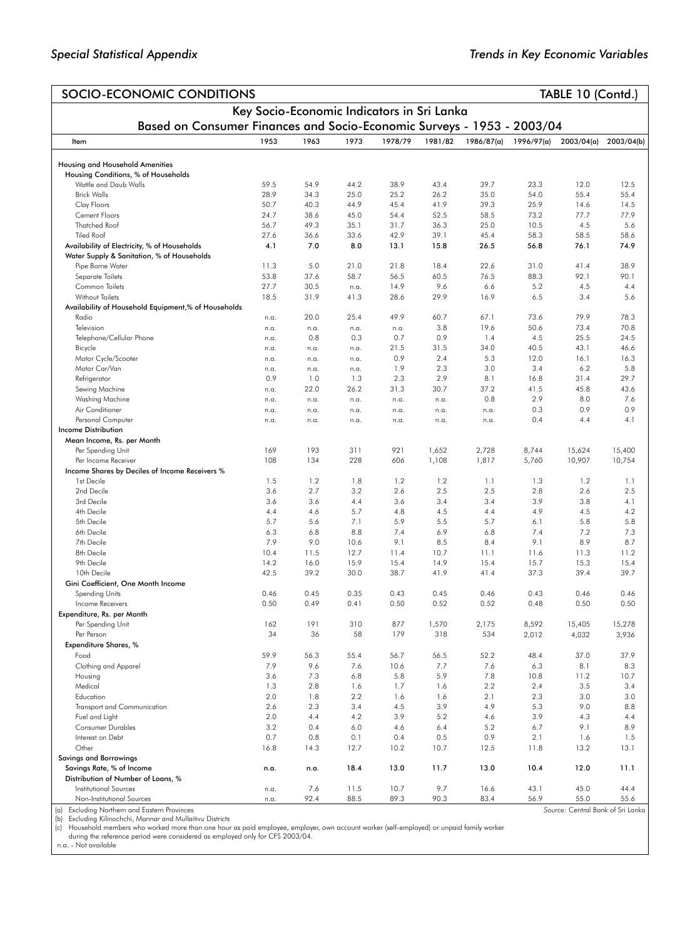| SOCIO-ECONOMIC CONDITIONS                                                     |              |              |            |                                            |             |             |            | TABLE 10 (Contd.) |                |
|-------------------------------------------------------------------------------|--------------|--------------|------------|--------------------------------------------|-------------|-------------|------------|-------------------|----------------|
|                                                                               |              |              |            | Key Socio-Economic Indicators in Sri Lanka |             |             |            |                   |                |
| Based on Consumer Finances and Socio-Economic Surveys - 1953 - 2003/04        |              |              |            |                                            |             |             |            |                   |                |
| Item                                                                          | 1953         | 1963         | 1973       | 1978/79                                    | 1981/82     | 1986/87(a)  | 1996/97(a) | 2003/04(a)        | 2003/04(b)     |
|                                                                               |              |              |            |                                            |             |             |            |                   |                |
| <b>Housing and Household Amenities</b><br>Housing Conditions, % of Households |              |              |            |                                            |             |             |            |                   |                |
| Wattle and Daub Walls                                                         | 59.5         | 54.9         | 44.2       | 38.9                                       | 43.4        | 39.7        | 23.3       | 12.0              | 12.5           |
| <b>Brick Walls</b>                                                            | 28.9         | 34.3         | 25.0       | 25.2                                       | 26.2        | 35.0        | 54.0       | 55.4              | 55.4           |
| Clay Floors                                                                   | 50.7         | 40.3         | 44.9       | 45.4                                       | 41.9        | 39.3        | 25.9       | 14.6              | 14.5           |
| Cement Floors                                                                 | 24.7         | 38.6         | 45.0       | 54.4                                       | 52.5        | 58.5        | 73.2       | 77.7              | 77.9           |
| <b>Thatched Roof</b>                                                          | 56.7         | 49.3         | 35.1       | 31.7                                       | 36.3        | 25.0        | 10.5       | 4.5               | 5.6            |
| <b>Tiled Roof</b>                                                             | 27.6         | 36.6         | 33.6       | 42.9                                       | 39.1        | 45.4        | 58.3       | 58.5              | 58.6           |
| Availability of Electricity, % of Households                                  | 4.1          | 7.0          | 8.0        | 13.1                                       | 15.8        | 26.5        | 56.8       | 76.1              | 74.9           |
| Water Supply & Sanitation, % of Households                                    |              |              |            |                                            |             |             |            |                   |                |
| Pipe Borne Water                                                              | 11.3         | 5.0          | 21.0       | 21.8                                       | 18.4        | 22.6        | 31.0       | 41.4              | 38.9           |
| Separate Toilets                                                              | 53.8         | 37.6         | 58.7       | 56.5                                       | 60.5        | 76.5        | 88.3       | 92.1              | 90.1           |
| Common Toilets                                                                | 27.7<br>18.5 | 30.5<br>31.9 | n.a.       | 14.9<br>28.6                               | 9.6<br>29.9 | 6.6<br>16.9 | 5.2<br>6.5 | 4.5<br>3.4        | 4.4            |
| Without Toilets<br>Availability of Household Equipment,% of Households        |              |              | 41.3       |                                            |             |             |            |                   | 5.6            |
| Radio                                                                         | n.a.         | 20.0         | 25.4       | 49.9                                       | 60.7        | 67.1        | 73.6       | 79.9              | 78.3           |
| Television                                                                    | n.a.         | n.a.         | n.a.       | n.a.                                       | 3.8         | 19.6        | 50.6       | 73.4              | 70.8           |
| Telephone/Cellular Phone                                                      | n.a.         | 0.8          | 0.3        | 0.7                                        | 0.9         | 1.4         | 4.5        | 25.5              | 24.5           |
| Bicycle                                                                       | n.a.         | n.a.         | n.a.       | 21.5                                       | 31.5        | 34.0        | 40.5       | 43.1              | 46.6           |
| Motor Cycle/Scooter                                                           | n.a.         | n.a.         | n.a.       | 0.9                                        | 2.4         | 5.3         | 12.0       | 16.1              | 16.3           |
| Motor Car/Van                                                                 | n.a.         | n.a.         | n.a.       | 1.9                                        | 2.3         | 3.0         | 3.4        | 6.2               | 5.8            |
| Refrigerator                                                                  | 0.9          | 1.0          | 1.3        | 2.3                                        | 2.9         | 8.1         | 16.8       | 31.4              | 29.7           |
| Sewing Machine                                                                | n.a.         | 22.0         | 26.2       | 31.3                                       | 30.7        | 37.2        | 41.5       | 45.8              | 43.6           |
| Washing Machine                                                               | n.a.         | n.a.         | n.a.       | n.a.                                       | n.a.        | 0.8         | 2.9        | 8.0               | 7.6            |
| Air Conditioner                                                               | n.a.         | n.a.         | n.a.       | n.a.                                       | n.a.        | n.a.        | 0.3        | 0.9               | 0.9            |
| Personal Computer                                                             | n.a.         | n.a.         | n.a.       | n.a.                                       | n.a.        | n.a.        | 0.4        | 4.4               | 4.1            |
| <b>Income Distribution</b>                                                    |              |              |            |                                            |             |             |            |                   |                |
| Mean Income, Rs. per Month                                                    |              |              |            |                                            |             |             |            |                   |                |
| Per Spending Unit                                                             | 169          | 193          | 311        | 921                                        | 1,652       | 2,728       | 8,744      | 15,624            | 15,400         |
| Per Income Receiver                                                           | 108          | 134          | 228        | 606                                        | 1,108       | 1,817       | 5,760      | 10,907            | 10,754         |
| Income Shares by Deciles of Income Receivers %                                |              |              |            |                                            |             |             |            |                   |                |
| 1st Decile                                                                    | 1.5          | 1.2          | 1.8        | 1.2                                        | 1.2         | 1.1         | 1.3        | 1.2               | 1.1            |
| 2nd Decile                                                                    | 3.6          | 2.7          | 3.2        | 2.6                                        | 2.5         | 2.5         | 2.8        | 2.6               | 2.5            |
| 3rd Decile                                                                    | 3.6          | 3.6          | 4.4        | 3.6                                        | 3.4         | 3.4         | 3.9        | 3.8               | 4.1            |
| 4th Decile                                                                    | 4.4          | 4.6          | 5.7        | 4.8                                        | 4.5         | 4.4         | 4.9        | 4.5               | 4.2            |
| 5th Decile<br>6th Decile                                                      | 5.7<br>6.3   | 5.6<br>6.8   | 7.1<br>8.8 | 5.9<br>7.4                                 | 5.5<br>6.9  | 5.7<br>6.8  | 6.1<br>7.4 | 5.8<br>7.2        | 5.8<br>7.3     |
| 7th Decile                                                                    | 7.9          | 9.0          | 10.6       | 9.1                                        | 8.5         | 8.4         | 9.1        | 8.9               | 8.7            |
| 8th Decile                                                                    | 10.4         | 11.5         | 12.7       | 11.4                                       | 10.7        | 11.1        | 11.6       | 11.3              | 11.2           |
| 9th Decile                                                                    | 14.2         | 16.0         | 15.9       | 15.4                                       | 14.9        | 15.4        | 15.7       | 15.3              | 15.4           |
| 10th Decile                                                                   | 42.5         | 39.2         | 30.0       | 38.7                                       | 41.9        | 41.4        | 37.3       | 39.4              | 39.7           |
| Gini Coefficient, One Month Income                                            |              |              |            |                                            |             |             |            |                   |                |
| Spending Units                                                                | 0.46         | 0.45         | 0.35       | 0.43                                       | 0.45        | 0.46        | 0.43       | 0.46              | 0.46           |
| Income Receivers                                                              | 0.50         | 0.49         | 0.41       | 0.50                                       | 0.52        | 0.52        | 0.48       | 0.50              | 0.50           |
| Expenditure, Rs. per Month                                                    |              |              |            |                                            |             |             |            |                   |                |
| Per Spending Unit                                                             | 162          | 191          | 310        | 877                                        | 1,570       | 2,175       | 8,592      | 15,405            | 15,278         |
| Per Person                                                                    | 34           | 36           | 58         | 179                                        | 318         | 534         | 2,012      | 4,032             | 3,936          |
| <b>Expenditure Shares, %</b>                                                  |              |              |            |                                            |             |             |            |                   |                |
| Food                                                                          | 59.9         | 56.3         | 55.4       | 56.7                                       | 56.5        | 52.2        | 48.4       | 37.0              | 37.9           |
| Clothing and Apparel                                                          | 7.9          | 9.6          | 7.6        | 10.6                                       | 7.7         | 7.6         | 6.3        | 8.1               | 8.3            |
| Housing                                                                       | 3.6          | 7.3          | 6.8        | 5.8                                        | 5.9         | 7.8         | 10.8       | 11.2              | 10.7           |
| Medical                                                                       | 1.3          | 2.8          | 1.6        | 1.7                                        | 1.6         | 2.2         | 2.4        | 3.5               | 3.4            |
| Education                                                                     | 2.0          | 1.8          | 2.2        | 1.6                                        | 1.6         | 2.1         | 2.3        | 3.0               | 3.0            |
| Transport and Communication                                                   | 2.6          | 2.3          | 3.4        | 4.5                                        | 3.9         | 4.9         | 5.3        | 9.0               | 8.8            |
| Fuel and Light                                                                | 2.0          | 4.4          | 4.2        | 3.9                                        | 5.2         | 4.6         | 3.9        | 4.3               | 4.4            |
| Consumer Durables                                                             | 3.2          | 0.4          | 6.0        | 4.6                                        | 6.4         | 5.2         | 6.7        | 9.1               | 8.9            |
| Interest on Debt                                                              | 0.7          | 0.8          | 0.1        | 0.4                                        | 0.5         | 0.9         | 2.1        | 1.6               | 1.5            |
| Other                                                                         | 16.8         | 14.3         | 12.7       | 10.2                                       | 10.7        | 12.5        | 11.8       | 13.2              | 13.1           |
| <b>Savings and Borrowings</b>                                                 |              |              |            |                                            |             |             |            |                   |                |
| Savings Rate, % of Income<br>Distribution of Number of Loans, %               | n.a.         | n.a.         | 18.4       | 13.0                                       | 11.7        | 13.0        | 10.4       | 12.0              | 11.1           |
| <b>Institutional Sources</b>                                                  | n.a.         | 7.6          | 11.5       | 10.7                                       | 9.7         | 16.6        | 43.1       | 45.0              | 44.4           |
| Non-Institutional Sources                                                     | n.a.         | 92.4         | 88.5       | 89.3                                       | 90.3        | 83.4        | 56.9       | 55.0              | 55.6           |
|                                                                               |              |              |            |                                            |             |             |            | $-10-$            | والتواكس والمر |

(a) Excluding Northern and Eastern Provinces<br>(b) Excluding Kilinochchi, Mannar and Mullatitvu Districts<br>(c) Household members who worked more than one hour as paid employee, employer, own account worker (self-employed) or

*Source*: Central Bank of Sri Lanka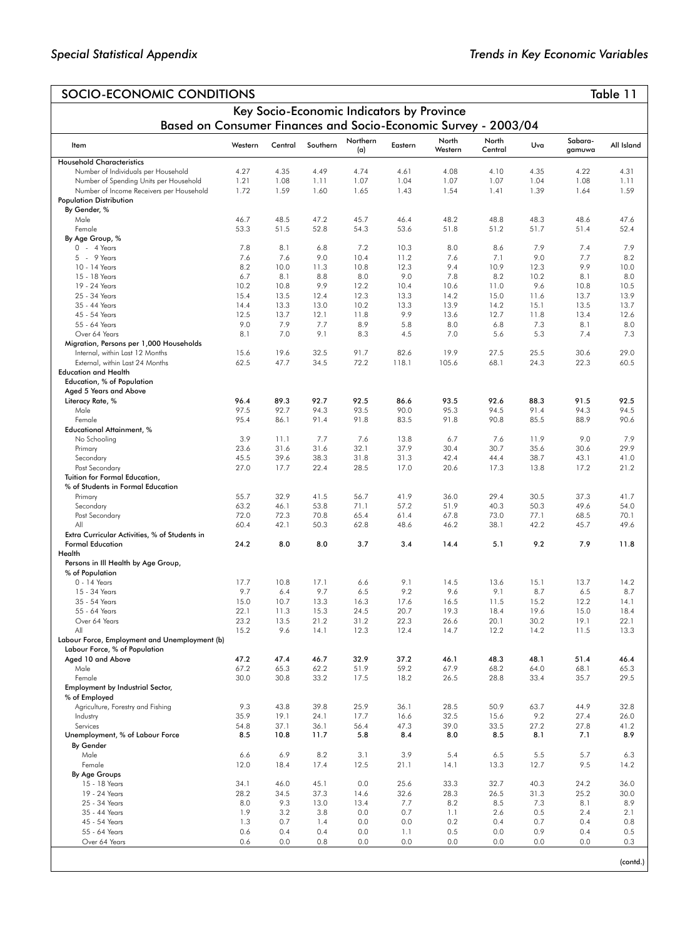| SOCIO-ECONOMIC CONDITIONS<br>Table 11                                              |              |              |              |                 |              |                  |                  |              |                   |              |
|------------------------------------------------------------------------------------|--------------|--------------|--------------|-----------------|--------------|------------------|------------------|--------------|-------------------|--------------|
| Key Socio-Economic Indicators by Province                                          |              |              |              |                 |              |                  |                  |              |                   |              |
| Based on Consumer Finances and Socio-Economic Survey - 2003/04                     |              |              |              |                 |              |                  |                  |              |                   |              |
| Item                                                                               | Western      | Central      | Southern     | Northern<br>(a) | Eastern      | North<br>Western | North<br>Central | Uva          | Sabara-<br>gamuwa | All Island   |
| <b>Household Characteristics</b>                                                   |              |              |              |                 |              |                  |                  |              |                   |              |
| Number of Individuals per Household                                                | 4.27<br>1.21 | 4.35<br>1.08 | 4.49<br>1.11 | 4.74<br>1.07    | 4.61<br>1.04 | 4.08<br>1.07     | 4.10<br>1.07     | 4.35<br>1.04 | 4.22<br>1.08      | 4.31         |
| Number of Spending Units per Household<br>Number of Income Receivers per Household | 1.72         | 1.59         | 1.60         | 1.65            | 1.43         | 1.54             | 1.41             | 1.39         | 1.64              | 1.11<br>1.59 |
| <b>Population Distribution</b>                                                     |              |              |              |                 |              |                  |                  |              |                   |              |
| By Gender, %                                                                       |              |              |              |                 |              |                  |                  |              |                   |              |
| Male                                                                               | 46.7         | 48.5         | 47.2         | 45.7            | 46.4         | 48.2             | 48.8             | 48.3         | 48.6              | 47.6         |
| Female                                                                             | 53.3         | 51.5         | 52.8         | 54.3            | 53.6         | 51.8             | 51.2             | 51.7         | 51.4              | 52.4         |
| By Age Group, %<br>$0 - 4$ Years                                                   | 7.8          | 8.1          | 6.8          | 7.2             | 10.3         | 8.0              | 8.6              | 7.9          | 7.4               | 7.9          |
| 5 - 9 Years                                                                        | 7.6          | 7.6          | 9.0          | 10.4            | 11.2         | 7.6              | 7.1              | 9.0          | 7.7               | 8.2          |
| 10 - 14 Years                                                                      | 8.2          | 10.0         | 11.3         | 10.8            | 12.3         | 9.4              | 10.9             | 12.3         | 9.9               | 10.0         |
| 15 - 18 Years                                                                      | 6.7          | 8.1          | 8.8          | 8.0             | 9.0          | 7.8              | 8.2              | 10.2         | 8.1               | 8.0          |
| 19 - 24 Years                                                                      | 10.2         | 10.8         | 9.9          | 12.2            | 10.4         | 10.6             | 11.0             | 9.6          | 10.8              | 10.5         |
| 25 - 34 Years                                                                      | 15.4         | 13.5         | 12.4         | 12.3            | 13.3         | 14.2             | 15.0             | 11.6         | 13.7              | 13.9         |
| 35 - 44 Years                                                                      | 14.4         | 13.3         | 13.0         | 10.2            | 13.3         | 13.9             | 14.2             | 15.1         | 13.5              | 13.7         |
| 45 - 54 Years<br>55 - 64 Years                                                     | 12.5<br>9.0  | 13.7<br>7.9  | 12.1<br>7.7  | 11.8<br>8.9     | 9.9<br>5.8   | 13.6<br>8.0      | 12.7<br>6.8      | 11.8<br>7.3  | 13.4<br>8.1       | 12.6<br>8.0  |
| Over 64 Years                                                                      | 8.1          | 7.0          | 9.1          | 8.3             | 4.5          | 7.0              | 5.6              | 5.3          | 7.4               | 7.3          |
| Migration, Persons per 1,000 Households                                            |              |              |              |                 |              |                  |                  |              |                   |              |
| Internal, within Last 12 Months                                                    | 15.6         | 19.6         | 32.5         | 91.7            | 82.6         | 19.9             | 27.5             | 25.5         | 30.6              | 29.0         |
| External, within Last 24 Months                                                    | 62.5         | 47.7         | 34.5         | 72.2            | 118.1        | 105.6            | 68.1             | 24.3         | 22.3              | 60.5         |
| <b>Education and Health</b>                                                        |              |              |              |                 |              |                  |                  |              |                   |              |
| Education, % of Population                                                         |              |              |              |                 |              |                  |                  |              |                   |              |
| Aged 5 Years and Above<br>Literacy Rate, %                                         | 96.4         | 89.3         | 92.7         | 92.5            | 86.6         | 93.5             | 92.6             | 88.3         | 91.5              | 92.5         |
| Male                                                                               | 97.5         | 92.7         | 94.3         | 93.5            | 90.0         | 95.3             | 94.5             | 91.4         | 94.3              | 94.5         |
| Female                                                                             | 95.4         | 86.1         | 91.4         | 91.8            | 83.5         | 91.8             | 90.8             | 85.5         | 88.9              | 90.6         |
| <b>Educational Attainment, %</b>                                                   |              |              |              |                 |              |                  |                  |              |                   |              |
| No Schooling                                                                       | 3.9          | 11.1         | 7.7          | 7.6             | 13.8         | 6.7              | 7.6              | 11.9         | 9.0               | 7.9          |
| Primary                                                                            | 23.6         | 31.6         | 31.6         | 32.1            | 37.9         | 30.4             | 30.7             | 35.6         | 30.6              | 29.9         |
| Secondary<br>Post Secondary                                                        | 45.5<br>27.0 | 39.6<br>17.7 | 38.3<br>22.4 | 31.8<br>28.5    | 31.3<br>17.0 | 42.4<br>20.6     | 44.4<br>17.3     | 38.7<br>13.8 | 43.1<br>17.2      | 41.0<br>21.2 |
| Tuition for Formal Education,                                                      |              |              |              |                 |              |                  |                  |              |                   |              |
| % of Students in Formal Education                                                  |              |              |              |                 |              |                  |                  |              |                   |              |
| Primary                                                                            | 55.7         | 32.9         | 41.5         | 56.7            | 41.9         | 36.0             | 29.4             | 30.5         | 37.3              | 41.7         |
| Secondary                                                                          | 63.2         | 46.1         | 53.8         | 71.1            | 57.2         | 51.9             | 40.3             | 50.3         | 49.6              | 54.0         |
| Post Secondary<br>All                                                              | 72.0         | 72.3<br>42.1 | 70.8<br>50.3 | 65.4<br>62.8    | 61.4         | 67.8             | 73.0             | 77.1<br>42.2 | 68.5              | 70.1         |
| Extra Curricular Activities, % of Students in                                      | 60.4         |              |              |                 | 48.6         | 46.2             | 38.1             |              | 45.7              | 49.6         |
| <b>Formal Education</b>                                                            | 24.2         | 8.0          | 8.0          | 3.7             | 3.4          | 14.4             | 5.1              | 9.2          | 7.9               | 11.8         |
| Health                                                                             |              |              |              |                 |              |                  |                  |              |                   |              |
| Persons in III Health by Age Group,                                                |              |              |              |                 |              |                  |                  |              |                   |              |
| % of Population                                                                    |              |              |              |                 |              |                  |                  |              |                   |              |
| 0 - 14 Years<br>15 - 34 Years                                                      | 17.7<br>9.7  | 10.8<br>6.4  | 17.1<br>9.7  | 6.6<br>6.5      | 9.1<br>9.2   | 14.5<br>9.6      | 13.6<br>9.1      | 15.1<br>8.7  | 13.7<br>6.5       | 14.2<br>8.7  |
| 35 - 54 Years                                                                      | 15.0         | 10.7         | 13.3         | 16.3            | 17.6         | 16.5             | 11.5             | 15.2         | 12.2              | 14.1         |
| 55 - 64 Years                                                                      | 22.1         | 11.3         | 15.3         | 24.5            | 20.7         | 19.3             | 18.4             | 19.6         | 15.0              | 18.4         |
| Over 64 Years                                                                      | 23.2         | 13.5         | 21.2         | 31.2            | 22.3         | 26.6             | 20.1             | 30.2         | 19.1              | 22.1         |
| All                                                                                | 15.2         | 9.6          | 14.1         | 12.3            | 12.4         | 14.7             | 12.2             | 14.2         | 11.5              | 13.3         |
| Labour Force, Employment and Unemployment (b)                                      |              |              |              |                 |              |                  |                  |              |                   |              |
| Labour Force, % of Population                                                      |              |              |              | 32.9            | 37.2         |                  |                  |              |                   |              |
| Aged 10 and Above<br>Male                                                          | 47.2<br>67.2 | 47.4<br>65.3 | 46.7<br>62.2 | 51.9            | 59.2         | 46.1<br>67.9     | 48.3<br>68.2     | 48.1<br>64.0 | 51.4<br>68.1      | 46.4<br>65.3 |
| Female                                                                             | 30.0         | 30.8         | 33.2         | 17.5            | 18.2         | 26.5             | 28.8             | 33.4         | 35.7              | 29.5         |
| Employment by Industrial Sector,                                                   |              |              |              |                 |              |                  |                  |              |                   |              |
| % of Employed                                                                      |              |              |              |                 |              |                  |                  |              |                   |              |
| Agriculture, Forestry and Fishing                                                  | 9.3          | 43.8         | 39.8         | 25.9            | 36.1         | 28.5             | 50.9             | 63.7         | 44.9              | 32.8         |
| Industry                                                                           | 35.9         | 19.1         | 24.1         | 17.7            | 16.6         | 32.5             | 15.6             | 9.2          | 27.4              | 26.0         |
| Services<br>Unemployment, % of Labour Force                                        | 54.8<br>8.5  | 37.1<br>10.8 | 36.1<br>11.7 | 56.4<br>5.8     | 47.3<br>8.4  | 39.0<br>8.0      | 33.5<br>8.5      | 27.2<br>8.1  | 27.8<br>7.1       | 41.2<br>8.9  |
| By Gender                                                                          |              |              |              |                 |              |                  |                  |              |                   |              |
| Male                                                                               | 6.6          | 6.9          | 8.2          | 3.1             | 3.9          | 5.4              | 6.5              | 5.5          | 5.7               | 6.3          |
| Female                                                                             | 12.0         | 18.4         | 17.4         | 12.5            | 21.1         | 14.1             | 13.3             | 12.7         | 9.5               | 14.2         |
| By Age Groups                                                                      |              |              |              |                 |              |                  |                  |              |                   |              |
| 15 - 18 Years                                                                      | 34.1         | 46.0         | 45.1         | 0.0             | 25.6         | 33.3             | 32.7             | 40.3         | 24.2              | 36.0         |
| 19 - 24 Years<br>25 - 34 Years                                                     | 28.2<br>8.0  | 34.5<br>9.3  | 37.3<br>13.0 | 14.6<br>13.4    | 32.6<br>7.7  | 28.3<br>8.2      | 26.5<br>8.5      | 31.3<br>7.3  | 25.2<br>8.1       | 30.0<br>8.9  |
| 35 - 44 Years                                                                      | 1.9          | 3.2          | 3.8          | 0.0             | 0.7          | 1.1              | 2.6              | 0.5          | 2.4               | 2.1          |
| 45 - 54 Years                                                                      | 1.3          | 0.7          | 1.4          | 0.0             | 0.0          | 0.2              | 0.4              | 0.7          | 0.4               | 0.8          |
| 55 - 64 Years                                                                      | 0.6          | 0.4          | 0.4          | 0.0             | 1.1          | 0.5              | 0.0              | 0.9          | 0.4               | 0.5          |
| Over 64 Years                                                                      | 0.6          | 0.0          | 0.8          | 0.0             | 0.0          | 0.0              | 0.0              | 0.0          | 0.0               | 0.3          |
|                                                                                    |              |              |              |                 |              |                  |                  |              |                   |              |
|                                                                                    |              |              |              |                 |              |                  |                  |              |                   | (contd.)     |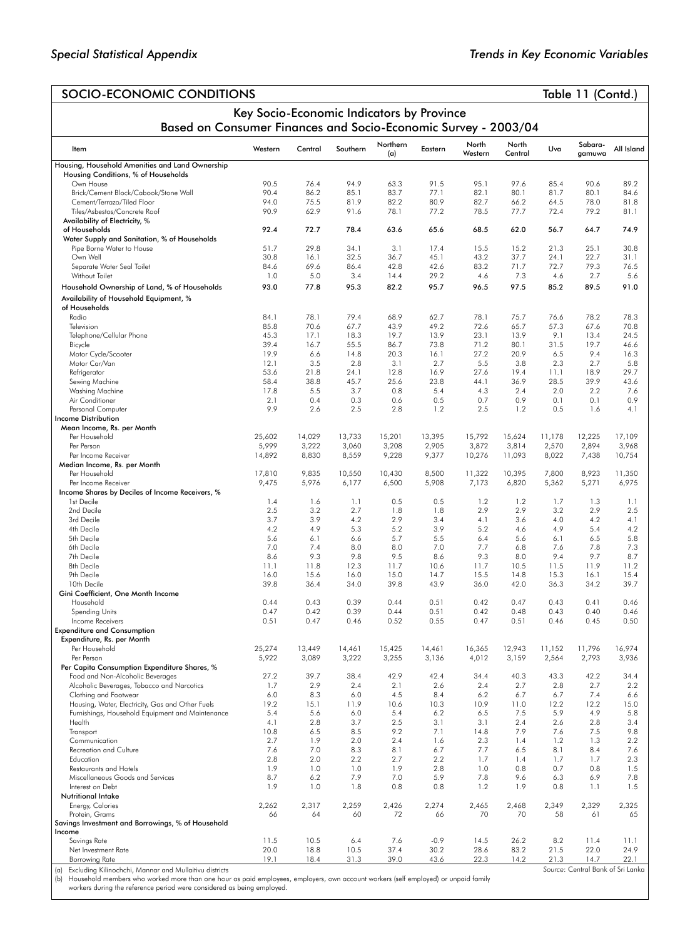## SOCIO-ECONOMIC CONDITIONS SOCIO-ECONOMIC CONDITIONS Key Socio-Economic Indicators by Province Based on Consumer Finances and Socio-Economic Survey - 2003/04 Item Western Central Southern Northern Northern Eastern North<br>(a) Eastern Western Western North<br>Central Central Uva Sabara-gamuwa All Island Housing, Household Amenities and Land Ownership Housing Conditions, % of Households<br>Own House Own House 90.5 76.4 94.9 63.3 91.5 95.1 97.6 85.4 90.6 89.2 Brick/Cement Block/Cabook/Stone Wall 90.4 86.2 85.1 83.7 77.1 82.1 80.1 81.7 80.1 84.6 Cement/Terrazo/Tiled Floor 94.0 75.5 81.9 82.2 80.9 82.7 66.2 64.5 78.0 81.8 Tiles/Asbestos/Concrete Roof Availability of Electricity, % of Households 92.4 72.7 78.4 63.6 65.6 68.5 62.0 56.7 64.7 74.9 Water Supply and Sanitation, % of Households Pipe Borne Water to House 51.7 29.8 34.1 3.1 17.4 15.5 15.2 21.3 25.1 30.8 Own Well 30.8 16.1 32.5 36.7 45.1 43.2 37.7 24.1 22.7 31.1 Separate Water Seal Toilet 84.6 69.6 86.4 42.8 42.6 83.2 71.7 72.7 79.3 76.5 Without Toilet 1.0 5.0 3.4 14.4 29.2 4.6 7.3 4.6 2.7 5.6 Household Ownership of Land, % of Households 93.0 77.8 95.3 82.2 95.7 96.5 97.5 85.2 89.5 91.0 Availability of Household Equipment, % of Households Radio 84.1 78.1 79.4 68.9 62.7 78.1 75.7 76.6 78.2 78.3 Television 85.8 70.6 67.7 43.9 49.2 72.6 65.7 57.3 67.6 70.8 Telephone/Cellular Phone 45.3 17.1 18.3 19.7 13.9 23.1 13.9 9.1 13.4 24.5 Bicycle 39.4 16.7 55.5 86.7 73.8 71.2 80.1 31.5 19.7 46.6 Motor Cycle/Scooter 19.9 6.6 14.8 20.3 16.1 27.2 20.9 6.5 9.4 16.3 Motor Car/Van 12.1 3.5 2.8 3.1 2.7 5.5 3.8 2.3 2.7 5.8 Refrigerator 53.6 21.8 24.1 12.8 16.9 27.6 19.4 11.1 18.9 29.7 Sewing Machine 58.4 38.8 45.7 25.6 23.8 44.1 36.9 28.5 39.9 43.6 Washing Machine 17.8 5.5 3.7 0.8 5.4 4.3 2.4 2.0 2.2 7.6 Air Conditioner 2.1 0.4 0.3 0.6 0.5 0.7 0.9 0.1 0.1 0.9 Personal Computer 9.9 2.6 2.5 2.8 1.2 2.5 1.2 0.5 1.6 4.1 Income Distribution Mean Income, Rs. per Month<br>Per Household Per Household 25,602 14,029 13,733 15,201 13,395 15,792 15,624 11,178 12,225 17,109 Per Person 5,999 3,222 3,060 3,208 2,905 3,872 3,814 2,570 2,894 3,968 Per Income Receiver 14,892 8,830 8,559 9,228 9,377 10,276 11,093 8,022 7,438 10,754 Median Income, Rs. per Month Per Household 17,810 9,835 10,550 10,430 8,500 11,322 10,395 7,800 8,923 11,350 Per Income Receiver 9,475 5,976 6,177 6,500 5,908 7,173 6,820 5,362 5,271 6,975 Income Shares by Deciles of Income Receivers, % 1st Decile 1.4 1.6 1.1 0.5 0.5 1.2 1.2 1.7 1.3 1.1 2nd Decile 2.5 3.2 2.7 1.8 1.8 2.9 2.9 3.2 2.9 2.5 3rd Decile 3.7 3.9 4.2 2.9 3.4 4.1 3.6 4.0 4.2 4.1 4th Decile 4.2 4.9 5.3 5.2 3.9 5.2 4.6 4.9 5.4 4.2 5th Decile 5.6 6.1 6.6 5.7 5.5 6.4 5.6 6.1 6.5 5.8 6th Decile 7.0 7.4 8.0 8.0 7.0 7.7 6.8 7.6 7.8 7.3 7th Decile 8.6 9.3 9.8 9.5 8.6 9.3 8.0 9.4 9.7 8.7 8th Decile 11.1 11.8 12.3 11.7 10.6 11.7 10.5 11.5 11.9 11.2 9th Decile 16.0 15.6 16.0 15.0 14.7 15.5 14.8 15.3 16.1 15.4 10th Decile 39.8 36.4 34.0 39.8 43.9 36.0 42.0 36.3 34.2 39.7 Gini Coefficient, One Month Income Household 0.44 0.43 0.39 0.44 0.51 0.42 0.47 0.43 0.41 0.46 Spending Units 0.47 0.42 0.39 0.44 0.51 0.42 0.48 0.43 0.40 0.46 Income Receivers 0.51 0.47 0.46 0.52 0.55 0.47 0.51 0.46 0.45 0.50 Expenditure and Consumption Expenditure, Rs. per Month Per Household 25,274 13,449 14,461 15,425 14,461 16,365 12,943 11,152 11,796 16,974 Per Person 5,922 3,089 3,222 3,255 3,136 4,012 3,159 2,564 2,793 3,936 Per Capita Consumption Expenditure Shares, % Food and Non-Alcoholic Beverages 27.2 39.7 38.4 42.9 42.4 34.4 40.3 43.3 42.2 34.4 Alcoholic Beverages, Tobacco and Narcotics 1.7 2.9 2.4 2.1 2.6 2.4 2.7 2.8 2.7 2.2 Clothing and Footwear 6.0 8.3 6.0 4.5 8.4 6.2 6.7 6.7 7.4 6.6 Housing, Water, Electricity, Gas and Other Fuels 19.2 15.1 11.9 10.6 10.3 10.9 11.0 12.2 12.2 15.0<br>15.1 11.9 10.6 10.3 10.9 11.0 12.2 12.2 15.0<br>Furnishinas, Household Equipment and Maintenance 5.4 5.6 6.0 5.4 6.2 6.5 7.5 5 Furnishings, Household Equipment and Maintenance 5.4 5.6 6.0 5.4 6.2 6.5 7.5 5.9 4.9 5.8 Health 4.1 2.8 3.7 2.5 3.1 3.1 2.4 2.6 2.8 3.4 Transport 10.8 6.5 8.5 9.2 7.1 14.8 7.9 7.6 7.5 9.8 Communication 2.7 1.9 2.0 2.4 1.6 2.3 1.4 1.2 1.3 2.2 Recreation and Culture 7.6 7.0 8.3 8.1 6.7 7.7 6.5 8.1 8.4 7.6 Education 2.8 2.0 2.2 2.7 2.2 1.7 1.4 1.7 1.7 2.3 Restaurants and Hotels 1.9 1.0 1.0 1.9 2.8 1.0 0.8 0.7 0.8 1.5 Miscellaneous Goods and Services 8.7 6.2 7.9 7.0 5.9 7.8 9.6 6.3 6.9 7.8 Interest on Debt 1.9 1.0 1.8 0.8 0.8 1.2 1.9 0.8 1.1 1.5 Nutritional Intake Energy, Calories 2,262 2,317 2,259 2,426 2,274 2,465 2,468 2,349 2,329 2,325 Protein, Grams 66 64 60 72 66 70 70 58 61 65 Savings Investment and Borrowings, % of Household **Income**<br>Savings Rate Savings Rate 11.5 10.5 6.4 7.6 -0.9 14.5 26.2 8.2 11.4 11.1 Net Investment Rate 1. 20.0 18.8 10.5 37.4 30.2 28.6 83.2 21.5 22.0 24.9<br>19.1 18.4 31.3 39.0 43.6 22.3 14.2 21.3 14.7 22.1 Borrowing Rate 19.1 18.4 31.3 39.0 43.6 22.3 14.2 21.3 14.7 22.1

(a) Excluding Kilinochchi, Mannar and Mullaitivu districts

(b) Household members who worked more than one hour as paid employees, employers, own account workers (self employed) or unpaid family workers during the reference period were considered as being employed.

*Source*: Central Bank of Sri Lanka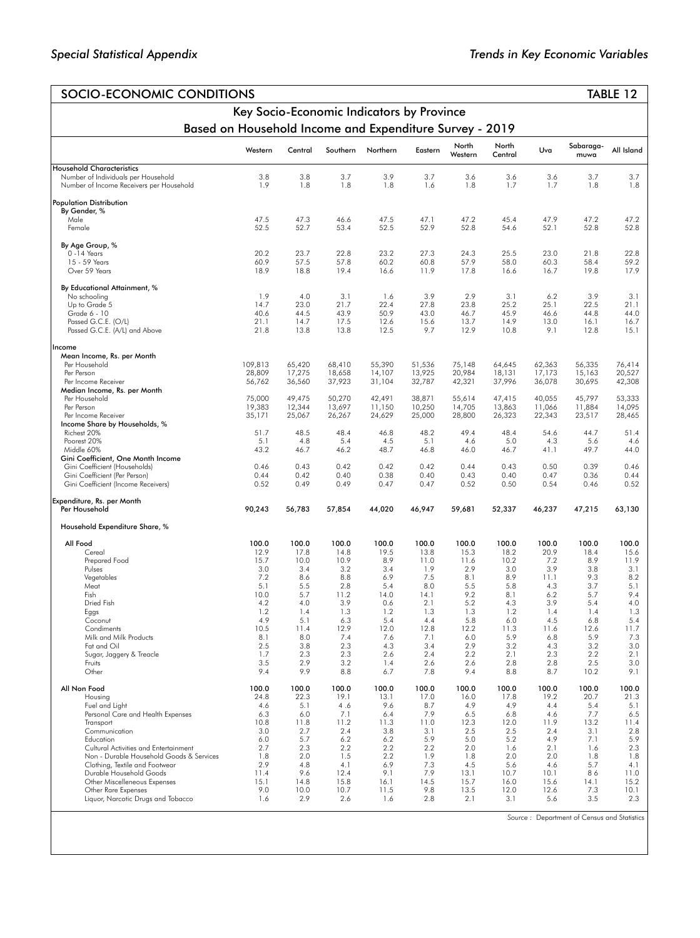| SOCIO-ECONOMIC CONDITIONS                                                       |                                           |               |               |               |               |                  |                  |               |                                             | TABLE 12      |  |
|---------------------------------------------------------------------------------|-------------------------------------------|---------------|---------------|---------------|---------------|------------------|------------------|---------------|---------------------------------------------|---------------|--|
|                                                                                 | Key Socio-Economic Indicators by Province |               |               |               |               |                  |                  |               |                                             |               |  |
| Based on Household Income and Expenditure Survey - 2019                         |                                           |               |               |               |               |                  |                  |               |                                             |               |  |
|                                                                                 | Western                                   | Central       | Southern      | Northern      | Eastern       | North<br>Western | North<br>Central | Uva           | Sabaraga-<br>muwa                           | All Island    |  |
| <b>Household Characteristics</b>                                                | 3.8                                       | 3.8           |               |               | 3.7           | 3.6              |                  | 3.6           |                                             |               |  |
| Number of Individuals per Household<br>Number of Income Receivers per Household | 1.9                                       | 1.8           | 3.7<br>1.8    | 3.9<br>1.8    | 1.6           | 1.8              | 3.6<br>1.7       | 1.7           | 3.7<br>1.8                                  | 3.7<br>1.8    |  |
| <b>Population Distribution</b>                                                  |                                           |               |               |               |               |                  |                  |               |                                             |               |  |
| By Gender, %<br>Male                                                            | 47.5                                      | 47.3          | 46.6          | 47.5          | 47.1          | 47.2             | 45.4             | 47.9          | 47.2                                        | 47.2          |  |
| Female                                                                          | 52.5                                      | 52.7          | 53.4          | 52.5          | 52.9          | 52.8             | 54.6             | 52.1          | 52.8                                        | 52.8          |  |
| By Age Group, %                                                                 |                                           |               |               |               |               |                  |                  |               |                                             |               |  |
| $0 - 14$ Years<br>15 - 59 Years                                                 | 20.2<br>60.9                              | 23.7<br>57.5  | 22.8<br>57.8  | 23.2<br>60.2  | 27.3<br>60.8  | 24.3<br>57.9     | 25.5<br>58.0     | 23.0<br>60.3  | 21.8<br>58.4                                | 22.8<br>59.2  |  |
| Over 59 Years                                                                   | 18.9                                      | 18.8          | 19.4          | 16.6          | 11.9          | 17.8             | 16.6             | 16.7          | 19.8                                        | 17.9          |  |
| By Educational Attainment, %                                                    |                                           |               |               |               |               |                  |                  |               |                                             |               |  |
| No schooling<br>Up to Grade 5                                                   | 1.9<br>14.7                               | 4.0<br>23.0   | 3.1<br>21.7   | 1.6<br>22.4   | 3.9<br>27.8   | 2.9<br>23.8      | 3.1<br>25.2      | 6.2<br>25.1   | 3.9<br>22.5                                 | 3.1<br>21.1   |  |
| Grade 6 - 10                                                                    | 40.6                                      | 44.5          | 43.9          | 50.9          | 43.0          | 46.7             | 45.9             | 46.6          | 44.8                                        | 44.0          |  |
| Passed G.C.E. (O/L)                                                             | 21.1                                      | 14.7          | 17.5          | 12.6          | 15.6          | 13.7             | 14.9             | 13.0          | 16.1                                        | 16.7          |  |
| Passed G.C.E. (A/L) and Above                                                   | 21.8                                      | 13.8          | 13.8          | 12.5          | 9.7           | 12.9             | 10.8             | 9.1           | 12.8                                        | 15.1          |  |
| Income<br>Mean Income, Rs. per Month                                            |                                           |               |               |               |               |                  |                  |               |                                             |               |  |
| Per Household                                                                   | 109,813                                   | 65,420        | 68,410        | 55,390        | 51,536        | 75,148           | 64,645           | 62,363        | 56,335                                      | 76,414        |  |
| Per Person                                                                      | 28,809                                    | 17,275        | 18,658        | 14,107        | 13,925        | 20,984           | 18,131           | 17,173        | 15.163                                      | 20,527        |  |
| Per Income Receiver<br>Median Income, Rs. per Month                             | 56,762                                    | 36,560        | 37,923        | 31,104        | 32,787        | 42,321           | 37,996           | 36,078        | 30,695                                      | 42,308        |  |
| Per Household                                                                   | 75,000                                    | 49,475        | 50,270        | 42,491        | 38,871        | 55,614           | 47,415           | 40,055        | 45,797                                      | 53,333        |  |
| Per Person                                                                      | 19,383                                    | 12,344        | 13,697        | 11,150        | 10,250        | 14,705           | 13,863           | 11,066        | 11,884                                      | 14,095        |  |
| Per Income Receiver                                                             | 35,171                                    | 25,067        | 26,267        | 24,629        | 25,000        | 28,800           | 26,323           | 22,343        | 23,517                                      | 28,465        |  |
| Income Share by Households, %<br>Richest 20%                                    | 51.7                                      | 48.5          | 48.4          | 46.8          | 48.2          | 49.4             | 48.4             | 54.6          | 44.7                                        | 51.4          |  |
| Poorest 20%                                                                     | 5.1                                       | 4.8           | 5.4           | 4.5           | 5.1           | 4.6              | 5.0              | 4.3           | 5.6                                         | 4.6           |  |
| Middle 60%                                                                      | 43.2                                      | 46.7          | 46.2          | 48.7          | 46.8          | 46.0             | 46.7             | 41.1          | 49.7                                        | 44.0          |  |
| Gini Coefficient, One Month Income<br>Gini Coefficient (Households)             | 0.46                                      | 0.43          | 0.42          | 0.42          | 0.42          | 0.44             | 0.43             | 0.50          | 0.39                                        | 0.46          |  |
| Gini Coefficient (Per Person)<br>Gini Coefficient (Income Receivers)            | 0.44<br>0.52                              | 0.42<br>0.49  | 0.40<br>0.49  | 0.38<br>0.47  | 0.40<br>0.47  | 0.43<br>0.52     | 0.40<br>0.50     | 0.47<br>0.54  | 0.36<br>0.46                                | 0.44<br>0.52  |  |
| Expenditure, Rs. per Month<br>Per Household                                     | 90,243                                    | 56,783        | 57,854        | 44,020        | 46,947        | 59,681           | 52,337           | 46,237        | 47,215                                      | 63,130        |  |
| Household Expenditure Share, %                                                  |                                           |               |               |               |               |                  |                  |               |                                             |               |  |
| All Food                                                                        | 100.0                                     | 100.0         | 100.0         | 100.0         | 100.0         | 100.0            | 100.0            | 100.0         | 100.0                                       | 100.0         |  |
| Cereal                                                                          | 12.9                                      | 17.8          | 14.8          | 19.5          | 13.8          | 15.3             | 18.2             | 20.9          | 18.4                                        | 15.6          |  |
| Prepared Food                                                                   | 15.7                                      | 10.0          | 10.9          | 8.9           | 11.0          | 11.6             | 10.2             | 7.2           | 8.9                                         | 11.9          |  |
| Pulses<br>Vegetables                                                            | 3.0<br>7.2                                | 3.4<br>8.6    | 3.2<br>8.8    | 3.4<br>6.9    | 1.9<br>7.5    | 2.9<br>8.1       | 3.0<br>8.9       | 3.9<br>11.1   | 3.8<br>9.3                                  | 3.1<br>8.2    |  |
| Meat                                                                            | 5.1                                       | 5.5           | 2.8           | 5.4           | 8.0           | 5.5              | 5.8              | 4.3           | 3.7                                         | 5.1           |  |
| Fish                                                                            | 10.0                                      | 5.7           | 11.2          | 14.0          | 14.1          | 9.2              | 8.1              | 6.2           | 5.7                                         | 9.4           |  |
| Dried Fish<br>Eggs                                                              | 4.2<br>1.2                                | 4.0<br>1.4    | 3.9<br>1.3    | 0.6<br>1.2    | 2.1<br>1.3    | 5.2<br>1.3       | 4.3<br>1.2       | 3.9<br>1.4    | 5.4<br>1.4                                  | 4.0<br>1.3    |  |
| Coconut                                                                         | 4.9                                       | 5.1           | 6.3           | 5.4           | 4.4           | 5.8              | 6.0              | 4.5           | 6.8                                         | 5.4           |  |
| Condiments                                                                      | 10.5                                      | 11.4          | 12.9          | 12.0          | 12.8          | 12.2             | 11.3             | 11.6          | 12.6                                        | 11.7          |  |
| Milk and Milk Products<br>Fat and Oil                                           | 8.1<br>2.5                                | 8.0<br>3.8    | 7.4<br>2.3    | 7.6<br>4.3    | 7.1<br>3.4    | 6.0<br>2.9       | 5.9<br>3.2       | 6.8<br>4.3    | 5.9<br>3.2                                  | 7.3<br>3.0    |  |
| Sugar, Jaggery & Treacle                                                        | 1.7                                       | 2.3           | 2.3           | 2.6           | 2.4           | 2.2              | 2.1              | 2.3           | 2.2                                         | 2.1           |  |
| Fruits<br>Other                                                                 | 3.5<br>9.4                                | 2.9<br>9.9    | 3.2<br>8.8    | 1.4<br>6.7    | 2.6<br>7.8    | 2.6<br>9.4       | 2.8<br>8.8       | 2.8<br>8.7    | 2.5<br>10.2                                 | 3.0<br>9.1    |  |
|                                                                                 |                                           |               |               |               |               |                  |                  |               |                                             |               |  |
| All Non Food<br>Housing                                                         | 100.0<br>24.8                             | 100.0<br>22.3 | 100.0<br>19.1 | 100.0<br>13.1 | 100.0<br>17.0 | 100.0<br>16.0    | 100.0<br>17.8    | 100.0<br>19.2 | 100.0<br>20.7                               | 100.0<br>21.3 |  |
| Fuel and Light                                                                  | 4.6                                       | 5.1           | 4.6           | 9.6           | 8.7           | 4.9              | 4.9              | 4.4           | 5.4                                         | 5.1           |  |
| Personal Care and Health Expenses                                               | 6.3                                       | 6.0           | 7.1           | 6.4           | 7.9           | 6.5              | 6.8              | 4.6           | 7.7                                         | 6.5           |  |
| Transport<br>Communication                                                      | 10.8<br>3.0                               | 11.8<br>2.7   | 11.2<br>2.4   | 11.3<br>3.8   | 11.0<br>3.1   | 12.3<br>2.5      | 12.0<br>2.5      | 11.9<br>2.4   | 13.2<br>3.1                                 | 11.4<br>2.8   |  |
| Education                                                                       | 6.0                                       | 5.7           | 6.2           | 6.2           | 5.9           | 5.0              | 5.2              | 4.9           | 7.1                                         | 5.9           |  |
| Cultural Activities and Entertainment                                           | 2.7                                       | 2.3           | 2.2           | 2.2           | 2.2           | 2.0              | 1.6              | 2.1           | 1.6                                         | 2.3           |  |
| Non - Durable Household Goods & Services<br>Clothing, Textile and Footwear      | 1.8<br>2.9                                | 2.0<br>4.8    | 1.5<br>4.1    | 2.2<br>6.9    | 1.9<br>7.3    | 1.8<br>4.5       | 2.0<br>5.6       | 2.0<br>4.6    | 1.8<br>5.7                                  | 1.8<br>4.1    |  |
| Durable Household Goods                                                         | 11.4                                      | 9.6           | 12.4          | 9.1           | 7.9           | 13.1             | 10.7             | 10.1          | 86                                          | 11.0          |  |
| Other Miscelleneous Expenses                                                    | 15.1                                      | 14.8          | 15.8          | 16.1          | 14.5          | 15.7             | 16.0             | 15.6          | 14.1                                        | 15.2          |  |
| Other Rare Expenses<br>Liquor, Narcotic Drugs and Tobacco                       | 9.0<br>1.6                                | 10.0<br>2.9   | 10.7<br>2.6   | 11.5<br>1.6   | 9.8<br>2.8    | 13.5<br>2.1      | 12.0<br>3.1      | 12.6<br>5.6   | 7.3<br>3.5                                  | 10.1<br>2.3   |  |
|                                                                                 |                                           |               |               |               |               |                  |                  |               |                                             |               |  |
|                                                                                 |                                           |               |               |               |               |                  |                  |               | Source: Department of Census and Statistics |               |  |